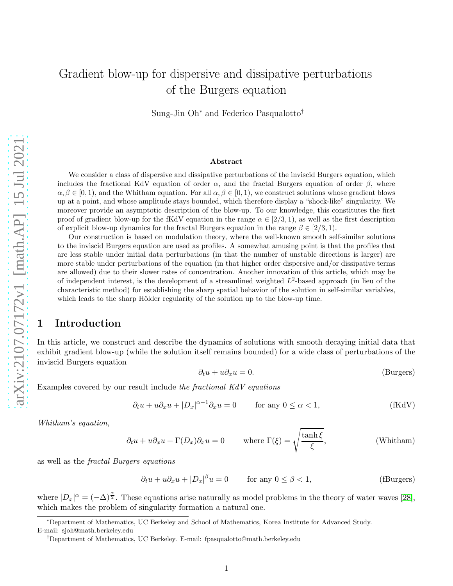# Gradient blow-up for dispersive and dissipative perturbations of the Burgers equation

Sung-Jin Oh<sup>∗</sup> and Federico Pasqualotto†

#### Abstract

We consider a class of dispersive and dissipative perturbations of the inviscid Burgers equation, which includes the fractional KdV equation of order  $\alpha$ , and the fractal Burgers equation of order  $\beta$ , where  $\alpha, \beta \in [0, 1)$ , and the Whitham equation. For all  $\alpha, \beta \in [0, 1)$ , we construct solutions whose gradient blows up at a point, and whose amplitude stays bounded, which therefore display a "shock-like" singularity. We moreover provide an asymptotic description of the blow-up. To our knowledge, this constitutes the first proof of gradient blow-up for the fKdV equation in the range  $\alpha \in [2/3, 1)$ , as well as the first description of explicit blow-up dynamics for the fractal Burgers equation in the range  $\beta \in [2/3, 1)$ .

Our construction is based on modulation theory, where the well-known smooth self-similar solutions to the inviscid Burgers equation are used as profiles. A somewhat amusing point is that the profiles that are less stable under initial data perturbations (in that the number of unstable directions is larger) are more stable under perturbations of the equation (in that higher order dispersive and/or dissipative terms are allowed) due to their slower rates of concentration. Another innovation of this article, which may be of independent interest, is the development of a streamlined weighted  $L^2$ -based approach (in lieu of the characteristic method) for establishing the sharp spatial behavior of the solution in self-similar variables, which leads to the sharp Hölder regularity of the solution up to the blow-up time.

### <span id="page-0-0"></span>1 Introduction

In this article, we construct and describe the dynamics of solutions with smooth decaying initial data that exhibit gradient blow-up (while the solution itself remains bounded) for a wide class of perturbations of the inviscid Burgers equation

$$
\partial_t u + u \partial_x u = 0. \tag{Burgers}
$$

Examples covered by our result include the fractional KdV equations

$$
\partial_t u + u \partial_x u + |D_x|^{\alpha - 1} \partial_x u = 0 \qquad \text{for any } 0 \le \alpha < 1,
$$
 (fKdV)

Whitham's equation,

$$
\partial_t u + u \partial_x u + \Gamma(D_x) \partial_x u = 0 \quad \text{where } \Gamma(\xi) = \sqrt{\frac{\tanh \xi}{\xi}}, \quad \text{(Whitham)}
$$

as well as the fractal Burgers equations

$$
\partial_t u + u \partial_x u + |D_x|^{\beta} u = 0 \qquad \text{for any } 0 \le \beta < 1,\tag{fBurgers}
$$

where  $|D_x|^{\alpha} = (-\Delta)^{\frac{\alpha}{2}}$ . These equations arise naturally as model problems in the theory of water waves [\[28\]](#page-42-0), which makes the problem of singularity formation a natural one.

<sup>∗</sup>Department of Mathematics, UC Berkeley and School of Mathematics, Korea Institute for Advanced Study. E-mail: sjoh@math.berkeley.edu

<sup>†</sup>Department of Mathematics, UC Berkeley. E-mail: fpasqualotto@math.berkeley.edu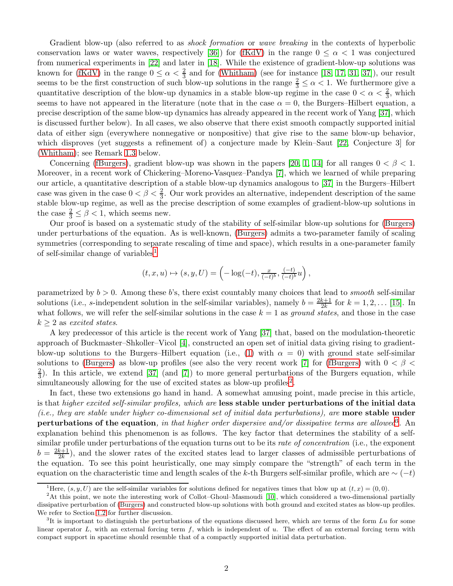Gradient blow-up (also referred to as *shock formation* or *wave breaking* in the contexts of hyperbolic conservation laws or water waves, respectively [\[36\]](#page-42-1)) for [\(fKdV\)](#page-0-0) in the range  $0 \leq \alpha < 1$  was conjectured from numerical experiments in [\[22\]](#page-41-0) and later in [\[18\]](#page-41-1). While the existence of gradient-blow-up solutions was known for [\(fKdV\)](#page-0-0) in the range  $0 \le \alpha < \frac{2}{3}$  and for [\(Whitham\)](#page-0-0) (see for instance [\[18,](#page-41-1) [17,](#page-41-2) [31,](#page-42-2) [37\]](#page-42-3)), our result seems to be the first construction of such blow-up solutions in the range  $\frac{2}{3} \leq \alpha < 1$ . We furthermore give a quantitative description of the blow-up dynamics in a stable blow-up regime in the case  $0 < \alpha < \frac{2}{3}$ , which seems to have not appeared in the literature (note that in the case  $\alpha = 0$ , the Burgers–Hilbert equation, a precise description of the same blow-up dynamics has already appeared in the recent work of Yang [\[37\]](#page-42-3), which is discussed further below). In all cases, we also observe that there exist smooth compactly supported initial data of either sign (everywhere nonnegative or nonpositive) that give rise to the same blow-up behavior, which disproves (yet suggests a refinement of) a conjecture made by Klein–Saut [\[22,](#page-41-0) Conjecture 3] for [\(Whitham\)](#page-0-0); see Remark [1.3](#page-3-0) below.

Concerning [\(fBurgers\)](#page-0-0), gradient blow-up was shown in the papers [\[20,](#page-41-3) [1,](#page-40-0) [14\]](#page-41-4) for all ranges  $0 < \beta < 1$ . Moreover, in a recent work of Chickering–Moreno-Vasquez–Pandya [\[7\]](#page-41-5), which we learned of while preparing our article, a quantitative description of a stable blow-up dynamics analogous to [\[37\]](#page-42-3) in the Burgers–Hilbert case was given in the case  $0 < \beta < \frac{2}{3}$ . Our work provides an alternative, independent description of the same stable blow-up regime, as well as the precise description of some examples of gradient-blow-up solutions in the case  $\frac{2}{3} \leq \beta < 1$ , which seems new.

Our proof is based on a systematic study of the stability of self-similar blow-up solutions for [\(Burgers\)](#page-0-0) under perturbations of the equation. As is well-known, [\(Burgers\)](#page-0-0) admits a two-parameter family of scaling symmetries (corresponding to separate rescaling of time and space), which results in a one-parameter family of self-similar change of variables[1](#page-1-0)

$$
(t, x, u) \mapsto (s, y, U) = \left(-\log(-t), \frac{x}{(-t)^b}, \frac{(-t)}{(-t)^b}u\right)
$$

,

parametrized by  $b > 0$ . Among these b's, there exist countably many choices that lead to *smooth* self-similar solutions (i.e., s-independent solution in the self-similar variables), namely  $b = \frac{2k+1}{2k}$  $\frac{k+1}{2k}$  for  $k = 1, 2, ...$  [\[15\]](#page-41-6). In what follows, we will refer the self-similar solutions in the case  $k = 1$  as ground states, and those in the case  $k > 2$  as excited states.

A key predecessor of this article is the recent work of Yang [\[37\]](#page-42-3) that, based on the modulation-theoretic approach of Buckmaster–Shkoller–Vicol [\[4\]](#page-40-1), constructed an open set of initial data giving rising to gradient-blow-up solutions to the Burgers–Hilbert equation (i.e., [\(1\)](#page-2-0) with  $\alpha = 0$ ) with ground state self-similar solutions to [\(Burgers\)](#page-0-0) as blow-up profiles (see also the very recent work [\[7\]](#page-41-5) for [\(fBurgers\)](#page-0-0) with  $0 < \beta <$ 2  $\frac{2}{3}$ ). In this article, we extend [\[37\]](#page-42-3) (and [\[7\]](#page-41-5)) to more general perturbations of the Burgers equation, while simultaneously allowing for the use of excited states as blow-up profiles<sup>[2](#page-1-1)</sup>.

In fact, these two extensions go hand in hand. A somewhat amusing point, made precise in this article, is that higher excited self-similar profiles, which are less stable under perturbations of the initial data (i.e., they are stable under higher co-dimensional set of initial data perturbations), are **more stable under** perturbations of the equation, in that higher order dispersive and/or dissipative terms are allowed<sup>[3](#page-1-2)</sup>. An explanation behind this phenomenon is as follows. The key factor that determines the stability of a selfsimilar profile under perturbations of the equation turns out to be its rate of concentration (i.e., the exponent  $b = \frac{2k+1}{2k}$  $\frac{k+1}{2k}$ , and the slower rates of the excited states lead to larger classes of admissible perturbations of the equation. To see this point heuristically, one may simply compare the "strength" of each term in the equation on the characteristic time and length scales of the k-th Burgers self-similar profile, which are  $\sim (-t)$ 

<span id="page-1-0"></span><sup>&</sup>lt;sup>1</sup>Here,  $(s, y, U)$  are the self-similar variables for solutions defined for negatives times that blow up at  $(t, x) = (0, 0)$ .

<span id="page-1-1"></span><sup>2</sup>At this point, we note the interesting work of Collot–Ghoul–Masmoudi [\[10\]](#page-41-7), which considered a two-dimensional partially dissipative perturbation of [\(Burgers\)](#page-0-0) and constructed blow-up solutions with both ground and excited states as blow-up profiles. We refer to Section [1.2](#page-3-1) for further discussion.

<span id="page-1-2"></span> ${}^{3}$ It is important to distinguish the perturbations of the equations discussed here, which are terms of the form  $Lu$  for some linear operator  $L$ , with an external forcing term  $f$ , which is independent of  $u$ . The effect of an external forcing term with compact support in spacetime should resemble that of a compactly supported initial data perturbation.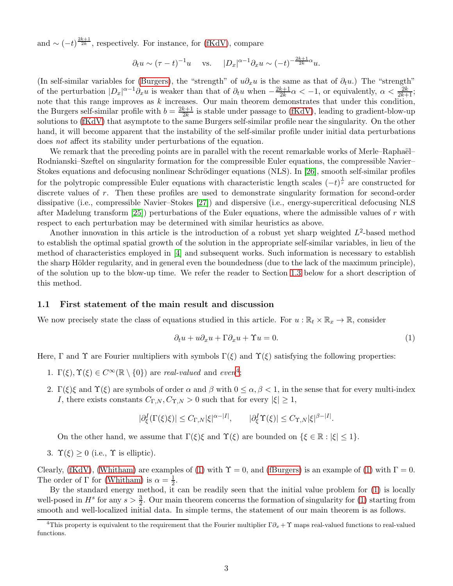and  $\sim (-t)^{\frac{2k+1}{2k}}$ , respectively. For instance, for [\(fKdV\)](#page-0-0), compare

$$
\partial_t u \sim (\tau - t)^{-1} u
$$
 vs.  $|D_x|^{\alpha - 1} \partial_x u \sim (-t)^{-\frac{2k+1}{2k}\alpha} u$ .

(In self-similar variables for [\(Burgers\)](#page-0-0), the "strength" of  $u\partial_x u$  is the same as that of  $\partial_t u$ .) The "strength" of the perturbation  $|D_x|^{\alpha-1}\partial_x u$  is weaker than that of  $\partial_t u$  when  $-\frac{2k+1}{2k}$  $\frac{k+1}{2k}\alpha < -1$ , or equivalently,  $\alpha < \frac{2k}{2k+1}$ ; note that this range improves as  $k$  increases. Our main theorem demonstrates that under this condition, the Burgers self-similar profile with  $b = \frac{2k+1}{2k}$  $\frac{k+1}{2k}$  is stable under passage to [\(fKdV\)](#page-0-0), leading to gradient-blow-up solutions to [\(fKdV\)](#page-0-0) that asymptote to the same Burgers self-similar profile near the singularity. On the other hand, it will become apparent that the instability of the self-similar profile under initial data perturbations does not affect its stability under perturbations of the equation.

We remark that the preceding points are in parallel with the recent remarkable works of Merle–Raphaël– Rodnianski–Szeftel on singularity formation for the compressible Euler equations, the compressible Navier– Stokes equations and defocusing nonlinear Schrödinger equations (NLS). In [\[26\]](#page-41-8), smooth self-similar profiles for the polytropic compressible Euler equations with characteristic length scales  $(-t)^{\frac{1}{r}}$  are constructed for discrete values of r. Then these profiles are used to demonstrate singularity formation for second-order dissipative (i.e., compressible Navier–Stokes [\[27\]](#page-42-4)) and dispersive (i.e., energy-supercritical defocusing NLS after Madelung transform  $[25]$ ) perturbations of the Euler equations, where the admissible values of r with respect to each perturbation may be determined with similar heuristics as above.

Another innovation in this article is the introduction of a robust yet sharp weighted  $L^2$ -based method to establish the optimal spatial growth of the solution in the appropriate self-similar variables, in lieu of the method of characteristics employed in [\[4\]](#page-40-1) and subsequent works. Such information is necessary to establish the sharp Hölder regularity, and in general even the boundedness (due to the lack of the maximum principle), of the solution up to the blow-up time. We refer the reader to Section [1.3](#page-5-0) below for a short description of this method.

#### 1.1 First statement of the main result and discussion

We now precisely state the class of equations studied in this article. For  $u : \mathbb{R}_t \times \mathbb{R}_x \to \mathbb{R}$ , consider

<span id="page-2-0"></span>
$$
\partial_t u + u \partial_x u + \Gamma \partial_x u + \Upsilon u = 0. \tag{1}
$$

Here, Γ and Υ are Fourier multipliers with symbols  $\Gamma(\xi)$  and  $\Upsilon(\xi)$  satisfying the following properties:

- 1.  $\Gamma(\xi), \Upsilon(\xi) \in C^{\infty}(\mathbb{R} \setminus \{0\})$  are real-valued and even<sup>[4](#page-2-1)</sup>;
- 2. Γ(ξ)ξ and  $\Upsilon(\xi)$  are symbols of order  $\alpha$  and  $\beta$  with  $0 \leq \alpha, \beta < 1$ , in the sense that for every multi-index I, there exists constants  $C_{\Gamma,N}, C_{\Upsilon,N} > 0$  such that for every  $|\xi| \geq 1$ ,

$$
|\partial_{\xi}^{I}(\Gamma(\xi)\xi)| \leq C_{\Gamma,N} |\xi|^{\alpha-|I|}, \qquad |\partial_{\xi}^{I}\Upsilon(\xi)| \leq C_{\Upsilon,N} |\xi|^{\beta-|I|}.
$$

On the other hand, we assume that  $\Gamma(\xi)\xi$  and  $\Upsilon(\xi)$  are bounded on  $\{\xi \in \mathbb{R} : |\xi| \leq 1\}$ .

3.  $\Upsilon(\xi) \geq 0$  (i.e.,  $\Upsilon$  is elliptic).

Clearly, [\(fKdV\)](#page-0-0), [\(Whitham\)](#page-0-0) are examples of [\(1\)](#page-2-0) with  $\Upsilon = 0$ , and [\(fBurgers\)](#page-0-0) is an example of (1) with  $\Gamma = 0$ . The order of  $\Gamma$  for [\(Whitham\)](#page-0-0) is  $\alpha = \frac{1}{2}$  $\frac{1}{2}$ .

By the standard energy method, it can be readily seen that the initial value problem for [\(1\)](#page-2-0) is locally well-posed in  $H^s$  for any  $s > \frac{3}{2}$ . Our main theorem concerns the formation of singularity for [\(1\)](#page-2-0) starting from smooth and well-localized initial data. In simple terms, the statement of our main theorem is as follows.

<span id="page-2-1"></span><sup>&</sup>lt;sup>4</sup>This property is equivalent to the requirement that the Fourier multiplier  $\Gamma \partial_x + \Upsilon$  maps real-valued functions to real-valued functions.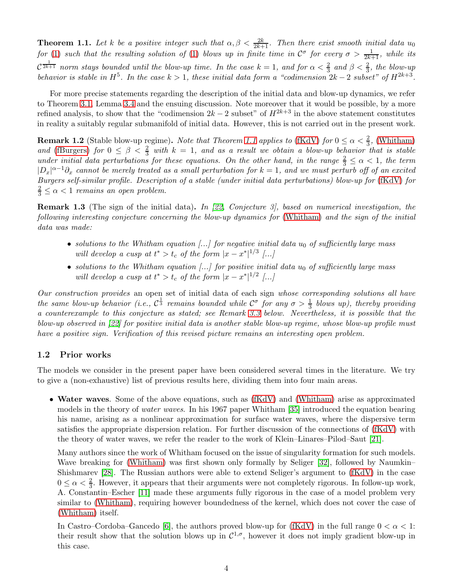<span id="page-3-2"></span>**Theorem 1.1.** Let k be a positive integer such that  $\alpha, \beta < \frac{2k}{2k+1}$ . Then there exist smooth initial data  $u_0$ for [\(1\)](#page-2-0) such that the resulting solution of (1) blows up in finite time in  $\mathcal{C}^{\sigma}$  for every  $\sigma > \frac{1}{2k+1}$ , while its  $\mathcal{C}^{\frac{1}{2k+1}}$  norm stays bounded until the blow-up time. In the case  $k=1$ , and for  $\alpha<\frac{2}{3}$  and  $\beta<\frac{2}{3}$ , the blow-up behavior is stable in  $H^5$ . In the case  $k > 1$ , these initial data form a "codimension  $2k - 2$  subset" of  $H^{2k+3}$ .

For more precise statements regarding the description of the initial data and blow-up dynamics, we refer to Theorem [3.1,](#page-14-0) Lemma [3.4](#page-15-0) and the ensuing discussion. Note moreover that it would be possible, by a more refined analysis, to show that the "codimension  $2k - 2$  subset" of  $H^{2k+3}$  in the above statement constitutes in reality a suitably regular submanifold of initial data. However, this is not carried out in the present work.

**Remark 1.2** (Stable blow-up regime). Note that Theorem [1.1](#page-3-2) applies to [\(fKdV\)](#page-0-0) for  $0 \le \alpha < \frac{2}{3}$ , [\(Whitham\)](#page-0-0) and [\(fBurgers\)](#page-0-0) for  $0 \leq \beta < \frac{2}{3}$  with  $k = 1$ , and as a result we obtain a blow-up behavior that is stable under initial data perturbations for these equations. On the other hand, in the range  $\frac{2}{3} \leq \alpha < 1$ , the term  $|D_x|^{\alpha-1}\partial_x$  cannot be merely treated as a small perturbation for  $k=1$ , and we must perturb off of an excited Burgers self-similar profile. Description of a stable (under initial data perturbations) blow-up for [\(fKdV\)](#page-0-0) for  $\frac{2}{3} \leq \alpha < 1$  remains an open problem.

<span id="page-3-0"></span>Remark 1.3 (The sign of the initial data). In [\[22,](#page-41-0) Conjecture 3], based on numerical investigation, the following interesting conjecture concerning the blow-up dynamics for [\(Whitham\)](#page-0-0) and the sign of the initial data was made:

- solutions to the Whitham equation  $\left[\ldots\right]$  for negative initial data  $u_0$  of sufficiently large mass will develop a cusp at  $t^* > t_c$  of the form  $|x - x^*|^{1/3}$  [...]
- solutions to the Whitham equation  $\left[\ldots\right]$  for positive initial data  $u_0$  of sufficiently large mass will develop a cusp at  $t^* > t_c$  of the form  $|x - x^*|^{1/2}$  [...]

Our construction provides an open set of initial data of each sign whose corresponding solutions all have the same blow-up behavior (i.e.,  $C^{\frac{1}{3}}$  remains bounded while  $C^{\sigma}$  for any  $\sigma > \frac{1}{3}$  blows up), thereby providing a counterexample to this conjecture as stated; see Remark [3.3](#page-14-1) below. Nevertheless, it is possible that the blow-up observed in [\[22\]](#page-41-0) for positive initial data is another stable blow-up regime, whose blow-up profile must have a positive sign. Verification of this revised picture remains an interesting open problem.

### <span id="page-3-1"></span>1.2 Prior works

The models we consider in the present paper have been considered several times in the literature. We try to give a (non-exhaustive) list of previous results here, dividing them into four main areas.

• Water waves. Some of the above equations, such as [\(fKdV\)](#page-0-0) and [\(Whitham\)](#page-0-0) arise as approximated models in the theory of water waves. In his 1967 paper Whitham [\[35\]](#page-42-5) introduced the equation bearing his name, arising as a nonlinear approximation for surface water waves, where the dispersive term satisfies the appropriate dispersion relation. For further discussion of the connections of [\(fKdV\)](#page-0-0) with the theory of water waves, we refer the reader to the work of Klein–Linares–Pilod–Saut [\[21\]](#page-41-10).

Many authors since the work of Whitham focused on the issue of singularity formation for such models. Wave breaking for [\(Whitham\)](#page-0-0) was first shown only formally by Seliger [\[32\]](#page-42-6), followed by Naumkin– Shishmarev [\[28\]](#page-42-0). The Russian authors were able to extend Seliger's argument to [\(fKdV\)](#page-0-0) in the case  $0 \leq \alpha < \frac{2}{3}$ . However, it appears that their arguments were not completely rigorous. In follow-up work, A. Constantin–Escher [\[11\]](#page-41-11) made these arguments fully rigorous in the case of a model problem very similar to [\(Whitham\)](#page-0-0), requiring however boundedness of the kernel, which does not cover the case of [\(Whitham\)](#page-0-0) itself.

In Castro–Cordoba–Gancedo [\[6\]](#page-40-2), the authors proved blow-up for [\(fKdV\)](#page-0-0) in the full range  $0 < \alpha < 1$ : their result show that the solution blows up in  $\mathcal{C}^{1,\sigma}$ , however it does not imply gradient blow-up in this case.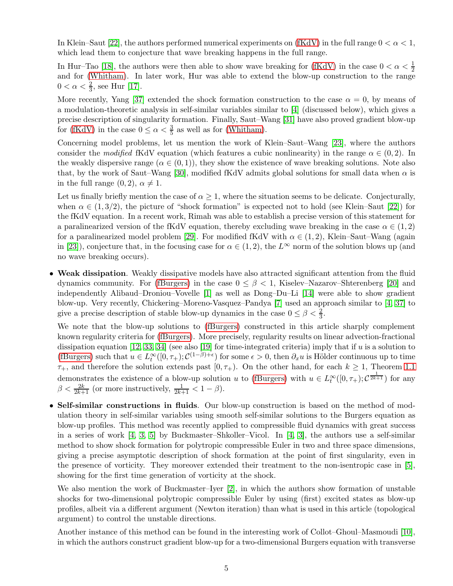In Klein–Saut [\[22\]](#page-41-0), the authors performed numerical experiments on [\(fKdV\)](#page-0-0) in the full range  $0 < \alpha < 1$ , which lead them to conjecture that wave breaking happens in the full range.

In Hur–Tao [\[18\]](#page-41-1), the authors were then able to show wave breaking for [\(fKdV\)](#page-0-0) in the case  $0 < \alpha < \frac{1}{2}$ and for [\(Whitham\)](#page-0-0). In later work, Hur was able to extend the blow-up construction to the range  $0 < \alpha < \frac{2}{3}$ , see Hur [\[17\]](#page-41-2).

More recently, Yang [\[37\]](#page-42-3) extended the shock formation construction to the case  $\alpha = 0$ , by means of a modulation-theoretic analysis in self-similar variables similar to [\[4\]](#page-40-1) (discussed below), which gives a precise description of singularity formation. Finally, Saut–Wang [\[31\]](#page-42-2) have also proved gradient blow-up for [\(fKdV\)](#page-0-0) in the case  $0 \le \alpha < \frac{3}{5}$  as well as for [\(Whitham\)](#page-0-0).

Concerning model problems, let us mention the work of Klein–Saut–Wang [\[23\]](#page-41-12), where the authors consider the modified fKdV equation (which features a cubic nonlinearity) in the range  $\alpha \in (0, 2)$ . In the weakly dispersive range ( $\alpha \in (0, 1)$ ), they show the existence of wave breaking solutions. Note also that, by the work of Saut–Wang [\[30\]](#page-42-7), modified fKdV admits global solutions for small data when  $\alpha$  is in the full range  $(0, 2)$ ,  $\alpha \neq 1$ .

Let us finally briefly mention the case of  $\alpha \geq 1$ , where the situation seems to be delicate. Conjecturally, when  $\alpha \in (1, 3/2)$ , the picture of "shock formation" is expected not to hold (see Klein–Saut [\[22\]](#page-41-0)) for the fKdV equation. In a recent work, Rimah was able to establish a precise version of this statement for a paralinearized version of the fKdV equation, thereby excluding wave breaking in the case  $\alpha \in (1,2)$ for a paralinearized model problem [\[29\]](#page-42-8). For modified fKdV with  $\alpha \in (1, 2)$ , Klein–Saut–Wang (again in [\[23\]](#page-41-12)), conjecture that, in the focusing case for  $\alpha \in (1, 2)$ , the  $L^{\infty}$  norm of the solution blows up (and no wave breaking occurs).

• Weak dissipation. Weakly dissipative models have also attracted significant attention from the fluid dynamics community. For [\(fBurgers\)](#page-0-0) in the case  $0 \leq \beta < 1$ , Kiselev–Nazarov–Shterenberg [\[20\]](#page-41-3) and independently Alibaud–Droniou–Vovelle [\[1\]](#page-40-0) as well as Dong–Du–Li [\[14\]](#page-41-4) were able to show gradient blow-up. Very recently, Chickering–Moreno-Vasquez–Pandya [\[7\]](#page-41-5) used an approach similar to [\[4,](#page-40-1) [37\]](#page-42-3) to give a precise description of stable blow-up dynamics in the case  $0 \le \beta < \frac{2}{3}$ .

We note that the blow-up solutions to [\(fBurgers\)](#page-0-0) constructed in this article sharply complement known regularity criteria for [\(fBurgers\)](#page-0-0). More precisely, regularity results on linear advection-fractional dissipation equation  $[12, 33, 34]$  $[12, 33, 34]$  $[12, 33, 34]$  (see also  $[19]$  for time-integrated criteria) imply that if u is a solution to [\(fBurgers\)](#page-0-0) such that  $u \in L^{\infty}_t([0,\tau_+); C^{(1-\beta)+\epsilon})$  for some  $\epsilon > 0$ , then  $\partial_x u$  is Hölder continuous up to time  $\tau_{+}$ , and therefore the solution extends past  $[0, \tau_{+})$ . On the other hand, for each  $k \geq 1$ , Theorem [1.1](#page-3-2) demonstrates the existence of a blow-up solution u to [\(fBurgers\)](#page-0-0) with  $u \in L^{\infty}_t([0,\tau_+); \mathcal{C}^{\frac{1}{2k+1}}$  for any  $\beta < \frac{2k}{2k+1}$  (or more instructively,  $\frac{1}{2k+1} < 1 - \beta$ ).

• Self-similar constructions in fluids. Our blow-up construction is based on the method of modulation theory in self-similar variables using smooth self-similar solutions to the Burgers equation as blow-up profiles. This method was recently applied to compressible fluid dynamics with great success in a series of work [\[4,](#page-40-1) [3,](#page-40-3) [5\]](#page-40-4) by Buckmaster–Shkoller–Vicol. In [\[4,](#page-40-1) [3\]](#page-40-3), the authors use a self-similar method to show shock formation for polytropic compressible Euler in two and three space dimensions, giving a precise asymptotic description of shock formation at the point of first singularity, even in the presence of vorticity. They moreover extended their treatment to the non-isentropic case in [\[5\]](#page-40-4), showing for the first time generation of vorticity at the shock.

We also mention the work of Buckmaster–Iyer [\[2\]](#page-40-5), in which the authors show formation of unstable shocks for two-dimensional polytropic compressible Euler by using (first) excited states as blow-up profiles, albeit via a different argument (Newton iteration) than what is used in this article (topological argument) to control the unstable directions.

Another instance of this method can be found in the interesting work of Collot–Ghoul–Masmoudi [\[10\]](#page-41-7), in which the authors construct gradient blow-up for a two-dimensional Burgers equation with transverse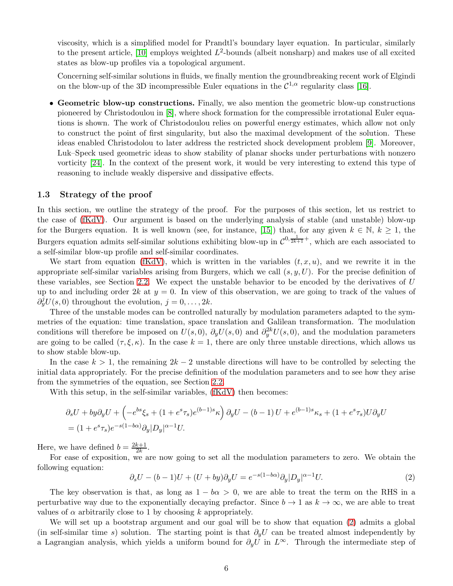viscosity, which is a simplified model for Prandtl's boundary layer equation. In particular, similarly to the present article, [\[10\]](#page-41-7) employs weighted  $L^2$ -bounds (albeit nonsharp) and makes use of all excited states as blow-up profiles via a topological argument.

Concerning self-similar solutions in fluids, we finally mention the groundbreaking recent work of Elgindi on the blow-up of the 3D incompressible Euler equations in the  $\mathcal{C}^{1,\alpha}$  regularity class [\[16\]](#page-41-15).

• Geometric blow-up constructions. Finally, we also mention the geometric blow-up constructions pioneered by Christodoulou in [\[8\]](#page-41-16), where shock formation for the compressible irrotational Euler equations is shown. The work of Christodoulou relies on powerful energy estimates, which allow not only to construct the point of first singularity, but also the maximal development of the solution. These ideas enabled Christodolou to later address the restricted shock development problem [\[9\]](#page-41-17). Moreover, Luk–Speck used geometric ideas to show stability of planar shocks under perturbations with nonzero vorticity [\[24\]](#page-41-18). In the context of the present work, it would be very interesting to extend this type of reasoning to include weakly dispersive and dissipative effects.

#### <span id="page-5-0"></span>1.3 Strategy of the proof

In this section, we outline the strategy of the proof. For the purposes of this section, let us restrict to the case of [\(fKdV\)](#page-0-0). Our argument is based on the underlying analysis of stable (and unstable) blow-up for the Burgers equation. It is well known (see, for instance, [\[15\]](#page-41-6)) that, for any given  $k \in \mathbb{N}$ ,  $k \ge 1$ , the Burgers equation admits self-similar solutions exhibiting blow-up in  $\mathcal{C}^{0,\frac{1}{2k+1}+}$ , which are each associated to a self-similar blow-up profile and self-similar coordinates.

We start from equation [\(fKdV\)](#page-0-0), which is written in the variables  $(t, x, u)$ , and we rewrite it in the appropriate self-similar variables arising from Burgers, which we call  $(s, y, U)$ . For the precise definition of these variables, see Section [2.2.](#page-8-0) We expect the unstable behavior to be encoded by the derivatives of U up to and including order 2k at  $y = 0$ . In view of this observation, we are going to track of the values of  $\partial_y^j U(s,0)$  throughout the evolution,  $j=0,\ldots, 2k$ .

Three of the unstable modes can be controlled naturally by modulation parameters adapted to the symmetries of the equation: time translation, space translation and Galilean transformation. The modulation conditions will therefore be imposed on  $U(s,0)$ ,  $\partial_y U(s,0)$  and  $\partial_y^{2k} U(s,0)$ , and the modulation parameters are going to be called  $(\tau, \xi, \kappa)$ . In the case  $k = 1$ , there are only three unstable directions, which allows us to show stable blow-up.

In the case  $k > 1$ , the remaining  $2k - 2$  unstable directions will have to be controlled by selecting the initial data appropriately. For the precise definition of the modulation parameters and to see how they arise from the symmetries of the equation, see Section [2.2.](#page-8-0)

With this setup, in the self-similar variables, [\(fKdV\)](#page-0-0) then becomes:

$$
\partial_s U + by \partial_y U + \left( -e^{bs} \xi_s + (1 + e^s \tau_s) e^{(b-1)s} \kappa \right) \partial_y U - (b-1) U + e^{(b-1)s} \kappa_s + (1 + e^s \tau_s) U \partial_y U
$$
  
=  $(1 + e^s \tau_s) e^{-s(1-b\alpha)} \partial_y |D_y|^{\alpha-1} U.$ 

Here, we have defined  $b = \frac{2k+1}{2k}$  $\frac{k+1}{2k}$ .

For ease of exposition, we are now going to set all the modulation parameters to zero. We obtain the following equation:

<span id="page-5-1"></span>
$$
\partial_s U - (b-1)U + (U + by)\partial_y U = e^{-s(1-b\alpha)}\partial_y |D_y|^{\alpha-1}U. \tag{2}
$$

The key observation is that, as long as  $1 - b\alpha > 0$ , we are able to treat the term on the RHS in a perturbative way due to the exponentially decaying prefactor. Since  $b \to 1$  as  $k \to \infty$ , we are able to treat values of  $\alpha$  arbitrarily close to 1 by choosing k appropriately.

We will set up a bootstrap argument and our goal will be to show that equation [\(2\)](#page-5-1) admits a global (in self-similar time s) solution. The starting point is that  $\partial_y U$  can be treated almost independently by a Lagrangian analysis, which yields a uniform bound for  $\partial_y U$  in  $L^{\infty}$ . Through the intermediate step of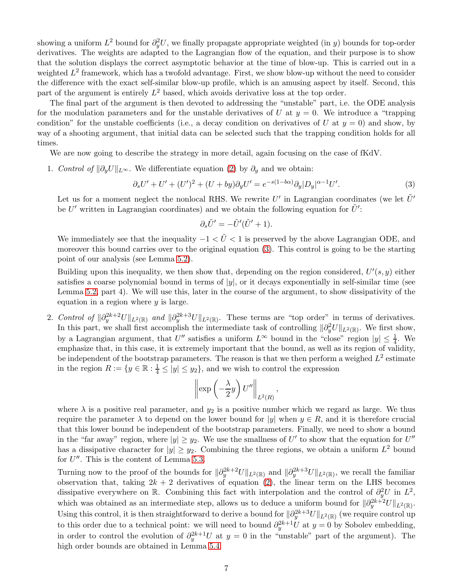showing a uniform  $L^2$  bound for  $\partial_y^2 U$ , we finally propagate appropriate weighted (in y) bounds for top-order derivatives. The weights are adapted to the Lagrangian flow of the equation, and their purpose is to show that the solution displays the correct asymptotic behavior at the time of blow-up. This is carried out in a weighted  $L^2$  framework, which has a twofold advantage. First, we show blow-up without the need to consider the difference with the exact self-similar blow-up profile, which is an amusing aspect by itself. Second, this part of the argument is entirely  $L^2$  based, which avoids derivative loss at the top order.

The final part of the argument is then devoted to addressing the "unstable" part, i.e. the ODE analysis for the modulation parameters and for the unstable derivatives of U at  $y = 0$ . We introduce a "trapping" condition" for the unstable coefficients (i.e., a decay condition on derivatives of U at  $y = 0$ ) and show, by way of a shooting argument, that initial data can be selected such that the trapping condition holds for all times.

We are now going to describe the strategy in more detail, again focusing on the case of fKdV.

1. Control of  $\|\partial_y U\|_{L^{\infty}}$ . We differentiate equation [\(2\)](#page-5-1) by  $\partial_y$  and we obtain:

$$
\partial_s U' + U' + (U')^2 + (U + by)\partial_y U' = e^{-s(1 - b\alpha)}\partial_y |D_y|^{\alpha - 1} U'.\tag{3}
$$

Let us for a moment neglect the nonlocal RHS. We rewrite  $U'$  in Lagrangian coordinates (we let  $\tilde{U}'$ be U' written in Lagrangian coordinates) and we obtain the following equation for  $\tilde{U}'$ :

<span id="page-6-0"></span>
$$
\partial_s \tilde{U}' = -\tilde{U}'(\tilde{U}' + 1).
$$

We immediately see that the inequality  $-1 < \tilde{U} < 1$  is preserved by the above Lagrangian ODE, and moreover this bound carries over to the original equation [\(3\)](#page-6-0). This control is going to be the starting point of our analysis (see Lemma [5.2\)](#page-26-0).

Building upon this inequality, we then show that, depending on the region considered,  $U'(s, y)$  either satisfies a coarse polynomial bound in terms of  $|y|$ , or it decays exponentially in self-similar time (see Lemma [5.2,](#page-26-0) part 4). We will use this, later in the course of the argument, to show dissipativity of the equation in a region where  $y$  is large.

2. Control of  $\|\partial_y^{2k+2}U\|_{L^2(\mathbb{R})}$  and  $\|\partial_y^{2k+3}U\|_{L^2(\mathbb{R})}$ . These terms are "top order" in terms of derivatives. In this part, we shall first accomplish the intermediate task of controlling  $\|\partial_y^2 U\|_{L^2(\mathbb{R})}$ . We first show, by a Lagrangian argument, that  $U''$  satisfies a uniform  $L^{\infty}$  bound in the "close" region  $|y| \leq \frac{1}{4}$ . We emphasize that, in this case, it is extremely important that the bound, as well as its region of validity, be independent of the bootstrap parameters. The reason is that we then perform a weighed  $L^2$  estimate in the region  $R := \{y \in \mathbb{R} : \frac{1}{4} \le |y| \le y_2\}$ , and we wish to control the expression

$$
\left\|\exp\left(-\frac{\lambda}{2}y\right)U''\right\|_{L^2(R)}
$$

,

where  $\lambda$  is a positive real parameter, and  $y_2$  is a positive number which we regard as large. We thus require the parameter  $\lambda$  to depend on the lower bound for |y| when  $y \in R$ , and it is therefore crucial that this lower bound be independent of the bootstrap parameters. Finally, we need to show a bound in the "far away" region, where  $|y| \ge y_2$ . We use the smallness of U' to show that the equation for U'' has a dissipative character for  $|y| \ge y_2$ . Combining the three regions, we obtain a uniform  $L^2$  bound for  $U''$ . This is the content of Lemma [5.3.](#page-31-0)

Turning now to the proof of the bounds for  $\|\partial_y^{2k+2}U\|_{L^2(\mathbb{R})}$  and  $\|\partial_y^{2k+3}U\|_{L^2(\mathbb{R})}$ , we recall the familiar observation that, taking  $2k + 2$  derivatives of equation [\(2\)](#page-5-1), the linear term on the LHS becomes dissipative everywhere on R. Combining this fact with interpolation and the control of  $\partial_y^2 U$  in  $L^2$ , which was obtained as an intermediate step, allows us to deduce a uniform bound for  $\|\partial_y^{2k+2}U\|_{L^2(\mathbb{R})}$ . Using this control, it is then straightforward to derive a bound for  $\|\partial_y^{2k+3}U\|_{L^2(\mathbb{R})}$  (we require control up to this order due to a technical point: we will need to bound  $\partial_y^{2k+1}U$  at  $y=0$  by Sobolev embedding, in order to control the evolution of  $\partial_y^{2k+1}U$  at  $y=0$  in the "unstable" part of the argument). The high order bounds are obtained in Lemma [5.4.](#page-33-0)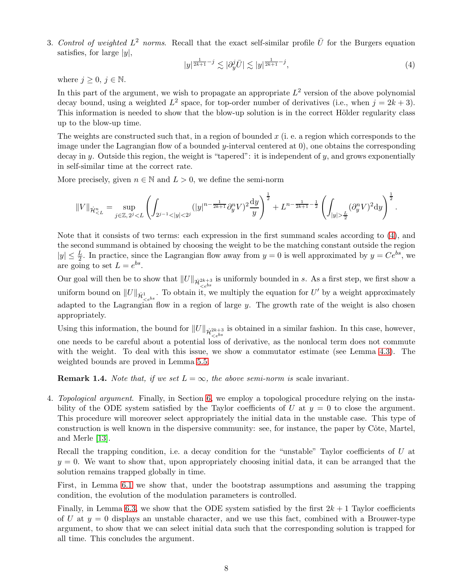3. Control of weighted  $L^2$  norms. Recall that the exact self-similar profile  $\bar{U}$  for the Burgers equation satisfies, for large  $|y|$ ,

<span id="page-7-0"></span>
$$
|y|^{\frac{1}{2k+1}-j} \lesssim |\partial_y^j \bar{U}| \lesssim |y|^{\frac{1}{2k+1}-j},\tag{4}
$$

where  $j \geq 0, j \in \mathbb{N}$ .

In this part of the argument, we wish to propagate an appropriate  $L^2$  version of the above polynomial decay bound, using a weighted  $L^2$  space, for top-order number of derivatives (i.e., when  $j = 2k + 3$ ). This information is needed to show that the blow-up solution is in the correct Hölder regularity class up to the blow-up time.

The weights are constructed such that, in a region of bounded  $x$  (i. e. a region which corresponds to the image under the Lagrangian flow of a bounded  $y$ -interval centered at  $(0)$ , one obtains the corresponding decay in y. Outside this region, the weight is "tapered": it is independent of y, and grows exponentially in self-similar time at the correct rate.

More precisely, given  $n \in \mathbb{N}$  and  $L > 0$ , we define the semi-norm

$$
||V||_{\dot{\mathcal{H}}^n_{ \frac{L}{2}} (\partial_y^n V)^2 dy \right)^{\frac{1}{2}}.
$$

Note that it consists of two terms: each expression in the first summand scales according to [\(4\)](#page-7-0), and the second summand is obtained by choosing the weight to be the matching constant outside the region  $|y| \leq \frac{L}{2}$ . In practice, since the Lagrangian flow away from  $y = 0$  is well approximated by  $y = Ce^{bs}$ , we are going to set  $L = e^{bs}$ .

Our goal will then be to show that  $||U||_{\dot{\mathcal{H}}_{\leq e^{bs}}^{2k+3}}$  is uniformly bounded in s. As a first step, we first show a uniform bound on  $||U||_{\dot{\mathcal{H}}^1_{\leq e^{bs}}}$ . To obtain it, we multiply the equation for  $U'$  by a weight approximately adapted to the Lagrangian flow in a region of large  $y$ . The growth rate of the weight is also chosen appropriately.

Using this information, the bound for  $||U||_{\dot{\mathcal{H}}_{\leq e^{bs}}^{2k+3}}$  is obtained in a similar fashion. In this case, however, one needs to be careful about a potential loss of derivative, as the nonlocal term does not commute with the weight. To deal with this issue, we show a commutator estimate (see Lemma [4.3\)](#page-21-0). The weighted bounds are proved in Lemma [5.5.](#page-34-0)

**Remark 1.4.** Note that, if we set  $L = \infty$ , the above semi-norm is scale invariant.

4. Topological argument. Finally, in Section [6,](#page-38-0) we employ a topological procedure relying on the instability of the ODE system satisfied by the Taylor coefficients of U at  $y = 0$  to close the argument. This procedure will moreover select appropriately the initial data in the unstable case. This type of construction is well known in the dispersive community: see, for instance, the paper by Côte, Martel, and Merle [\[13\]](#page-41-19).

Recall the trapping condition, i.e. a decay condition for the "unstable" Taylor coefficients of U at  $y = 0$ . We want to show that, upon appropriately choosing initial data, it can be arranged that the solution remains trapped globally in time.

First, in Lemma [6.1](#page-38-1) we show that, under the bootstrap assumptions and assuming the trapping condition, the evolution of the modulation parameters is controlled.

Finally, in Lemma [6.3,](#page-39-0) we show that the ODE system satisfied by the first  $2k + 1$  Taylor coefficients of U at  $y = 0$  displays an unstable character, and we use this fact, combined with a Brouwer-type argument, to show that we can select initial data such that the corresponding solution is trapped for all time. This concludes the argument.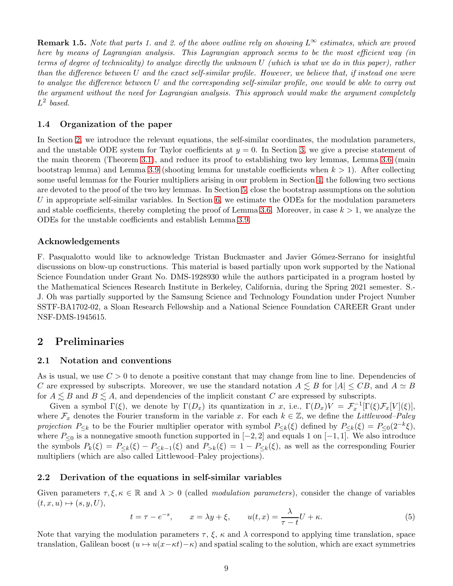**Remark 1.5.** Note that parts 1. and 2. of the above outline rely on showing  $L^{\infty}$  estimates, which are proved here by means of Lagrangian analysis. This Lagrangian approach seems to be the most efficient way (in terms of degree of technicality) to analyze directly the unknown U (which is what we do in this paper), rather than the difference between U and the exact self-similar profile. However, we believe that, if instead one were to analyze the difference between U and the corresponding self-similar profile, one would be able to carry out the argument without the need for Lagrangian analysis. This approach would make the argument completely  $L^2$  based.

#### 1.4 Organization of the paper

In Section [2,](#page-8-1) we introduce the relevant equations, the self-similar coordinates, the modulation parameters, and the unstable ODE system for Taylor coefficients at  $y = 0$ . In Section [3,](#page-13-0) we give a precise statement of the main theorem (Theorem [3.1\)](#page-14-0), and reduce its proof to establishing two key lemmas, Lemma [3.6](#page-16-0) (main bootstrap lemma) and Lemma [3.9](#page-17-0) (shooting lemma for unstable coefficients when  $k > 1$ ). After collecting some useful lemmas for the Fourier multipliers arising in our problem in Section [4,](#page-19-0) the following two sections are devoted to the proof of the two key lemmas. In Section [5,](#page-25-0) close the bootstrap assumptions on the solution U in appropriate self-similar variables. In Section  $6$ , we estimate the ODEs for the modulation parameters and stable coefficients, thereby completing the proof of Lemma [3.6.](#page-16-0) Moreover, in case  $k > 1$ , we analyze the ODEs for the unstable coefficients and establish Lemma [3.9.](#page-17-0)

#### Acknowledgements

F. Pasqualotto would like to acknowledge Tristan Buckmaster and Javier Gómez-Serrano for insightful discussions on blow-up constructions. This material is based partially upon work supported by the National Science Foundation under Grant No. DMS-1928930 while the authors participated in a program hosted by the Mathematical Sciences Research Institute in Berkeley, California, during the Spring 2021 semester. S.- J. Oh was partially supported by the Samsung Science and Technology Foundation under Project Number SSTF-BA1702-02, a Sloan Research Fellowship and a National Science Foundation CAREER Grant under NSF-DMS-1945615.

# <span id="page-8-1"></span>2 Preliminaries

#### 2.1 Notation and conventions

As is usual, we use  $C > 0$  to denote a positive constant that may change from line to line. Dependencies of C are expressed by subscripts. Moreover, we use the standard notation  $A \leq B$  for  $|A| \leq CB$ , and  $A \simeq B$ for  $A \leq B$  and  $B \leq A$ , and dependencies of the implicit constant C are expressed by subscripts.

Given a symbol  $\Gamma(\xi)$ , we denote by  $\Gamma(D_x)$  its quantization in x, i.e.,  $\Gamma(D_x)V = \mathcal{F}_x^{-1}[\Gamma(\xi)\mathcal{F}_x[V](\xi)],$ where  $\mathcal{F}_x$  denotes the Fourier transform in the variable x. For each  $k \in \mathbb{Z}$ , we define the Littlewood–Paley projection  $P_{\leq k}$  to be the Fourier multiplier operator with symbol  $P_{\leq k}(\xi)$  defined by  $P_{\leq k}(\xi) = P_{\leq 0}(2^{-k}\xi)$ , where  $P_{\leq 0}$  is a nonnegative smooth function supported in  $[-2, 2]$  and equals 1 on  $[-1, 1]$ . We also introduce the symbols  $P_k(\xi) = P_{\leq k}(\xi) - P_{\leq k-1}(\xi)$  and  $P_{>k}(\xi) = 1 - P_{\leq k}(\xi)$ , as well as the corresponding Fourier multipliers (which are also called Littlewood–Paley projections).

#### <span id="page-8-0"></span>2.2 Derivation of the equations in self-similar variables

Given parameters  $\tau, \xi, \kappa \in \mathbb{R}$  and  $\lambda > 0$  (called *modulation parameters*), consider the change of variables  $(t, x, u) \mapsto (s, y, U),$ 

<span id="page-8-2"></span>
$$
t = \tau - e^{-s}, \qquad x = \lambda y + \xi, \qquad u(t, x) = \frac{\lambda}{\tau - t} U + \kappa. \tag{5}
$$

Note that varying the modulation parameters  $\tau$ ,  $\xi$ ,  $\kappa$  and  $\lambda$  correspond to applying time translation, space translation, Galilean boost  $(u \mapsto u(x-\kappa t)-\kappa)$  and spatial scaling to the solution, which are exact symmetries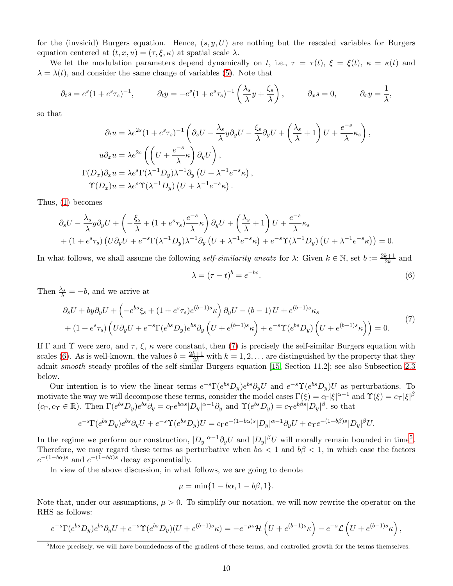for the (invsicid) Burgers equation. Hence,  $(s, y, U)$  are nothing but the rescaled variables for Burgers equation centered at  $(t, x, u) = (\tau, \xi, \kappa)$  at spatial scale  $\lambda$ .

We let the modulation parameters depend dynamically on t, i.e.,  $\tau = \tau(t)$ ,  $\xi = \xi(t)$ ,  $\kappa = \kappa(t)$  and  $\lambda = \lambda(t)$ , and consider the same change of variables [\(5\)](#page-8-2). Note that

$$
\partial_t s = e^s (1 + e^s \tau_s)^{-1}, \qquad \partial_t y = -e^s (1 + e^s \tau_s)^{-1} \left( \frac{\lambda_s}{\lambda} y + \frac{\xi_s}{\lambda} \right), \qquad \partial_x s = 0, \qquad \partial_x y = \frac{1}{\lambda},
$$

so that

$$
\partial_t u = \lambda e^{2s} (1 + e^s \tau_s)^{-1} \left( \partial_s U - \frac{\lambda_s}{\lambda} y \partial_y U - \frac{\xi_s}{\lambda} \partial_y U + \left( \frac{\lambda_s}{\lambda} + 1 \right) U + \frac{e^{-s}}{\lambda} \kappa_s \right),
$$
  
\n
$$
u \partial_x u = \lambda e^{2s} \left( \left( U + \frac{e^{-s}}{\lambda} \kappa \right) \partial_y U \right),
$$
  
\n
$$
\Gamma(D_x) \partial_x u = \lambda e^s \Gamma(\lambda^{-1} D_y) \lambda^{-1} \partial_y \left( U + \lambda^{-1} e^{-s} \kappa \right),
$$
  
\n
$$
\Upsilon(D_x) u = \lambda e^s \Upsilon(\lambda^{-1} D_y) \left( U + \lambda^{-1} e^{-s} \kappa \right).
$$

Thus, [\(1\)](#page-2-0) becomes

$$
\partial_s U - \frac{\lambda_s}{\lambda} y \partial_y U + \left( -\frac{\xi_s}{\lambda} + (1 + e^s \tau_s) \frac{e^{-s}}{\lambda} \kappa \right) \partial_y U + \left( \frac{\lambda_s}{\lambda} + 1 \right) U + \frac{e^{-s}}{\lambda} \kappa_s
$$
  
+ 
$$
(1 + e^s \tau_s) \left( U \partial_y U + e^{-s} \Gamma(\lambda^{-1} D_y) \lambda^{-1} \partial_y \left( U + \lambda^{-1} e^{-s} \kappa \right) + e^{-s} \Upsilon(\lambda^{-1} D_y) \left( U + \lambda^{-1} e^{-s} \kappa \right) \right) = 0.
$$

In what follows, we shall assume the following *self-similarity ansatz* for  $\lambda$ : Given  $k \in \mathbb{N}$ , set  $b := \frac{2k+1}{2k}$  and

<span id="page-9-1"></span><span id="page-9-0"></span>
$$
\lambda = (\tau - t)^b = e^{-bs}.\tag{6}
$$

Then  $\frac{\lambda_s}{\lambda} = -b$ , and we arrive at

$$
\partial_s U + by \partial_y U + \left( -e^{bs} \xi_s + (1 + e^s \tau_s) e^{(b-1)s} \kappa \right) \partial_y U - (b-1) U + e^{(b-1)s} \kappa_s \n+ (1 + e^s \tau_s) \left( U \partial_y U + e^{-s} \Gamma(e^{bs} D_y) e^{bs} \partial_y \left( U + e^{(b-1)s} \kappa \right) + e^{-s} \Upsilon(e^{bs} D_y) \left( U + e^{(b-1)s} \kappa \right) \right) = 0.
$$
\n(7)

If  $\Gamma$  and  $\Upsilon$  were zero, and  $\tau$ ,  $\xi$ ,  $\kappa$  were constant, then [\(7\)](#page-9-0) is precisely the self-similar Burgers equation with scales [\(6\)](#page-9-1). As is well-known, the values  $b = \frac{2k+1}{2k}$  with  $k = 1, 2, \ldots$  are distinguished by the property that they admit smooth steady profiles of the self-similar Burgers equation [\[15,](#page-41-6) Section 11.2]; see also Subsection [2.3](#page-10-0) below.

Our intention is to view the linear terms  $e^{-s}\Gamma(e^{bs}D_y)e^{bs}\partial_yU$  and  $e^{-s}\Upsilon(e^{bs}D_y)U$  as perturbations. To motivate the way we will decompose these terms, consider the model cases  $\Gamma(\xi) = c_{\Gamma} |\xi|^{\alpha-1}$  and  $\Upsilon(\xi) = c_{\Upsilon} |\xi|^{\beta}$  $(c_{\Gamma}, c_{\Upsilon} \in \mathbb{R})$ . Then  $\Gamma(e^{bs}D_y)e^{bs}\partial_y = c_{\Gamma}e^{b\alpha s}|D_y|^{\alpha-1}\partial_y$  and  $\Upsilon(e^{bs}D_y) = c_{\Upsilon}e^{b\beta s}|D_y|^{\beta}$ , so that

$$
e^{-s}\Gamma(e^{bs}D_y)e^{bs}\partial_y U + e^{-s}\Upsilon(e^{bs}D_y)U = c_\Gamma e^{-(1-b\alpha)s}|D_y|^{\alpha-1}\partial_y U + c_\Upsilon e^{-(1-b\beta)s}|D_y|^{\beta}U.
$$

In the regime we perform our construction,  $|D_y|^{\alpha-1}\partial_y U$  and  $|D_y|^{\beta}U$  will morally remain bounded in time<sup>[5](#page-9-2)</sup>. Therefore, we may regard these terms as perturbative when  $b\alpha < 1$  and  $b\beta < 1$ , in which case the factors  $e^{-(1-b\alpha)s}$  and  $e^{-(1-b\beta)s}$  decay exponentially.

In view of the above discussion, in what follows, we are going to denote

$$
\mu = \min\{1 - b\alpha, 1 - b\beta, 1\}.
$$

Note that, under our assumptions,  $\mu > 0$ . To simplify our notation, we will now rewrite the operator on the RHS as follows:

$$
e^{-s}\Gamma(e^{bs}D_y)e^{bs}\partial_y U + e^{-s}\Upsilon(e^{bs}D_y)(U + e^{(b-1)s}\kappa) = -e^{-\mu s}\mathcal{H}\left(U + e^{(b-1)s}\kappa\right) - e^{-s}\mathcal{L}\left(U + e^{(b-1)s}\kappa\right),
$$

<span id="page-9-2"></span> ${}^{5}$ More precisely, we will have boundedness of the gradient of these terms, and controlled growth for the terms themselves.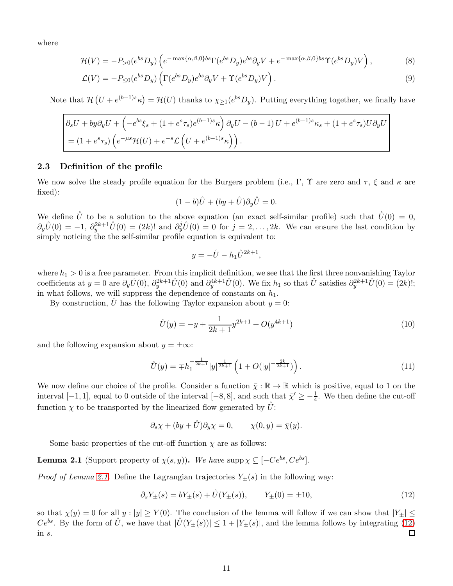where

$$
\mathcal{H}(V) = -P_{>0}(e^{bs}D_y)\left(e^{-\max\{\alpha,\beta,0\}bs}\Gamma(e^{bs}D_y)e^{bs}\partial_yV + e^{-\max\{\alpha,\beta,0\}bs}\Upsilon(e^{bs}D_y)V\right),\tag{8}
$$

$$
\mathcal{L}(V) = -P_{\leq 0}(e^{bs}D_y)\left(\Gamma(e^{bs}D_y)e^{bs}\partial_y V + \Upsilon(e^{bs}D_y)V\right). \tag{9}
$$

Note that  $\mathcal{H}(U + e^{(b-1)s}\kappa) = \mathcal{H}(U)$  thanks to  $\chi_{\geq 1}(e^{bs}D_y)$ . Putting everything together, we finally have

$$
\begin{aligned} \left(\partial_s U + by \partial_y U + \left(-e^{bs}\xi_s + (1+e^s\tau_s)e^{(b-1)s}\kappa\right)\partial_y U - (b-1)U + e^{(b-1)s}\kappa_s + (1+e^s\tau_s)U\partial_y U\right) \\ &= (1+e^s\tau_s)\left(e^{-\mu s}\mathcal{H}(U) + e^{-s}\mathcal{L}\left(U + e^{(b-1)s}\kappa\right)\right). \end{aligned}
$$

#### <span id="page-10-0"></span>2.3 Definition of the profile

We now solve the steady profile equation for the Burgers problem (i.e., Γ, Υ are zero and τ, ξ and κ are fixed):

<span id="page-10-6"></span><span id="page-10-5"></span>
$$
(1-b)\mathring{U} + (by + \mathring{U})\partial_y \mathring{U} = 0.
$$

We define U<sup>i</sup> to be a solution to the above equation (an exact self-similar profile) such that  $\tilde{U}(0) = 0$ ,  $\partial_y \mathring{U}(0) = -1$ ,  $\partial_y^{2k+1} \mathring{U}(0) = (2k)!$  and  $\partial_y^j \mathring{U}(0) = 0$  for  $j = 2, \ldots, 2k$ . We can ensure the last condition by simply noticing the the self-similar profile equation is equivalent to:

<span id="page-10-4"></span><span id="page-10-3"></span>
$$
y = -\mathring{U} - h_1 \mathring{U}^{2k+1},
$$

where  $h_1 > 0$  is a free parameter. From this implicit definition, we see that the first three nonvanishing Taylor coefficients at  $y = 0$  are  $\partial_y \mathring{U}(0)$ ,  $\partial_y^{2k+1} \mathring{U}(0)$  and  $\partial_y^{4k+1} \mathring{U}(0)$ . We fix  $h_1$  so that  $\mathring{U}$  satisfies  $\partial_y^{2k+1} \mathring{U}(0) = (2k)!$ ; in what follows, we will suppress the dependence of constants on  $h_1$ .

By construction, U has the following Taylor expansion about  $y = 0$ :

$$
\mathring{U}(y) = -y + \frac{1}{2k+1}y^{2k+1} + O(y^{4k+1})
$$
\n(10)

and the following expansion about  $y = \pm \infty$ :

$$
\mathring{U}(y) = \mp h_1^{-\frac{1}{2k+1}} |y|^{\frac{1}{2k+1}} \left( 1 + O(|y|^{-\frac{2k}{2k+1}}) \right). \tag{11}
$$

We now define our choice of the profile. Consider a function  $\bar{\chi} : \mathbb{R} \to \mathbb{R}$  which is positive, equal to 1 on the interval  $[-1, 1]$ , equal to 0 outside of the interval  $[-8, 8]$ , and such that  $\bar{\chi}' \geq -\frac{1}{4}$ . We then define the cut-off function  $\chi$  to be transported by the linearized flow generated by  $\tilde{U}$ :

$$
\partial_s \chi + (by + \mathring{U}) \partial_y \chi = 0, \qquad \chi(0, y) = \bar{\chi}(y).
$$

Some basic properties of the cut-off function  $\chi$  are as follows:

<span id="page-10-1"></span>**Lemma 2.1** (Support property of  $\chi(s, y)$ ). We have supp $\chi \subseteq [-Ce^{bs}, Ce^{bs}]$ .

*Proof of Lemma [2.1.](#page-10-1)* Define the Lagrangian trajectories  $Y_{\pm}(s)$  in the following way:

<span id="page-10-2"></span>
$$
\partial_s Y_{\pm}(s) = bY_{\pm}(s) + \mathring{U}(Y_{\pm}(s)), \qquad Y_{\pm}(0) = \pm 10,
$$
\n(12)

so that  $\chi(y) = 0$  for all  $y : |y| \geq Y(0)$ . The conclusion of the lemma will follow if we can show that  $|Y_+|$  $Ce^{bs}$ . By the form of U<sup>i</sup>, we have that  $|\tilde{U}(Y_{\pm}(s))| \leq 1 + |Y_{\pm}(s)|$ , and the lemma follows by integrating [\(12\)](#page-10-2) in s.  $\Box$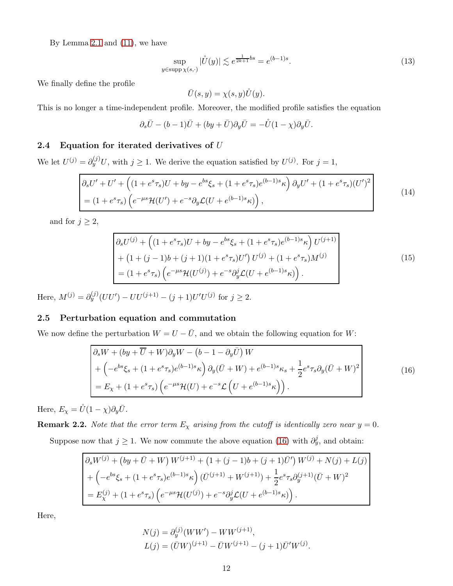By Lemma [2.1](#page-10-1) and [\(11\)](#page-10-3), we have

$$
\sup_{y \in \text{supp}\,\chi(s,\cdot)} |\mathring{U}(y)| \lesssim e^{\frac{1}{2k+1}bs} = e^{(b-1)s}.\tag{13}
$$

We finally define the profile

<span id="page-11-3"></span><span id="page-11-2"></span><span id="page-11-1"></span>
$$
\bar{U}(s,y) = \chi(s,y)\mathring{U}(y).
$$

This is no longer a time-independent profile. Moreover, the modified profile satisfies the equation

$$
\partial_s \bar{U} - (b-1)\bar{U} + (by + \bar{U})\partial_y \bar{U} = -\mathring{U}(1-\chi)\partial_y \bar{U}.
$$

### 2.4 Equation for iterated derivatives of U

We let  $U^{(j)} = \partial_y^{(j)} U$ , with  $j \ge 1$ . We derive the equation satisfied by  $U^{(j)}$ . For  $j = 1$ ,

$$
\begin{aligned}\n\left| \partial_s U' + U' + \left( (1 + e^s \tau_s) U + by - e^{bs} \xi_s + (1 + e^s \tau_s) e^{(b-1)s} \kappa \right) \partial_y U' + (1 + e^s \tau_s) (U')^2 \right| \\
&= (1 + e^s \tau_s) \left( e^{-\mu s} \mathcal{H}(U') + e^{-s} \partial_y \mathcal{L}(U + e^{(b-1)s} \kappa) \right),\n\end{aligned} \tag{14}
$$

and for  $j \geq 2$ ,

$$
\partial_s U^{(j)} + \left( (1 + e^s \tau_s) U + by - e^{bs} \xi_s + (1 + e^s \tau_s) e^{(b-1)s} \kappa \right) U^{(j+1)} + (1 + (j-1)b + (j+1)(1 + e^s \tau_s) U') U^{(j)} + (1 + e^s \tau_s) M^{(j)} \n= (1 + e^s \tau_s) \left( e^{-\mu s} \mathcal{H}(U^{(j)}) + e^{-s} \partial_y^j \mathcal{L}(U + e^{(b-1)s} \kappa) \right).
$$
\n(15)

Here,  $M^{(j)} = \partial_y^{(j)}(UU') - UU^{(j+1)} - (j+1)U'U^{(j)}$  for  $j \ge 2$ .

### 2.5 Perturbation equation and commutation

We now define the perturbation  $W = U - \overline{U}$ , and we obtain the following equation for W:

$$
\begin{aligned}\n\left| \partial_s W + (by + \overline{U} + W) \partial_y W - (b - 1 - \partial_y \overline{U}) W \\
+ \left( -e^{bs} \xi_s + (1 + e^s \tau_s) e^{(b-1)s} \kappa \right) \partial_y (\overline{U} + W) + e^{(b-1)s} \kappa_s + \frac{1}{2} e^s \tau_s \partial_y (\overline{U} + W)^2 \\
&= E_\chi + (1 + e^s \tau_s) \left( e^{-\mu s} \mathcal{H}(U) + e^{-s} \mathcal{L} \left( U + e^{(b-1)s} \kappa \right) \right).\n\end{aligned} \tag{16}
$$

Here,  $E_{\chi} = \mathring{U}(1 - \chi)\partial_y \bar{U}$ .

**Remark 2.2.** Note that the error term  $E<sub>X</sub>$  arising from the cutoff is identically zero near  $y = 0$ .

Suppose now that  $j \geq 1$ . We now commute the above equation [\(16\)](#page-11-0) with  $\partial_y^j$ , and obtain:

$$
\begin{aligned}\n\left(\partial_s W^{(j)} + \left(by + \bar{U} + W\right)W^{(j+1)} + \left(1 + (j-1)b + (j+1)\bar{U}'\right)W^{(j)} + N(j) + L(j) \\
&+ \left(-e^{bs}\xi_s + (1 + e^s\tau_s)e^{(b-1)s}\kappa\right)\left(\bar{U}^{(j+1)} + W^{(j+1)}\right) + \frac{1}{2}e^s\tau_s\partial_y^{(j+1)}(\bar{U} + W)^2 \\
&= E_\chi^{(j)} + (1 + e^s\tau_s)\left(e^{-\mu s}\mathcal{H}(U^{(j)}) + e^{-s}\partial_y^j\mathcal{L}(U + e^{(b-1)s}\kappa)\right).\n\end{aligned}\right.
$$

Here,

<span id="page-11-0"></span>
$$
N(j) = \partial_y^{(j)}(WW') - WW^{(j+1)},
$$
  
\n
$$
L(j) = (\bar{U}W)^{(j+1)} - \bar{U}W^{(j+1)} - (j+1)\bar{U}'W^{(j)}.
$$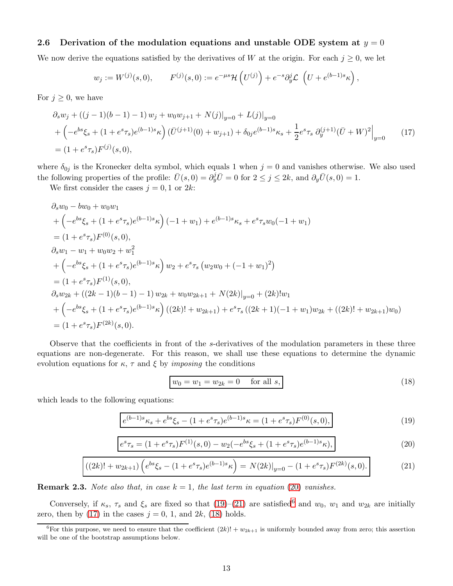### 2.6 Derivation of the modulation equations and unstable ODE system at  $y = 0$

We now derive the equations satisfied by the derivatives of W at the origin. For each  $j \geq 0$ , we let

$$
w_j := W^{(j)}(s,0), \qquad F^{(j)}(s,0) := e^{-\mu s} \mathcal{H}(U^{(j)}) + e^{-s} \partial_y^j \mathcal{L}(U + e^{(b-1)s} \kappa)
$$

For  $j \geq 0$ , we have

$$
\partial_s w_j + ((j-1)(b-1) - 1) w_j + w_0 w_{j+1} + N(j)|_{y=0} + L(j)|_{y=0}
$$
  
+ 
$$
\left( -e^{bs} \xi_s + (1 + e^s \tau_s) e^{(b-1)s} \kappa \right) (\bar{U}^{(j+1)}(0) + w_{j+1}) + \delta_{0j} e^{(b-1)s} \kappa_s + \frac{1}{2} e^s \tau_s \partial_y^{(j+1)} (\bar{U} + W)^2 \Big|_{y=0}
$$
(17)  
= 
$$
(1 + e^s \tau_s) F^{(j)}(s, 0),
$$

where  $\delta_{0j}$  is the Kronecker delta symbol, which equals 1 when  $j = 0$  and vanishes otherwise. We also used the following properties of the profile:  $\bar{U}(s, 0) = \partial_y^j \bar{U} = 0$  for  $2 \le j \le 2k$ , and  $\partial_y \bar{U}(s, 0) = 1$ .

We first consider the cases  $j = 0, 1$  or  $2k$ :

$$
\partial_s w_0 - bw_0 + w_0 w_1
$$
  
+  $\left(-e^{bs}\xi_s + (1 + e^s\tau_s)e^{(b-1)s}\kappa\right)(-1 + w_1) + e^{(b-1)s}\kappa_s + e^s\tau_s w_0(-1 + w_1)$   
=  $(1 + e^s\tau_s)F^{(0)}(s, 0),$   
 $\partial_s w_1 - w_1 + w_0 w_2 + w_1^2$   
+  $\left(-e^{bs}\xi_s + (1 + e^s\tau_s)e^{(b-1)s}\kappa\right) w_2 + e^s\tau_s \left(w_2 w_0 + (-1 + w_1)^2\right)$   
=  $(1 + e^s\tau_s)F^{(1)}(s, 0),$   
 $\partial_s w_{2k} + ((2k - 1)(b - 1) - 1) w_{2k} + w_0 w_{2k+1} + N(2k)|_{y=0} + (2k)!w_1$   
+  $\left(-e^{bs}\xi_s + (1 + e^s\tau_s)e^{(b-1)s}\kappa\right)((2k)! + w_{2k+1}) + e^s\tau_s ((2k + 1)(-1 + w_1)w_{2k} + ((2k)! + w_{2k+1})w_0)$   
=  $(1 + e^s\tau_s)F^{(2k)}(s, 0).$ 

Observe that the coefficients in front of the s-derivatives of the modulation parameters in these three equations are non-degenerate. For this reason, we shall use these equations to determine the dynamic evolution equations for  $\kappa$ ,  $\tau$  and  $\xi$  by *imposing* the conditions

<span id="page-12-5"></span><span id="page-12-2"></span><span id="page-12-1"></span><span id="page-12-0"></span>
$$
w_0 = w_1 = w_{2k} = 0 \quad \text{for all } s,
$$
\n(18)

<span id="page-12-4"></span>,

which leads to the following equations:

$$
e^{(b-1)s}\kappa_s + e^{bs}\xi_s - (1 + e^s\tau_s)e^{(b-1)s}\kappa = (1 + e^s\tau_s)F^{(0)}(s,0),\tag{19}
$$

$$
e^{s}\tau_{s} = (1 + e^{s}\tau_{s})F^{(1)}(s,0) - w_{2}(-e^{bs}\xi_{s} + (1 + e^{s}\tau_{s})e^{(b-1)s}\kappa), \tag{20}
$$

$$
((2k)! + w_{2k+1})\left(e^{bs}\xi_s - (1 + e^s\tau_s)e^{(b-1)s}\kappa\right) = N(2k)|_{y=0} - (1 + e^s\tau_s)F^{(2k)}(s,0). \tag{21}
$$

**Remark 2.3.** Note also that, in case  $k = 1$ , the last term in equation [\(20\)](#page-12-0) vanishes.

Conversely, if  $\kappa_s$ ,  $\tau_s$  and  $\xi_s$  are fixed so that [\(19\)](#page-12-1)–[\(21\)](#page-12-2) are satisfied<sup>[6](#page-12-3)</sup> and  $w_0$ ,  $w_1$  and  $w_{2k}$  are initially zero, then by [\(17\)](#page-12-4) in the cases  $j = 0, 1$ , and  $2k$ , [\(18\)](#page-12-5) holds.

<span id="page-12-3"></span><sup>&</sup>lt;sup>6</sup>For this purpose, we need to ensure that the coefficient  $(2k)! + w_{2k+1}$  is uniformly bounded away from zero; this assertion will be one of the bootstrap assumptions below.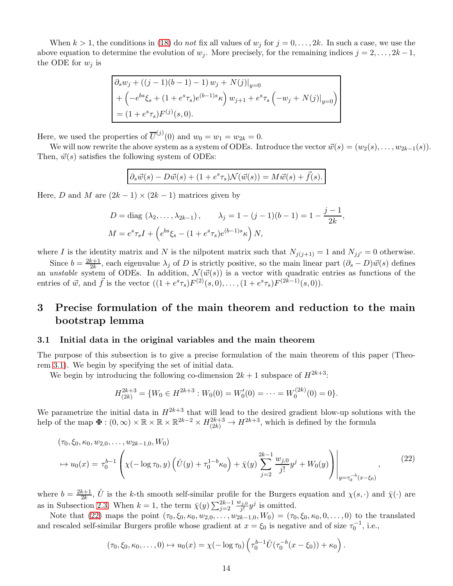When  $k > 1$ , the conditions in [\(18\)](#page-12-5) do not fix all values of  $w_j$  for  $j = 0, \ldots, 2k$ . In such a case, we use the above equation to determine the evolution of  $w_j$ . More precisely, for the remaining indices  $j = 2, \ldots, 2k-1$ , the ODE for  $w_j$  is

$$
\partial_s w_j + ((j-1)(b-1) - 1) w_j + N(j)|_{y=0}
$$
  
+  $\left(-e^{bs}\xi_s + (1 + e^s\tau_s)e^{(b-1)s}\kappa\right) w_{j+1} + e^s\tau_s \left(-w_j + N(j)|_{y=0}\right)$   
=  $(1 + e^s\tau_s)F^{(j)}(s, 0).$ 

Here, we used the properties of  $\overline{U}^{(j)}(0)$  and  $w_0 = w_1 = w_{2k} = 0$ .

We will now rewrite the above system as a system of ODEs. Introduce the vector  $\vec{w}(s) = (w_2(s), \ldots, w_{2k-1}(s)).$ Then,  $\vec{w}(s)$  satisfies the following system of ODEs:

$$
\partial_s \vec{w}(s) - D\vec{w}(s) + (1 + e^s \tau_s) \mathcal{N}(\vec{w}(s)) = M\vec{w}(s) + \vec{f}(s).
$$

Here, D and M are  $(2k-1) \times (2k-1)$  matrices given by

$$
D = \text{diag}(\lambda_2, ..., \lambda_{2k-1}), \qquad \lambda_j = 1 - (j-1)(b-1) = 1 - \frac{j-1}{2k},
$$
  

$$
M = e^s \tau_s I + \left(e^{bs} \xi_s - (1 + e^s \tau_s)e^{(b-1)s} \kappa\right) N,
$$

where I is the identity matrix and N is the nilpotent matrix such that  $N_{j(j+1)} = 1$  and  $N_{jj'} = 0$  otherwise.

Since  $b = \frac{2k+1}{2k}$  $\frac{k+1}{2k}$ , each eigenvalue  $\lambda_j$  of D is strictly positive, so the main linear part  $(\partial_s - D)\vec{w}(s)$  defines an unstable system of ODEs. In addition,  $\mathcal{N}(\vec{w}(s))$  is a vector with quadratic entries as functions of the entries of  $\vec{w}$ , and  $\vec{f}$  is the vector  $((1 + e^s \tau_s)F^{(2)}(s, 0), \ldots, (1 + e^s \tau_s)F^{(2k-1)}(s, 0)).$ 

# <span id="page-13-0"></span>3 Precise formulation of the main theorem and reduction to the main bootstrap lemma

#### 3.1 Initial data in the original variables and the main theorem

The purpose of this subsection is to give a precise formulation of the main theorem of this paper (Theorem [3.1\)](#page-14-0). We begin by specifying the set of initial data.

We begin by introducing the following co-dimension  $2k + 1$  subspace of  $H^{2k+3}$ :

<span id="page-13-1"></span>
$$
H_{(2k)}^{2k+3} = \{W_0 \in H^{2k+3} : W_0(0) = W'_0(0) = \dots = W_0^{(2k)}(0) = 0\}.
$$

We parametrize the initial data in  $H^{2k+3}$  that will lead to the desired gradient blow-up solutions with the help of the map  $\Phi: (0,\infty) \times \mathbb{R} \times \mathbb{R} \times \mathbb{R}^{2k-2} \times H_{(2k)}^{2k+3} \to H^{2k+3}$ , which is defined by the formula

$$
(\tau_0, \xi_0, \kappa_0, w_{2,0}, \dots, w_{2k-1,0}, W_0)
$$
  
\n
$$
\mapsto u_0(x) = \tau_0^{b-1} \left( \chi(-\log \tau_0, y) \left( \mathring{U}(y) + \tau_0^{1-b} \kappa_0 \right) + \bar{\chi}(y) \sum_{j=2}^{2k-1} \frac{w_{j,0}}{j!} y^j + W_0(y) \right) \Big|_{y = \tau_0^{-b}(x - \xi_0)},
$$
\n(22)

where  $b = \frac{2k+1}{2k}$  $\frac{k+1}{2k}$ ,  $\mathring{U}$  is the k-th smooth self-similar profile for the Burgers equation and  $\chi(s, \cdot)$  and  $\bar{\chi}(\cdot)$  are as in Subsection [2.3.](#page-10-0) When  $k = 1$ , the term  $\bar{\chi}(y) \sum_{j=2}^{2k-1}$  $w_{j,0}$  $y^{j}$  is omitted.

Note that [\(22\)](#page-13-1) maps the point  $(\tau_0, \xi_0, \kappa_0, w_{2,0}, \ldots, w_{2k-1,0}, W_0) = (\tau_0, \xi_0, \kappa_0, 0, \ldots, 0)$  to the translated and rescaled self-similar Burgers profile whose gradient at  $x = \xi_0$  is negative and of size  $\tau_0^{-1}$ , i.e.,

$$
(\tau_0, \xi_0, \kappa_0, \ldots, 0) \mapsto u_0(x) = \chi(-\log \tau_0) \left( \tau_0^{b-1} \mathring{U}(\tau_0^{-b}(x-\xi_0)) + \kappa_0 \right).
$$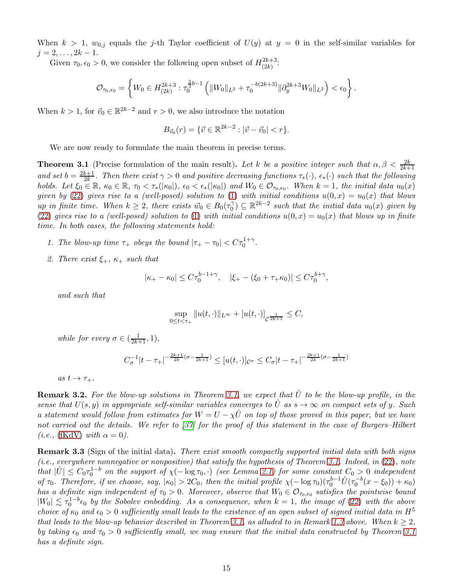When  $k > 1$ ,  $w_{0,i}$  equals the j-th Taylor coefficient of  $U(y)$  at  $y = 0$  in the self-similar variables for  $j = 2, \ldots, 2k - 1.$ 

Given  $\tau_0, \epsilon_0 > 0$ , we consider the following open subset of  $H^{2k+3}_{(2k)}$  $\frac{2k+3}{2k}$ 

$$
\mathcal{O}_{\tau_0,\epsilon_0} = \left\{ W_0 \in H^{2k+3}_{(2k)} : \tau_0^{\frac{3}{2}b-1} \left( \|W_0\|_{L^2} + \tau_0^{-b(2k+3)} \|\partial_y^{2k+3} W_0\|_{L^2} \right) < \epsilon_0 \right\}.
$$

When  $k > 1$ , for  $\vec{v}_0 \in \mathbb{R}^{2k-2}$  and  $r > 0$ , we also introduce the notation

$$
B_{\vec{v}_0}(r) = \{ \vec{v} \in \mathbb{R}^{2k-2} : |\vec{v} - \vec{v}_0| < r \}.
$$

We are now ready to formulate the main theorem in precise terms.

<span id="page-14-0"></span>**Theorem 3.1** (Precise formulation of the main result). Let k be a positive integer such that  $\alpha, \beta < \frac{2k}{2k+1}$ and set  $b = \frac{2k+1}{2k}$  $\frac{k+1}{2k}$ . Then there exist  $\gamma > 0$  and positive decreasing functions  $\tau_*(\cdot)$ ,  $\epsilon_*(\cdot)$  such that the following holds. Let  $\xi_0 \in \mathbb{R}$ ,  $\kappa_0 \in \mathbb{R}$ ,  $\tau_0 < \tau_*(|\kappa_0|)$ ,  $\epsilon_0 < \epsilon_*(|\kappa_0|)$  and  $W_0 \in \mathcal{O}_{\tau_0,\epsilon_0}$ . When  $k = 1$ , the initial data  $u_0(x)$ given by [\(22\)](#page-13-1) gives rise to a (well-posed) solution to [\(1\)](#page-2-0) with initial conditions  $u(0, x) = u_0(x)$  that blows up in finite time. When  $k \geq 2$ , there exists  $\vec{w}_0 \in B_0(\tau_0)$  $\mathcal{C}_0^{\gamma}$   $\subseteq \mathbb{R}^{2k-2}$  such that the initial data  $u_0(x)$  given by [\(22\)](#page-13-1) gives rise to a (well-posed) solution to [\(1\)](#page-2-0) with initial conditions  $u(0, x) = u_0(x)$  that blows up in finite time. In both cases, the following statements hold:

- 1. The blow-up time  $\tau_+$  obeys the bound  $|\tau_+ \tau_0| < C\tau_0^{1+\gamma}$ .
- 2. There exist  $\xi_+$ ,  $\kappa_+$  such that

$$
|\kappa_{+} - \kappa_{0}| \leq C\tau_{0}^{b-1+\gamma}, \quad |\xi_{+} - (\xi_{0} + \tau_{+}\kappa_{0})| \leq C\tau_{0}^{b+\gamma},
$$

and such that

$$
\sup_{0 \le t < \tau_+} \|u(t, \cdot)\|_{L^\infty} + [u(t, \cdot)]_{\mathcal{C}^{\frac{1}{2k+1}}} \le C,
$$

while for every  $\sigma \in (\frac{1}{2k+1}, 1)$ ,

$$
C_{\sigma}^{-1}|t-\tau_{+}|^{-\frac{2k+1}{2k}(\sigma-\frac{1}{2k+1})}\leq [u(t,\cdot)]_{\mathcal{C}^{\sigma}}\leq C_{\sigma}|t-\tau_{+}|^{-\frac{2k+1}{2k}(\sigma-\frac{1}{2k+1})}
$$

as  $t \to \tau_+$ .

**Remark 3.2.** For the blow-up solutions in Theorem [3.1,](#page-14-0) we expect that  $\hat{U}$  to be the blow-up profile, in the sense that  $U(s, y)$  in appropriate self-similar variables converges to  $\check{U}$  as  $s \to \infty$  on compact sets of y. Such a statement would follow from estimates for  $W = U - \chi \tilde{U}$  on top of those proved in this paper, but we have not carried out the details. We refer to [\[37\]](#page-42-3) for the proof of this statement in the case of Burgers–Hilbert (*i.e.*, [\(fKdV\)](#page-0-0) with  $\alpha = 0$ ).

<span id="page-14-1"></span>Remark 3.3 (Sign of the initial data). There exist smooth compactly supported initial data with both signs (i.e., everywhere nonnegative or nonpositive) that satisfy the hypothesis of Theorem [3.1.](#page-14-0) Indeed, in [\(22\)](#page-13-1), note that  $|\mathring{U}| \leq C_0 \tau_0^{1-b}$  on the support of  $\chi(-\log \tau_0, \cdot)$  (see Lemma [2.1\)](#page-10-1) for some constant  $C_0 > 0$  independent of  $\tau_0$ . Therefore, if we choose, say,  $|\kappa_0| > 2C_0$ , then the initial profile  $\chi(-\log \tau_0)(\tau_0^{b-1}\mathring{U}(\tau_0^{-b}(x-\xi_0)) + \kappa_0)$ has a definite sign independent of  $\tau_0 > 0$ . Moreover, observe that  $W_0 \in \mathcal{O}_{\tau_0,\epsilon_0}$  satisfies the pointwise bound  $|W_0| \lesssim \tau_0^{1-b} \epsilon_0$  by the Sobolev embedding. As a consequence, when  $k=1$ , the image of [\(22\)](#page-13-1) with the above choice of  $\kappa_0$  and  $\epsilon_0 > 0$  sufficiently small leads to the existence of an open subset of signed initial data in  $H^5$ that leads to the blow-up behavior described in Theorem [3.1,](#page-14-0) as alluded to in Remark [1.3](#page-3-0) above. When  $k \geq 2$ , by taking  $\epsilon_0$  and  $\tau_0 > 0$  sufficiently small, we may ensure that the initial data constructed by Theorem [3.1](#page-14-0) has a definite sign.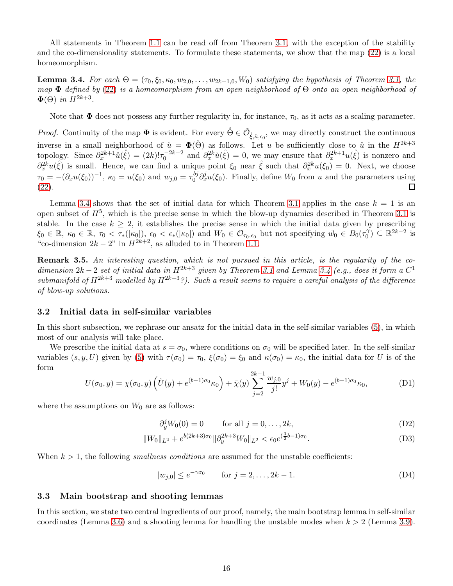All statements in Theorem [1.1](#page-3-2) can be read off from Theorem [3.1,](#page-14-0) with the exception of the stability and the co-dimensionality statements. To formulate these statements, we show that the map [\(22\)](#page-13-1) is a local homeomorphism.

<span id="page-15-0"></span>**Lemma 3.4.** For each  $\Theta = (\tau_0, \xi_0, \kappa_0, w_{2,0}, \ldots, w_{2k-1,0}, W_0)$  satisfying the hypothesis of Theorem [3.1,](#page-14-0) the map  $\Phi$  defined by [\(22\)](#page-13-1) is a homeomorphism from an open neighborhood of  $\Theta$  onto an open neighborhood of  $\Phi(\Theta)$  in  $H^{2k+3}$ .

Note that  $\Phi$  does not possess any further regularity in, for instance,  $\tau_0$ , as it acts as a scaling parameter.

*Proof.* Continuity of the map  $\Phi$  is evident. For every  $\dot{\Theta} \in \tilde{\mathcal{O}}_{\dot{\xi},\dot{\kappa},\epsilon_0}$ , we may directly construct the continuous inverse in a small neighborhood of  $\mathring{u} = \mathbf{\Phi}(\mathring{\Theta})$  as follows. Let u be sufficiently close to  $\mathring{u}$  in the  $H^{2k+3}$ topology. Since  $\partial_x^{2k+1} \mathring{u}(\mathring{\xi}) = (2k)! \tau_0^{-2k-2}$  and  $\partial_x^{2k} \mathring{u}(\mathring{\xi}) = 0$ , we may ensure that  $\partial_x^{2k+1} u(\mathring{\xi})$  is nonzero and  $\partial_x^{2k} u(\dot{\xi})$  is small. Hence, we can find a unique point  $\xi_0$  near  $\dot{\xi}$  such that  $\partial_x^{2k} u(\xi_0) = 0$ . Next, we choose  $\tau_0 = -(\partial_x u(\xi_0))^{-1}, \ \kappa_0 = u(\xi_0) \text{ and } w_{j,0} = \tau_0^{bj}$  $\partial_0^{b_j} \partial_x^j u(\xi_0)$ . Finally, define  $W_0$  from u and the parameters using [\(22\)](#page-13-1).  $\Box$ 

Lemma [3.4](#page-15-0) shows that the set of initial data for which Theorem [3.1](#page-14-0) applies in the case  $k = 1$  is an open subset of  $H^5$ , which is the precise sense in which the blow-up dynamics described in Theorem [3.1](#page-14-0) is stable. In the case  $k \geq 2$ , it establishes the precise sense in which the initial data given by prescribing  $\xi_0 \in \mathbb{R}, \ \kappa_0 \in \mathbb{R}, \ \tau_0 < \tau_*(|\kappa_0|), \ \epsilon_0 < \epsilon_*(|\kappa_0|)$  and  $W_0 \in \mathcal{O}_{\tau_0,\epsilon_0}$  but not specifying  $\vec{w}_0 \in B_0(\tau_0^{\gamma})$  $\binom{1}{0}$   $\subseteq \mathbb{R}^{2k-2}$  is "co-dimension  $2k - 2$ " in  $H^{2k+2}$ , as alluded to in Theorem [1.1.](#page-3-2)

Remark 3.5. An interesting question, which is not pursued in this article, is the regularity of the codimension  $2k-2$  set of initial data in  $H^{2k+3}$  given by Theorem [3.1](#page-14-0) and Lemma [3.4](#page-15-0) (e.g., does it form a  $C^1$ submanifold of  $H^{2k+3}$  modelled by  $H^{2k+3}$ ?). Such a result seems to require a careful analysis of the difference of blow-up solutions.

#### <span id="page-15-1"></span>3.2 Initial data in self-similar variables

In this short subsection, we rephrase our ansatz for the initial data in the self-similar variables [\(5\)](#page-8-2), in which most of our analysis will take place.

We prescribe the initial data at  $s = \sigma_0$ , where conditions on  $\sigma_0$  will be specified later. In the self-similar variables  $(s, y, U)$  given by [\(5\)](#page-8-2) with  $\tau(\sigma_0) = \tau_0$ ,  $\xi(\sigma_0) = \xi_0$  and  $\kappa(\sigma_0) = \kappa_0$ , the initial data for U is of the form

$$
U(\sigma_0, y) = \chi(\sigma_0, y) \left( \mathring{U}(y) + e^{(b-1)\sigma_0} \kappa_0 \right) + \bar{\chi}(y) \sum_{j=2}^{2k-1} \frac{w_{j,0}}{j!} y^j + W_0(y) - e^{(b-1)\sigma_0} \kappa_0,
$$
 (D1)

where the assumptions on  $W_0$  are as follows:

$$
\partial_y^j W_0(0) = 0 \qquad \text{for all } j = 0, \dots, 2k,
$$
 (D2)

$$
||W_0||_{L^2} + e^{b(2k+3)\sigma_0} ||\partial_y^{2k+3} W_0||_{L^2} < \epsilon_0 e^{(\frac{3}{2}b-1)\sigma_0}.\tag{D3}
$$

When  $k > 1$ , the following *smallness conditions* are assumed for the unstable coefficients:

$$
|w_{j,0}| \le e^{-\gamma \sigma_0} \qquad \text{for } j = 2, \dots, 2k - 1. \tag{D4}
$$

#### 3.3 Main bootstrap and shooting lemmas

In this section, we state two central ingredients of our proof, namely, the main bootstrap lemma in self-similar coordinates (Lemma [3.6\)](#page-16-0) and a shooting lemma for handling the unstable modes when  $k > 2$  (Lemma [3.9\)](#page-17-0).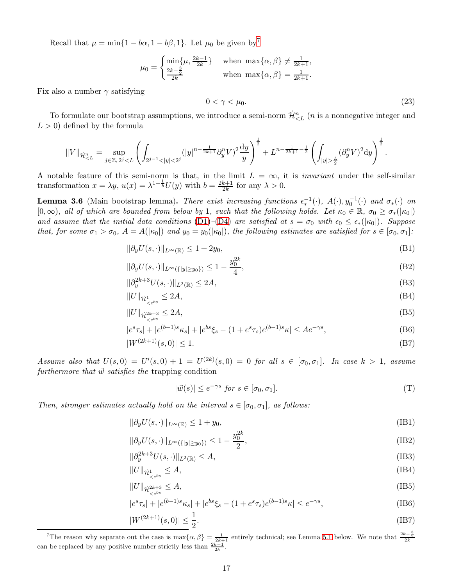Recall that  $\mu = \min\{1 - b\alpha, 1 - b\beta, 1\}$ . Let  $\mu_0$  be given by<sup>[7](#page-16-1)</sup>

$$
\mu_0 = \begin{cases} \min\{\mu, \frac{2k-1}{2k}\} & \text{when } \max\{\alpha, \beta\} \neq \frac{1}{2k+1}, \\ \frac{2k-\frac{3}{2}}{2k} & \text{when } \max\{\alpha, \beta\} = \frac{1}{2k+1}. \end{cases}
$$

Fix also a number  $\gamma$  satisfying

<span id="page-16-2"></span>
$$
0 < \gamma < \mu_0. \tag{23}
$$

To formulate our bootstrap assumptions, we introduce a semi-norm  $\dot{\mathcal{H}}_{\leq L}^n$  (*n* is a nonnegative integer and  $L > 0$ ) defined by the formula

$$
\|V\|_{\dot{\mathcal{H}}^n_{\frac{L}{2}}(\partial^n_yV)^2{\rm d}y\right)^{\frac{1}{2}}.
$$

A notable feature of this semi-norm is that, in the limit  $L = \infty$ , it is *invariant* under the self-similar transformation  $x = \lambda y$ ,  $u(x) = \lambda^{1-\frac{1}{b}} U(y)$  with  $b = \frac{2k+1}{2k}$  $\frac{k+1}{2k}$  for any  $\lambda > 0$ .

<span id="page-16-0"></span>**Lemma 3.6** (Main bootstrap lemma). There exist increasing functions  $\epsilon_*^{-1}(\cdot)$ ,  $A(\cdot), y_0^{-1}(\cdot)$  and  $\sigma_*(\cdot)$  on  $[0,\infty)$ , all of which are bounded from below by 1, such that the following holds. Let  $\kappa_0 \in \mathbb{R}$ ,  $\sigma_0 \geq \sigma_*(|\kappa_0|)$ and assume that the initial data conditions [\(D1\)](#page-15-1)–[\(D4\)](#page-15-1) are satisfied at  $s = \sigma_0$  with  $\epsilon_0 \leq \epsilon_*(|\kappa_0|)$ . Suppose that, for some  $\sigma_1 > \sigma_0$ ,  $A = A(|\kappa_0|)$  and  $y_0 = y_0(|\kappa_0|)$ , the following estimates are satisfied for  $s \in [\sigma_0, \sigma_1]$ :

$$
\|\partial_y U(s, \cdot)\|_{L^\infty(\mathbb{R})} \le 1 + 2y_0,\tag{B1}
$$

$$
\|\partial_y U(s, \cdot)\|_{L^\infty(\{|y| \ge y_0\})} \le 1 - \frac{y_0^{2k}}{4},\tag{B2}
$$

$$
\|\partial_y^{2k+3}U(s,\cdot)\|_{L^2(\mathbb{R})} \le 2A,\tag{B3}
$$

$$
||U||_{\dot{\mathcal{H}}^1_{\leq e^{bs}}} \leq 2A,\tag{B4}
$$

$$
||U||_{\dot{\mathcal{H}}^{2k+3}_{\leq e^{bs}}} \leq 2A,\tag{B5}
$$

$$
|e^{s}\tau_{s}| + |e^{(b-1)s}\kappa_{s}| + |e^{bs}\xi_{s} - (1 + e^{s}\tau_{s})e^{(b-1)s}\kappa| \leq Ae^{-\gamma s}, \tag{B6}
$$

$$
|W^{(2k+1)}(s,0)| \le 1. \tag{B7}
$$

Assume also that  $U(s,0) = U'(s,0) + 1 = U^{(2k)}(s,0) = 0$  for all  $s \in [\sigma_0, \sigma_1]$ . In case  $k > 1$ , assume furthermore that  $\vec{w}$  satisfies the trapping condition

$$
|\vec{w}(s)| \le e^{-\gamma s} \text{ for } s \in [\sigma_0, \sigma_1]. \tag{T}
$$

Then, stronger estimates actually hold on the interval  $s \in [\sigma_0, \sigma_1]$ , as follows:

$$
\|\partial_y U(s, \cdot)\|_{L^\infty(\mathbb{R})} \le 1 + y_0,\tag{IB1}
$$

$$
\|\partial_y U(s, \cdot)\|_{L^\infty(\{|y| \ge y_0\})} \le 1 - \frac{y_0^{2k}}{2},\tag{IB2}
$$

$$
\|\partial_y^{2k+3}U(s,\cdot)\|_{L^2(\mathbb{R})}\leq A,\tag{IB3}
$$

$$
||U||_{\dot{\mathcal{H}}^1_{\leq e^{bs}}} \leq A,\tag{IB4}
$$

$$
||U||_{\dot{\mathcal{H}}^{2k+3}_{\leq e^{bs}}} \leq A,\tag{IB5}
$$

$$
|e^{s}\tau_{s}| + |e^{(b-1)s}\kappa_{s}| + |e^{bs}\xi_{s} - (1 + e^{s}\tau_{s})e^{(b-1)s}\kappa| \le e^{-\gamma s}, \tag{IB6}
$$

$$
|W^{(2k+1)}(s,0)| \le \frac{1}{2}.\tag{IB7}
$$

<span id="page-16-1"></span><sup>&</sup>lt;sup>7</sup>The reason why separate out the case is max $\{\alpha, \beta\} = \frac{1}{2k+1}$  entirely technical; see Lemma [5.1](#page-25-1) below. We note that  $\frac{2k-\frac{3}{2}}{2k}$  can be replaced by any positive number strictly less than  $\frac{2k-1}{2k}$ .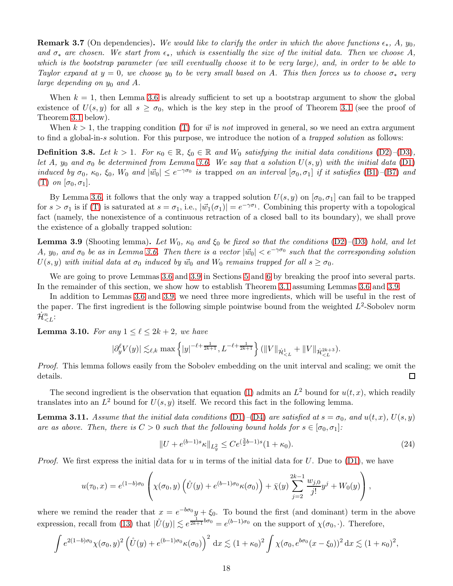<span id="page-17-4"></span>**Remark 3.7** (On dependencies). We would like to clarify the order in which the above functions  $\epsilon_*, A, y_0$ , and  $\sigma_*$  are chosen. We start from  $\epsilon_*$ , which is essentially the size of the initial data. Then we choose A, which is the bootstrap parameter (we will eventually choose it to be very large), and, in order to be able to Taylor expand at  $y = 0$ , we choose  $y_0$  to be very small based on A. This then forces us to choose  $\sigma_*$  very large depending on  $y_0$  and A.

When  $k = 1$ , then Lemma [3.6](#page-16-0) is already sufficient to set up a bootstrap argument to show the global existence of  $U(s, y)$  for all  $s \geq \sigma_0$ , which is the key step in the proof of Theorem [3.1](#page-14-0) (see the proof of Theorem [3.1](#page-14-0) below).

When  $k > 1$ , the trapping condition [\(T\)](#page-16-0) for  $\vec{w}$  is not improved in general, so we need an extra argument to find a global-in-s solution. For this purpose, we introduce the notion of a trapped solution as follows:

<span id="page-17-5"></span>**Definition 3.8.** Let  $k > 1$ . For  $\kappa_0 \in \mathbb{R}$ ,  $\xi_0 \in \mathbb{R}$  and  $W_0$  satisfying the initial data conditions [\(D2\)](#page-15-1)–[\(D3\)](#page-15-1), let A,  $y_0$  and  $\sigma_0$  be determined from Lemma [3.6.](#page-16-0) We say that a solution  $U(s, y)$  with the initial data [\(D1\)](#page-15-1) induced by  $\sigma_0$ ,  $\kappa_0$ ,  $\xi_0$ ,  $W_0$  and  $|\vec{w}_0| \leq e^{-\gamma \sigma_0}$  is trapped on an interval  $[\sigma_0, \sigma_1]$  if it satisfies [\(B1\)](#page-16-0)-[\(B7\)](#page-16-0) and [\(T\)](#page-16-0) on  $[\sigma_0, \sigma_1]$ .

By Lemma [3.6,](#page-16-0) it follows that the only way a trapped solution  $U(s, y)$  on  $[\sigma_0, \sigma_1]$  can fail to be trapped for  $s > \sigma_1$  is if [\(T\)](#page-16-0) is saturated at  $s = \sigma_1$ , i.e.,  $|\vec{w}_1(\sigma_1)| = e^{-\gamma \sigma_1}$ . Combining this property with a topological fact (namely, the nonexistence of a continuous retraction of a closed ball to its boundary), we shall prove the existence of a globally trapped solution:

<span id="page-17-0"></span>**Lemma 3.9** (Shooting lemma). Let  $W_0$ ,  $\kappa_0$  and  $\xi_0$  be fixed so that the conditions [\(D2\)](#page-15-1)–[\(D3\)](#page-15-1) hold, and let A,  $y_0$ , and  $\sigma_0$  be as in Lemma [3.6.](#page-16-0) Then there is a vector  $|\vec{w}_0| < e^{-\gamma \sigma_0}$  such that the corresponding solution  $U(s, y)$  with initial data at  $\sigma_0$  induced by  $\vec{w}_0$  and  $W_0$  remains trapped for all  $s \geq \sigma_0$ .

We are going to prove Lemmas [3.6](#page-16-0) and [3.9](#page-17-0) in Sections [5](#page-25-0) and [6](#page-38-0) by breaking the proof into several parts. In the remainder of this section, we show how to establish Theorem [3.1](#page-14-0) assuming Lemmas [3.6](#page-16-0) and [3.9.](#page-17-0)

In addition to Lemmas [3.6](#page-16-0) and [3.9,](#page-17-0) we need three more ingredients, which will be useful in the rest of the paper. The first ingredient is the following simple pointwise bound from the weighted  $L^2$ -Sobolev norm  $\dot{\mathcal{H}}^{n}_{< L}$ :

<span id="page-17-1"></span>**Lemma 3.10.** For any  $1 \leq \ell \leq 2k+2$ , we have

$$
|\partial_y^{\ell} V(y)| \lesssim_{\ell,k} \max\left\{|y|^{-\ell+\frac{1}{2k+1}}, L^{-\ell+\frac{1}{2k+1}}\right\} (\|V\|_{\dot{\mathcal{H}}_{
$$

Proof. This lemma follows easily from the Sobolev embedding on the unit interval and scaling; we omit the details. □

The second ingredient is the observation that equation [\(1\)](#page-2-0) admits an  $L^2$  bound for  $u(t, x)$ , which readily translates into an  $L^2$  bound for  $U(s, y)$  itself. We record this fact in the following lemma.

<span id="page-17-3"></span>**Lemma 3.11.** Assume that the initial data conditions [\(D1\)](#page-15-1)–[\(D4\)](#page-15-1) are satisfied at  $s = \sigma_0$ , and  $u(t, x)$ ,  $U(s, y)$ are as above. Then, there is  $C > 0$  such that the following bound holds for  $s \in [\sigma_0, \sigma_1]$ :

<span id="page-17-2"></span>
$$
||U + e^{(b-1)s} \kappa||_{L_y^2} \le Ce^{(\frac{3}{2}b-1)s} (1+\kappa_0).
$$
\n(24)

*Proof.* We first express the initial data for u in terms of the initial data for U. Due to  $(D1)$ , we have

$$
u(\tau_0, x) = e^{(1-b)\sigma_0} \left( \chi(\sigma_0, y) \left( \mathring{U}(y) + e^{(b-1)\sigma_0} \kappa(\sigma_0) \right) + \bar{\chi}(y) \sum_{j=2}^{2k-1} \frac{w_{j,0}}{j!} y^j + W_0(y) \right),
$$

where we remind the reader that  $x = e^{-b\sigma_0}y + \xi_0$ . To bound the first (and dominant) term in the above expression, recall from [\(13\)](#page-11-1) that  $|\mathring{U}(y)| \lesssim e^{\frac{1}{2k+1}b\sigma_0} = e^{(b-1)\sigma_0}$  on the support of  $\chi(\sigma_0, \cdot)$ . Therefore,

$$
\int e^{2(1-b)\sigma_0} \chi(\sigma_0, y)^2 \left( \mathring{U}(y) + e^{(b-1)\sigma_0} \kappa(\sigma_0) \right)^2 dx \lesssim (1+\kappa_0)^2 \int \chi(\sigma_0, e^{b\sigma_0} (x-\xi_0))^2 dx \lesssim (1+\kappa_0)^2,
$$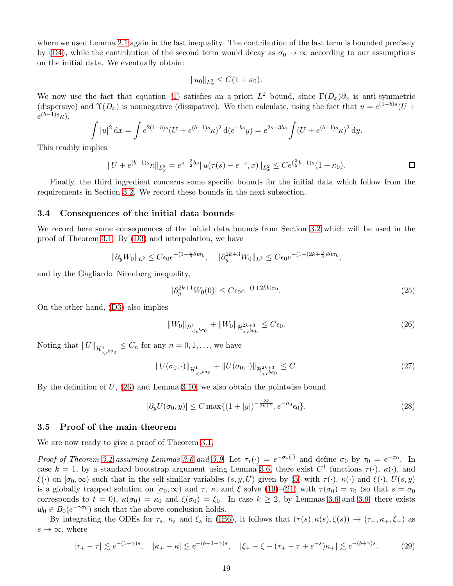where we used Lemma [2.1](#page-10-1) again in the last inequality. The contribution of the last term is bounded precisely by [\(D4\)](#page-15-1), while the contribution of the second term would decay as  $\sigma_0 \to \infty$  according to our assumptions on the initial data. We eventually obtain:

$$
||u_0||_{L^2_x} \leq C(1 + \kappa_0).
$$

We now use the fact that equation [\(1\)](#page-2-0) satisfies an a-priori  $L^2$  bound, since  $\Gamma(D_x)\partial_x$  is anti-symmetric (dispersive) and  $\Upsilon(D_x)$  is nonnegative (dissipative). We then calculate, using the fact that  $u = e^{(1-b)s}(U +$  $e^{(b-1)s}\kappa$ ),

$$
\int |u|^2 dx = \int e^{2(1-b)s} (U + e^{(b-1)s} \kappa)^2 d(e^{-bs} y) = e^{2s-3bs} \int (U + e^{(b-1)s} \kappa)^2 dy.
$$

This readily implies

$$
||U + e^{(b-1)s}\kappa||_{L_y^2} = e^{s - \frac{3}{2}bs}||u(\tau(s) - e^{-s}, x)||_{L_x^2} \le Ce^{(\frac{3}{2}b - 1)s}(1 + \kappa_0).
$$

Finally, the third ingredient concerns some specific bounds for the initial data which follow from the requirements in Section [3.2.](#page-15-1) We record these bounds in the next subsection.

#### 3.4 Consequences of the initial data bounds

We record here some consequences of the initial data bounds from Section [3.2](#page-15-1) which will be used in the proof of Theorem [3.1.](#page-14-0) By [\(D3\)](#page-15-1) and interpolation, we have

$$
\|\partial_y W_0\|_{L^2} \le C\epsilon_0 e^{-(1-\frac{1}{2}b)\sigma_0}, \quad \|\partial_y^{2k+3} W_0\|_{L^2} \le C\epsilon_0 e^{-(1+(2k+\frac{3}{2})b)\sigma_0},
$$

and by the Gagliardo–Nirenberg inequality,

<span id="page-18-4"></span><span id="page-18-0"></span>
$$
|\partial_y^{2k+1} W_0(0)| \le C\epsilon_0 e^{-(1+2kb)\sigma_0}.
$$
\n(25)

On the other hand, [\(D3\)](#page-15-1) also implies

<span id="page-18-3"></span><span id="page-18-2"></span>
$$
||W_0||_{\dot{\mathcal{H}}^1_{\leq e^{b\sigma_0}}} + ||W_0||_{\dot{\mathcal{H}}^{2k+3}_{\leq e^{b\sigma_0}}} \leq C\epsilon_0.
$$
\n(26)

Noting that  $\|\bar{U}\|_{\dot{\mathcal{H}}_{\leq e^{b\sigma_0}}} \leq C_n$  for any  $n = 0, 1, \ldots$ , we have

$$
||U(\sigma_0, \cdot)||_{\dot{\mathcal{H}}_{\leq e^{b\sigma_0}}^1} + ||U(\sigma_0, \cdot)||_{\dot{\mathcal{H}}_{\leq e^{b\sigma_0}}^{2k+3}} \leq C. \tag{27}
$$

By the definition of  $\bar{U}$ , [\(26\)](#page-18-0) and Lemma [3.10,](#page-17-1) we also obtain the pointwise bound

<span id="page-18-1"></span>
$$
|\partial_y U(\sigma_0, y)| \le C \max\{(1+|y|)^{-\frac{2k}{2k+1}}, e^{-\sigma_0} \epsilon_0\}.
$$
 (28)

#### 3.5 Proof of the main theorem

We are now ready to give a proof of Theorem [3.1.](#page-14-0)

Proof of Theorem [3.1](#page-14-0) assuming Lemmas [3.6](#page-16-0) and [3.9.](#page-17-0) Let  $\tau_*(\cdot) = e^{-\sigma_*(\cdot)}$  and define  $\sigma_0$  by  $\tau_0 = e^{-\sigma_0}$ . In case  $k = 1$ , by a standard bootstrap argument using Lemma [3.6,](#page-16-0) there exist  $C^1$  functions  $\tau(\cdot)$ ,  $\kappa(\cdot)$ , and  $\xi(\cdot)$  on  $[\sigma_0,\infty)$  such that in the self-similar variables  $(s, y, U)$  given by [\(5\)](#page-8-2) with  $\tau(\cdot)$ ,  $\kappa(\cdot)$  and  $\xi(\cdot)$ ,  $U(s, y)$ is a globally trapped solution on  $[\sigma_0,\infty)$  and  $\tau$ ,  $\kappa$ , and  $\xi$  solve [\(19\)](#page-12-1)–[\(21\)](#page-12-2) with  $\tau(\sigma_0) = \tau_0$  (so that  $s = \sigma_0$ corresponds to  $t = 0$ ,  $\kappa(\sigma_0) = \kappa_0$  and  $\xi(\sigma_0) = \xi_0$ . In case  $k \geq 2$ , by Lemmas [3.6](#page-16-0) and [3.9,](#page-17-0) there exists  $\vec{w}_0 \in B_0(e^{-\gamma \sigma_0})$  such that the above conclusion holds.

By integrating the ODEs for  $\tau_s$ ,  $\kappa_s$  and  $\xi_s$  in [\(IB6\)](#page-16-0), it follows that  $(\tau(s), \kappa(s), \xi(s)) \to (\tau_+, \kappa_+, \xi_+)$  as  $s \to \infty$ , where

$$
|\tau_{+} - \tau| \lesssim e^{-(1+\gamma)s}, \quad |\kappa_{+} - \kappa| \lesssim e^{-(b-1+\gamma)s}, \quad |\xi_{+} - \xi - (\tau_{+} - \tau + e^{-s})\kappa_{+}| \lesssim e^{-(b+\gamma)s}.\tag{29}
$$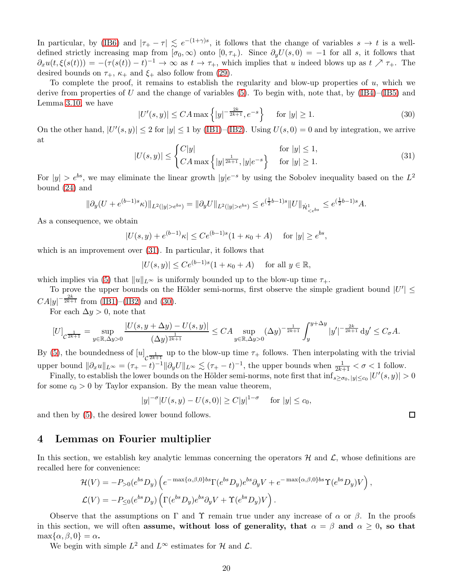In particular, by [\(IB6\)](#page-16-0) and  $|\tau_+ - \tau| \le e^{-(1+\gamma)s}$ , it follows that the change of variables  $s \to t$  is a welldefined strictly increasing map from  $[\sigma_0,\infty)$  onto  $[0,\tau_+$ ). Since  $\partial_yU(s,0) = -1$  for all s, it follows that  $\partial_x u(t,\xi(s(t))) = -(\tau(s(t)) - t)^{-1} \to \infty$  as  $t \to \tau_+$ , which implies that u indeed blows up as  $t \nearrow \tau_+$ . The desired bounds on  $\tau_+$ ,  $\kappa_+$  and  $\xi_+$  also follow from [\(29\)](#page-18-1).

To complete the proof, it remains to establish the regularity and blow-up properties of  $u$ , which we derive from properties of U and the change of variables [\(5\)](#page-8-2). To begin with, note that, by  $(IB4)–(IB5)$  $(IB4)–(IB5)$  and Lemma [3.10,](#page-17-1) we have

<span id="page-19-2"></span>
$$
|U'(s,y)| \leq CA \max\left\{|y|^{-\frac{2k}{2k+1}}, e^{-s}\right\} \quad \text{for } |y| \geq 1.
$$
 (30)

On the other hand,  $|U'(s, y)| \le 2$  for  $|y| \le 1$  by [\(IB1\)](#page-16-0)–[\(IB2\)](#page-16-0). Using  $U(s, 0) = 0$  and by integration, we arrive at

$$
|U(s,y)| \le \begin{cases} C|y| & \text{for } |y| \le 1, \\ CA \max\left\{ |y|^{\frac{1}{2k+1}}, |y|e^{-s} \right\} & \text{for } |y| \ge 1. \end{cases}
$$
(31)

<span id="page-19-1"></span> $\Box$ 

For  $|y| > e^{bs}$ , we may eliminate the linear growth  $|y|e^{-s}$  by using the Sobolev inequality based on the  $L^2$ bound [\(24\)](#page-17-2) and

$$
\|\partial_y(U+e^{(b-1)s}\kappa)\|_{L^2(|y|>e^{bs})}=\|\partial_yU\|_{L^2(|y|>e^{bs})}\leq e^{(\frac{1}{2}b-1)s}\|U\|_{\dot{\mathcal{H}}^1_{\leq e^{bs}}}\leq e^{(\frac{1}{2}b-1)s}A.
$$

As a consequence, we obtain

$$
|U(s,y) + e^{(b-1)}\kappa| \le Ce^{(b-1)s}(1 + \kappa_0 + A) \quad \text{for } |y| \ge e^{bs},
$$

which is an improvement over [\(31\)](#page-19-1). In particular, it follows that

$$
|U(s,y)| \le Ce^{(b-1)s}(1+\kappa_0+A) \quad \text{ for all } y \in \mathbb{R},
$$

which implies via [\(5\)](#page-8-2) that  $||u||_{L^{\infty}}$  is uniformly bounded up to the blow-up time  $\tau_{+}$ .

To prove the upper bounds on the Hölder semi-norms, first observe the simple gradient bound  $|U'| \leq$  $CA|y|^{-\frac{2k}{2k+1}}$  from [\(IB1\)](#page-16-0)–[\(IB2\)](#page-16-0) and [\(30\)](#page-19-2).

For each  $\Delta y > 0$ , note that

$$
[U]_{\mathcal{C}^{\frac{1}{2k+1}}} = \sup_{y \in \mathbb{R}, \Delta y > 0} \frac{|U(s, y + \Delta y) - U(s, y)|}{(\Delta y)^{\frac{1}{2k+1}}} \le CA \sup_{y \in \mathbb{R}, \Delta y > 0} (\Delta y)^{-\frac{1}{2k+1}} \int_{y}^{y + \Delta y} |y'|^{-\frac{2k}{2k+1}} dy' \le C_{\sigma} A.
$$

By [\(5\)](#page-8-2), the boundedness of  $[u]_{\mathcal{C}^{\frac{1}{2k+1}}}$  up to the blow-up time  $\tau_+$  follows. Then interpolating with the trivial upper bound  $\|\partial_x u\|_{L^\infty} = (\tau_+ - t)^{-1} \|\partial_y U\|_{L^\infty} \lesssim (\tau_+ - t)^{-1}$ , the upper bounds when  $\frac{1}{2k+1} < \sigma < 1$  follow.

Finally, to establish the lower bounds on the Hölder semi-norms, note first that  $\inf_{s\geq\sigma_0, |y|\leq c_0} |U'(s, y)| > 0$ for some  $c_0 > 0$  by Taylor expansion. By the mean value theorem,

$$
|y|^{-\sigma}|U(s,y) - U(s,0)| \ge C|y|^{1-\sigma} \quad \text{ for } |y| \le c_0,
$$

and then by [\(5\)](#page-8-2), the desired lower bound follows.

# <span id="page-19-0"></span>4 Lemmas on Fourier multiplier

In this section, we establish key analytic lemmas concerning the operators  $H$  and  $L$ , whose definitions are recalled here for convenience:

$$
\mathcal{H}(V) = -P_{>0}(e^{bs}D_y)\left(e^{-\max\{\alpha,\beta,0\}bs}\Gamma(e^{bs}D_y)e^{bs}\partial_y V + e^{-\max\{\alpha,\beta,0\}bs}\Upsilon(e^{bs}D_y)V\right),
$$
  

$$
\mathcal{L}(V) = -P_{\leq 0}(e^{bs}D_y)\left(\Gamma(e^{bs}D_y)e^{bs}\partial_y V + \Upsilon(e^{bs}D_y)V\right).
$$

Observe that the assumptions on  $\Gamma$  and  $\Upsilon$  remain true under any increase of  $\alpha$  or  $\beta$ . In the proofs in this section, we will often assume, without loss of generality, that  $\alpha = \beta$  and  $\alpha \geq 0$ , so that  $\max{\alpha, \beta, 0} = \alpha$ .

We begin with simple  $L^2$  and  $L^{\infty}$  estimates for H and  $\mathcal{L}$ .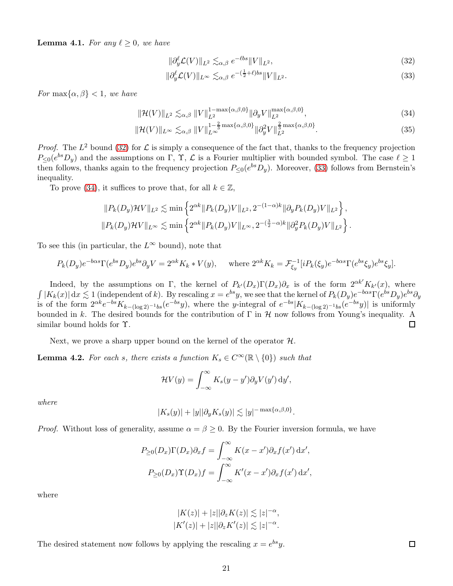**Lemma 4.1.** For any  $\ell \geq 0$ , we have

<span id="page-20-2"></span><span id="page-20-1"></span><span id="page-20-0"></span>
$$
\|\partial_y^{\ell} \mathcal{L}(V)\|_{L^2} \lesssim_{\alpha,\beta} e^{-\ell bs} \|V\|_{L^2},\tag{32}
$$

<span id="page-20-3"></span>
$$
\|\partial_y^{\ell} \mathcal{L}(V)\|_{L^{\infty}} \lesssim_{\alpha,\beta} e^{-\left(\frac{1}{2}+\ell\right)bs} \|V\|_{L^2}.
$$
\n(33)

For  $\max\{\alpha, \beta\} < 1$ , we have

$$
\|\mathcal{H}(V)\|_{L^{2}} \lesssim_{\alpha,\beta} \|V\|_{L^{2}}^{1-\max\{\alpha,\beta,0\}} \|\partial_{y}V\|_{L^{2}}^{\max\{\alpha,\beta,0\}},\tag{34}
$$

$$
\|\mathcal{H}(V)\|_{L^{\infty}} \lesssim_{\alpha,\beta} \|V\|_{L^{\infty}}^{1-\frac{2}{3}\max\{\alpha,\beta,0\}} \|\partial_y^2 V\|_{L^2}^{\frac{2}{3}\max\{\alpha,\beta,0\}}.
$$
 (35)

*Proof.* The  $L^2$  bound [\(32\)](#page-20-0) for  $\mathcal L$  is simply a consequence of the fact that, thanks to the frequency projection  $P_{\leq 0}(e^{bs}D_y)$  and the assumptions on  $\Gamma$ ,  $\Upsilon$ ,  $\mathcal{L}$  is a Fourier multiplier with bounded symbol. The case  $\ell \geq 1$ then follows, thanks again to the frequency projection  $P_{\leq 0}(e^{bs}D_y)$ . Moreover, [\(33\)](#page-20-1) follows from Bernstein's inequality.

To prove [\(34\)](#page-20-2), it suffices to prove that, for all  $k \in \mathbb{Z}$ ,

$$
||P_k(D_y)\mathcal{H}V||_{L^2} \lesssim \min\left\{2^{\alpha k}||P_k(D_y)V||_{L^2}, 2^{-(1-\alpha)k}||\partial_y P_k(D_y)V||_{L^2}\right\},\
$$
  

$$
||P_k(D_y)\mathcal{H}V||_{L^{\infty}} \lesssim \min\left\{2^{\alpha k}||P_k(D_y)V||_{L^{\infty}}, 2^{-(\frac{3}{2}-\alpha)k}||\partial_y^2 P_k(D_y)V||_{L^2}\right\}.
$$

To see this (in particular, the  $L^{\infty}$  bound), note that

$$
P_k(D_y)e^{-b\alpha s}\Gamma(e^{bs}D_y)e^{bs}\partial_y V = 2^{\alpha k}K_k * V(y), \quad \text{where } 2^{\alpha k}K_k = \mathcal{F}_{\xi_y}^{-1}[iP_k(\xi_y)e^{-b\alpha s}\Gamma(e^{bs}\xi_y)e^{bs}\xi_y].
$$

Indeed, by the assumptions on Γ, the kernel of  $P_{k'}(D_x)\Gamma(D_x)\partial_x$  is of the form  $2^{\alpha k'}K_{k'}(x)$ , where  $\int |K_k(x)| \,dx \lesssim 1$  (independent of k). By rescaling  $x = e^{bs}y$ , we see that the kernel of  $P_k(D_y)e^{-b\alpha s}\Gamma(e^{bs}D_y)e^{bs}\partial_y$ is of the form  $2^{\alpha k} e^{-bs} K_{k-(\log 2)^{-1}bs}(e^{-bs}y)$ , where the y-integral of  $e^{-bs} |K_{k-(\log 2)^{-1}bs}(e^{-bs}y)|$  is uniformly bounded in k. The desired bounds for the contribution of  $\Gamma$  in  $\mathcal H$  now follows from Young's inequality. A similar bound holds for Υ. 口

Next, we prove a sharp upper bound on the kernel of the operator  $H$ .

<span id="page-20-4"></span>**Lemma 4.2.** For each s, there exists a function  $K_s \in C^{\infty}(\mathbb{R} \setminus \{0\})$  such that

$$
\mathcal{H}V(y) = \int_{-\infty}^{\infty} K_s(y - y') \partial_y V(y') \, dy',
$$

where

$$
|K_s(y)|+|y||\partial_y K_s(y)|\lesssim |y|^{-\max\{\alpha,\beta,0\}}.
$$

*Proof.* Without loss of generality, assume  $\alpha = \beta \geq 0$ . By the Fourier inversion formula, we have

$$
P_{\geq 0}(D_x)\Gamma(D_x)\partial_x f = \int_{-\infty}^{\infty} K(x - x')\partial_x f(x') dx',
$$
  

$$
P_{\geq 0}(D_x)\Upsilon(D_x)f = \int_{-\infty}^{\infty} K'(x - x')\partial_x f(x') dx',
$$

where

$$
|K(z)| + |z||\partial_z K(z)| \lesssim |z|^{-\alpha},
$$
  

$$
|K'(z)| + |z||\partial_z K'(z)| \lesssim |z|^{-\alpha}.
$$

The desired statement now follows by applying the rescaling  $x = e^{bs}y$ .

 $\Box$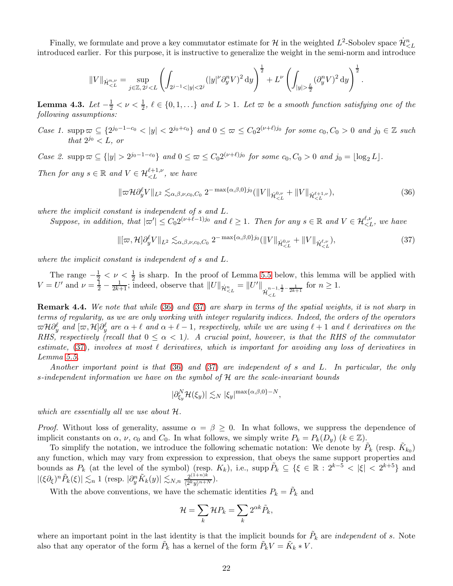Finally, we formulate and prove a key commutator estimate for  $\mathcal H$  in the weighted  $L^2$ -Sobolev space  $\dot{\mathcal H}^n_{\leq L}$ introduced earlier. For this purpose, it is instructive to generalize the weight in the semi-norm and introduce

$$
||V||_{\dot{\mathcal{H}}^{n,\nu}_{ \frac{L}{2}} (\partial_y^n V)^2 \, \mathrm{d}y \right)^{\frac{1}{2}}.
$$

<span id="page-21-0"></span>**Lemma 4.3.** Let  $-\frac{1}{2} < \nu < \frac{1}{2}$ ,  $\ell \in \{0,1,\ldots\}$  and  $L > 1$ . Let  $\varpi$  be a smooth function satisfying one of the following assumptions:

Case 1. supp $\omega \subseteq \{2^{j_0-1-c_0} < |y| < 2^{j_0+c_0}\}\$  and  $0 \leq \omega \leq C_0 2^{(\nu+\ell)j_0}$  for some  $c_0, C_0 > 0$  and  $j_0 \in \mathbb{Z}$  such that  $2^{j_0} < L$ , or

Case 2. supp  $\varpi \subseteq \{|y| > 2^{j_0-1-c_0}\}$  and  $0 \le \varpi \le C_0 2^{(\nu+\ell)j_0}$  for some  $c_0, C_0 > 0$  and  $j_0 = \lfloor \log_2 L \rfloor$ .

Then for any  $s \in \mathbb{R}$  and  $V \in \mathcal{H}_{\leq L}^{\ell+1,\nu}$ , we have

<span id="page-21-1"></span>
$$
\|\varpi \mathcal{H} \partial_y^{\ell} V\|_{L^2} \lesssim_{\alpha,\beta,\nu,c_0,C_0} 2^{-\max\{\alpha,\beta,0\}j_0} (\|V\|_{\dot{\mathcal{H}}_{\n(36)
$$

where the implicit constant is independent of s and L.

Suppose, in addition, that  $|\varpi'| \leq C_0 2^{(\nu+\ell-1)j_0}$  and  $\ell \geq 1$ . Then for any  $s \in \mathbb{R}$  and  $V \in \mathcal{H}_{\leq L}^{\ell,\nu}$ , we have

$$
\|[\varpi,\mathcal{H}]\partial_y^{\ell}V\|_{L^2} \lesssim_{\alpha,\beta,\nu,c_0,C_0} 2^{-\max\{\alpha,\beta,0\}j_0}(\|V\|_{\dot{\mathcal{H}}_{
$$

where the implicit constant is independent of s and L.

The range  $-\frac{1}{2} < \nu \leq \frac{1}{2}$  is sharp. In the proof of Lemma [5.5](#page-34-0) below, this lemma will be applied with  $V = U'$  and  $\nu = \frac{1}{2} - \frac{1}{2k+1}$ ; indeed, observe that  $||U||_{\dot{\mathcal{H}}_{\leq L}^n} = ||U'||$  ${\dot{\mathcal H}}_{< L}^{n-1,\tfrac12-\tfrac1{2k+1}}$ for  $n \geq 1$ .

Remark 4.4. We note that while [\(36\)](#page-21-1) and [\(37\)](#page-21-2) are sharp in terms of the spatial weights, it is not sharp in terms of regularity, as we are only working with integer regularity indices. Indeed, the orders of the operators  $\varpi\mathcal{H}\partial_y^\ell$  and  $[\varpi,\mathcal{H}]\partial_y^\ell$  are  $\alpha+\ell$  and  $\alpha+\ell-1$ , respectively, while we are using  $\ell+1$  and  $\ell$  derivatives on the RHS, respectively (recall that  $0 \leq \alpha < 1$ ). A crucial point, however, is that the RHS of the commutator estimate, [\(37\)](#page-21-2), involves at most  $\ell$  derivatives, which is important for avoiding any loss of derivatives in Lemma [5.5.](#page-34-0)

Another important point is that [\(36\)](#page-21-1) and [\(37\)](#page-21-2) are independent of s and L. In particular, the only s-independent information we have on the symbol of H are the scale-invariant bounds

<span id="page-21-2"></span>
$$
|\partial_{\xi_y}^N\mathcal{H}(\xi_y)|\lesssim_N |\xi_y|^{\max\{\alpha,\beta,0\}-N},
$$

which are essentially all we use about  $H$ .

*Proof.* Without loss of generality, assume  $\alpha = \beta \geq 0$ . In what follows, we suppress the dependence of implicit constants on  $\alpha$ ,  $\nu$ ,  $c_0$  and  $C_0$ . In what follows, we simply write  $P_k = P_k(D_y)$  ( $k \in \mathbb{Z}$ ).

To simplify the notation, we introduce the following schematic notation: We denote by  $\tilde{P}_k$  (resp.  $\tilde{K}_{k_0}$ ) any function, which may vary from expression to expression, that obeys the same support properties and bounds as  $P_k$  (at the level of the symbol) (resp.  $K_k$ ), i.e., supp  $\tilde{P}_k \subseteq \{\xi \in \mathbb{R} : 2^{k-5} < |\xi| < 2^{k+5}\}\$ and  $|(\xi \partial_{\xi})^n \tilde{P}_k(\xi)| \lesssim_n 1$  (resp.  $|\partial_y^n \tilde{K}_k(y)| \lesssim_{N,n} \frac{2^{(1+n)k}}{(2^k y)^{n+1}}$  $\frac{2^{(1+n)n}}{\langle 2^k y \rangle^{n+N}}$ ).

With the above conventions, we have the schematic identities  $P_k = \tilde{P}_k$  and

$$
\mathcal{H} = \sum_{k} \mathcal{H} P_{k} = \sum_{k} 2^{\alpha k} \tilde{P}_{k},
$$

where an important point in the last identity is that the implicit bounds for  $\tilde{P}_k$  are *independent* of s. Note also that any operator of the form  $\tilde{P}_k$  has a kernel of the form  $\tilde{P}_k V = \tilde{K}_k * V$ .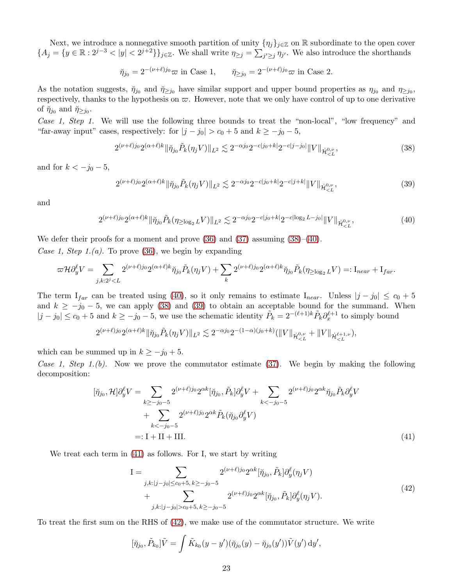Next, we introduce a nonnegative smooth partition of unity  $\{\eta_j\}_{j\in\mathbb{Z}}$  on R subordinate to the open cover  ${A_j = {y \in \mathbb{R} : 2^{j-3} < |y| < 2^{j+2}}}\$ <sub>j</sub>∈z. We shall write  $\eta_{\geq j} = \sum_{j' \geq j} \eta_{j'}$ . We also introduce the shorthands

$$
\breve{\eta}_{j_0} = 2^{-(\nu+\ell)j_0} \varpi \text{ in Case 1}, \qquad \breve{\eta}_{\geq j_0} = 2^{-(\nu+\ell)j_0} \varpi \text{ in Case 2.}
$$

As the notation suggests,  $\tilde{\eta}_{j_0}$  and  $\tilde{\eta}_{\geq j_0}$  have similar support and upper bound properties as  $\eta_{j_0}$  and  $\eta_{\geq j_0}$ , respectively, thanks to the hypothesis on  $\varpi$ . However, note that we only have control of up to one derivative of  $\check{\eta}_{j_0}$  and  $\check{\eta}_{\geq j_0}$ .

Case 1, Step 1. We will use the following three bounds to treat the "non-local", "low frequency" and "far-away input" cases, respectively: for  $|j - j_0| > c_0 + 5$  and  $k \ge -j_0 - 5$ ,

<span id="page-22-0"></span>
$$
2^{(\nu+\ell)j_0} 2^{(\alpha+\ell)k} \|\check{\eta}_{j_0} \tilde{P}_k(\eta_j V)\|_{L^2} \lesssim 2^{-\alpha j_0} 2^{-c|j_0+k|} 2^{-c|j-j_0|} \|V\|_{\dot{\mathcal{H}}_{\leq L}^{0,\nu}},\tag{38}
$$

and for  $k < -j_0 - 5$ ,

<span id="page-22-2"></span><span id="page-22-1"></span>
$$
2^{(\nu+\ell)j_0} 2^{(\alpha+\ell)k} \|\check{\eta}_{j_0} \tilde{P}_k(\eta_j V)\|_{L^2} \lesssim 2^{-\alpha j_0} 2^{-c|j_0+k|} 2^{-c|j+k|} \|V\|_{\dot{\mathcal{H}}_{
$$

and

$$
2^{(\nu+\ell)j_0} 2^{(\alpha+\ell)k} \|\check{\eta}_{j_0}\tilde{P}_k(\eta_{\geq \log_2 L} V)\|_{L^2} \lesssim 2^{-\alpha j_0} 2^{-c|j_0+k|} 2^{-c|\log_2 L - j_0|} \|V\|_{\dot{\mathcal{H}}_{\leq L}^{0,\nu}},\tag{40}
$$

We defer their proofs for a moment and prove  $(36)$  and  $(37)$  assuming  $(38)$ – $(40)$ . Case 1, Step 1.(a). To prove [\(36\)](#page-21-1), we begin by expanding

$$
\overline{\mathcal{H}}\mathcal{H}\mathcal{H}V = \sum_{\mathbf{v}} \mathcal{H}(\mathcal{H}^{\perp})\mathcal{H}(\mathcal{H}^{\perp})\mathcal{H}^{\perp}(\mathcal{H}^{\perp})\mathcal{H}^{\perp}(\mathcal{H}^{\perp})\mathcal{H}^{\perp}(\mathcal{H}^{\perp})\mathcal{H}^{\perp}(\mathcal{H}^{\perp})\mathcal{H}^{\perp}(\mathcal{H}^{\perp})\mathcal{H}^{\perp}(\mathcal{H}^{\perp})\mathcal{H}^{\perp}(\mathcal{H}^{\perp})\mathcal{H}^{\perp}(\mathcal{H}^{\perp})\mathcal{H}^{\perp}(\mathcal{H}^{\perp})\mathcal{H}^{\perp}(\mathcal{H}^{\perp})\mathcal{H}^{\perp}(\mathcal{H}^{\perp})\mathcal{H}^{\perp}(\mathcal{H}^{\perp})\mathcal{H}^{\perp}(\mathcal{H}^{\perp})\mathcal{H}^{\perp}(\mathcal{H}^{\perp})\mathcal{H}^{\perp}(\mathcal{H}^{\perp})\mathcal{H}^{\perp}(\mathcal{H}^{\perp})\mathcal{H}^{\perp}(\mathcal{H}^{\perp})\mathcal{H}^{\perp}(\mathcal{H}^{\perp})\mathcal{H}^{\perp}(\mathcal{H}^{\perp})\mathcal{H}^{\perp}(\mathcal{H}^{\perp})\mathcal{H}^{\perp}(\mathcal{H}^{\perp})\mathcal{H}^{\perp}(\mathcal{H}^{\perp})\mathcal{H}^{\perp}(\mathcal{H}^{\perp})\mathcal{H}^{\perp}(\mathcal{H}^{\perp})\mathcal{H}^{\perp}(\mathcal{H}^{\perp})\mathcal{H}^{\perp}(\mathcal{H}^{\perp})\mathcal{H}^{\perp}(\mathcal{H}^{\perp})\mathcal{H}^{\perp}(\mathcal{H}^{\perp})\mathcal{H}^{\perp}(\mathcal{H}^{\perp})\mathcal{H}^{\perp}(\mathcal{H}^{\perp})\mathcal{H}^{\perp}(\mathcal{H}^{\perp})\mathcal{H}^{\perp}(\math
$$

$$
\varpi \mathcal{H} \partial_y^{\ell} V = \sum_{j,k:2^j < L} 2^{(\nu+\ell)j_0} 2^{(\alpha+\ell)k} \breve{\eta}_{j_0} \tilde{P}_k(\eta_j V) + \sum_k 2^{(\nu+\ell)j_0} 2^{(\alpha+\ell)k} \breve{\eta}_{j_0} \tilde{P}_k(\eta_{\ge \log_2 L} V) =: I_{near} + I_{far}.
$$

The term  $I_{far}$  can be treated using [\(40\)](#page-22-1), so it only remains to estimate  $I_{near}$ . Unless  $|j - j_0| \leq c_0 + 5$ and  $k \ge -j_0 - 5$ , we can apply [\(38\)](#page-22-0) and [\(39\)](#page-22-2) to obtain an acceptable bound for the summand. When  $|j - j_0| \leq c_0 + 5$  and  $k \geq -j_0 - 5$ , we use the schematic identity  $\tilde{P}_k = 2^{-(\ell+1)k} \tilde{P}_k \partial_x^{\ell+1}$  to simply bound

$$
2^{(\nu+\ell)j_0}2^{(\alpha+\ell)k}\|\check{\eta}_{j_0}\tilde{P}_k(\eta_j V)\|_{L^2}\lesssim 2^{-\alpha j_0}2^{-(1-\alpha)(j_0+k)}(\|V\|_{\dot{\mathcal{H}}_{
$$

which can be summed up in  $k \ge -j_0 + 5$ .

Case 1, Step 1.(b). Now we prove the commutator estimate [\(37\)](#page-21-2). We begin by making the following decomposition:

$$
[\check{\eta}_{j_0}, \mathcal{H}] \partial_y^{\ell} V = \sum_{k \ge -j_0 - 5} 2^{(\nu + \ell)j_0} 2^{\alpha k} [\check{\eta}_{j_0}, \tilde{P}_k] \partial_y^{\ell} V + \sum_{k < -j_0 - 5} 2^{(\nu + \ell)j_0} 2^{\alpha k} \check{\eta}_{j_0} \tilde{P}_k \partial_y^{\ell} V + \sum_{k < -j_0 - 5} 2^{(\nu + \ell)j_0} 2^{\alpha k} \tilde{P}_k (\check{\eta}_{j_0} \partial_y^{\ell} V) =: I + II + III.
$$
\n(41)

We treat each term in [\(41\)](#page-22-3) as follows. For I, we start by writing

<span id="page-22-4"></span><span id="page-22-3"></span>
$$
I = \sum_{\substack{j,k:|j-j_0| \le c_0+5, k \ge -j_0-5 \\ j,k:|j-j_0| > c_0+5, k \ge -j_0-5}} 2^{(\nu+\ell)j_0} 2^{\alpha k} [\check{\eta}_{j_0}, \tilde{P}_k] \partial_y^{\ell}(\eta_j V) + \sum_{j,k:|j-j_0| > c_0+5, k \ge -j_0-5} 2^{(\nu+\ell)j_0} 2^{\alpha k} [\check{\eta}_{j_0}, \tilde{P}_k] \partial_y^{\ell}(\eta_j V).
$$
\n
$$
(42)
$$

To treat the first sum on the RHS of [\(42\)](#page-22-4), we make use of the commutator structure. We write

$$
[\check{\eta}_{j_0}, \tilde{P}_{k_0}] \tilde{V} = \int \tilde{K}_{k_0}(y - y') (\check{\eta}_{j_0}(y) - \check{\eta}_{j_0}(y')) \tilde{V}(y') \, dy',
$$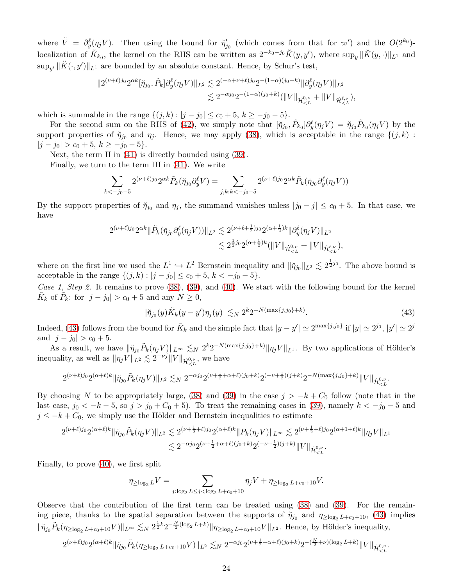where  $\tilde{V} = \partial_y^{\ell}(\eta_j V)$ . Then using the bound for  $\eta'_{j_0}$  (which comes from that for  $\varpi'$ ) and the  $O(2^{k_0})$ localization of  $\tilde{K}_{k_0}$ , the kernel on the RHS can be written as  $2^{-k_0-j_0}K(y, y')$ , where  $\sup_y \|\tilde{K}(y, \cdot)\|_{L^1}$  and  $\sup_{y'} \|\breve{K}(\cdot, y')\|_{L^1}$  are bounded by an absolute constant. Hence, by Schur's test,

$$
\|2^{(\nu+\ell)j_0}2^{\alpha k}[\check{\eta}_{j_0},\tilde{P}_k]\partial_y^{\ell}(\eta_j V)\|_{L^2}\lesssim 2^{(-\alpha+\nu+\ell)j_0}2^{-(1-\alpha)(j_0+k)}\|\partial_y^{\ell}(\eta_j V)\|_{L^2}\\ \lesssim 2^{-\alpha j_0}2^{-(1-\alpha)(j_0+k)}(\|V\|_{\dot{\mathcal{H}}_{
$$

which is summable in the range  $\{(j,k) : |j - j_0| \le c_0 + 5, k \ge -j_0 - 5\}.$ 

For the second sum on the RHS of [\(42\)](#page-22-4), we simply note that  $[\check{\eta}_{j_0}, \tilde{P}_{k_0}]\partial_y^{\ell}(\eta_j V) = \check{\eta}_{j_0}\tilde{P}_{k_0}(\eta_j V)$  by the support properties of  $\eta_{j_0}$  and  $\eta_j$ . Hence, we may apply [\(38\)](#page-22-0), which is acceptable in the range  $\{(j,k) :$  $|j - j_0| > c_0 + 5, k \ge -j_0 - 5$ .

Next, the term II in [\(41\)](#page-22-3) is directly bounded using [\(39\)](#page-22-2).

Finally, we turn to the term III in [\(41\)](#page-22-3). We write

$$
\sum_{k<-j_0-5} 2^{(\nu+\ell)j_0} 2^{\alpha k} \tilde{P}_k(\check{\eta}_{j_0} \partial_y^{\ell} V) = \sum_{j,k:k<-j_0-5} 2^{(\nu+\ell)j_0} 2^{\alpha k} \tilde{P}_k(\check{\eta}_{j_0} \partial_y^{\ell}(\eta_j V))
$$

By the support properties of  $\tilde{\eta}_{j_0}$  and  $\eta_j$ , the summand vanishes unless  $|j_0 - j| \le c_0 + 5$ . In that case, we have

$$
2^{(\nu+\ell)j_0} 2^{\alpha k} \|\tilde{P}_k(\check{\eta}_{j_0} \partial_y^{\ell}(\eta_j V))\|_{L^2} \lesssim 2^{(\nu+\ell+\frac{1}{2})j_0} 2^{(\alpha+\frac{1}{2})k} \|\partial_y^{\ell}(\eta_j V)\|_{L^2}
$$
  

$$
\lesssim 2^{\frac{1}{2}j_0} 2^{(\alpha+\frac{1}{2})k} (\|V\|_{\dot{\mathcal{H}}_{\leq L}^{0,\nu}} + \|V\|_{\dot{\mathcal{H}}_{\leq L}^{\ell,\nu}}),
$$

where on the first line we used the  $L^1 \hookrightarrow L^2$  Bernstein inequality and  $\|\check{\eta}_{j0}\|_{L^2} \lesssim 2^{\frac{1}{2}j_0}$ . The above bound is acceptable in the range  $\{(j,k) : |j - j_0| \le c_0 + 5, k < -j_0 - 5\}.$ 

Case 1, Step 2. It remains to prove [\(38\)](#page-22-0), [\(39\)](#page-22-2), and [\(40\)](#page-22-1). We start with the following bound for the kernel  $\tilde{K}_k$  of  $\tilde{P}_k$ : for  $|j - j_0| > c_0 + 5$  and any  $N \ge 0$ ,

<span id="page-23-0"></span>
$$
|\tilde{\eta}_{j_0}(y)\tilde{K}_k(y-y')\eta_j(y)| \lesssim_N 2^k 2^{-N(\max\{j,j_0\}+k)}.
$$
\n(43)

Indeed, [\(43\)](#page-23-0) follows from the bound for  $\tilde{K}_k$  and the simple fact that  $|y - y'| \simeq 2^{\max\{j, j_0\}}$  if  $|y| \simeq 2^{j_0}$ ,  $|y'| \simeq 2^{j_0}$ and  $|j - j_0| > c_0 + 5$ .

As a result, we have  $\|\check{\eta}_{j0}\tilde{P}_k(\eta_j V)\|_{L^\infty} \lesssim_N 2^k 2^{-N(\max\{j,j_0\}+k)} \|\eta_j V\|_{L^1}$ . By two applications of Hölder's inequality, as well as  $\|\eta_j V\|_{L^2} \lesssim 2^{-\nu j} \|V\|_{\dot{\mathcal{H}}_{ we have$ 

$$
2^{(\nu+\ell)j_0}2^{(\alpha+\ell)k}\|\check{\eta}_{j_0}\tilde{P}_k(\eta_j V)\|_{L^2}\lesssim_N 2^{-\alpha j_0}2^{(\nu+\frac{1}{2}+\alpha+\ell)(j_0+k)}2^{(-\nu+\frac{1}{2})(j+k)}2^{-N(\max\{j,j_0\}+k)}\|V\|_{\dot{\mathcal{H}}_{
$$

By choosing N to be appropriately large, [\(38\)](#page-22-0) and [\(39\)](#page-22-2) in the case  $j > -k + C_0$  follow (note that in the last case,  $j_0 < -k - 5$ , so  $j > j_0 + C_0 + 5$ . To treat the remaining cases in [\(39\)](#page-22-2), namely  $k < -j_0 - 5$  and  $j \leq -k + C_0$ , we simply use the Hölder and Bernstein inequalities to estimate

$$
2^{(\nu+\ell)j_0} 2^{(\alpha+\ell)k} \|\check{\eta}_{j_0} \tilde{P}_k(\eta_j V)\|_{L^2} \lesssim 2^{(\nu+\frac{1}{2}+\ell)j_0} 2^{(\alpha+\ell)k} \|P_k(\eta_j V)\|_{L^\infty} \lesssim 2^{(\nu+\frac{1}{2}+\ell)j_0} 2^{(\alpha+1+\ell)k} \|\eta_j V\|_{L^1}
$$
  

$$
\lesssim 2^{-\alpha j_0} 2^{(\nu+\frac{1}{2}+\alpha+\ell)(j_0+k)} 2^{(-\nu+\frac{1}{2})(j+k)} \|V\|_{\dot{\mathcal{H}}_{
$$

Finally, to prove [\(40\)](#page-22-1), we first split

$$
\eta_{\geq \log_2 L} V = \sum_{j:\log_2 L \leq j < \log_2 L + c_0 + 10} \eta_j V + \eta_{\geq \log_2 L + c_0 + 10} V.
$$

Observe that the contribution of the first term can be treated using [\(38\)](#page-22-0) and [\(39\)](#page-22-2). For the remaining piece, thanks to the spatial separation between the supports of  $\eta_{j_0}$  and  $\eta_{\geq \log_2 L + c_0+10}$ , [\(43\)](#page-23-0) implies  $\|\eta_{j0}\tilde{P}_k(\eta_{\geq \log_2 L + c_0+10} V)\|_{L^{\infty}} \lesssim_N 2^{\frac{1}{2}k} 2^{-\frac{N}{2}(\log_2 L + k)} \|\eta_{\geq \log_2 L + c_0+10} V\|_{L^2}$ . Hence, by Hölder's inequality,

$$
2^{(\nu+\ell)j_0}2^{(\alpha+\ell)k}\|\check{\eta}_{j_0}\tilde{P}_k(\eta_{\geq \log_2 L + c_0+10}V)\|_{L^2} \lesssim_N 2^{-\alpha j_0}2^{(\nu+\frac{1}{2}+\alpha+\ell)(j_0+k)}2^{-(\frac{N}{2}+\nu)(\log_2 L + k)}\|V\|_{\dot{\mathcal{H}}_{\leq L}^{0,\nu}}.
$$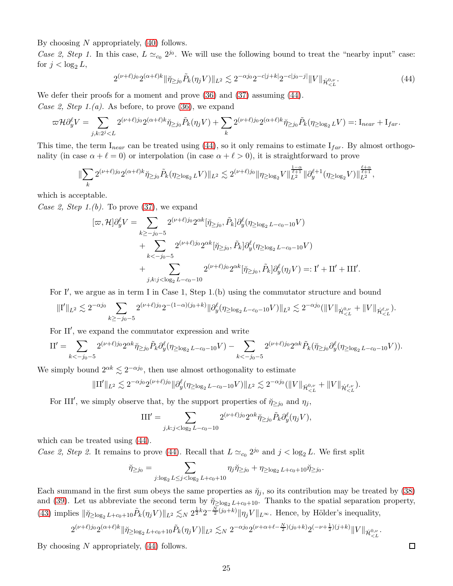By choosing N appropriately,  $(40)$  follows.

Case 2, Step 1. In this case,  $L \simeq_{c_0} 2^{j_0}$ . We will use the following bound to treat the "nearby input" case: for  $j < \log_2 L$ ,

<span id="page-24-0"></span>
$$
2^{(\nu+\ell)j_0} 2^{(\alpha+\ell)k} \|\check{\eta}_{\ge j_0} \tilde{P}_k(\eta_j V)\|_{L^2} \lesssim 2^{-\alpha j_0} 2^{-c|j+k|} 2^{-c|j_0-j|} \|V\|_{\dot{\mathcal{H}}_{\n(44)
$$

We defer their proofs for a moment and prove  $(36)$  and  $(37)$  assuming  $(44)$ .

Case 2, Step 1.(a). As before, to prove  $(36)$ , we expand

$$
\varpi \mathcal{H} \partial_y^{\ell} V = \sum_{j,k:2^j < L} 2^{(\nu+\ell)j_0} 2^{(\alpha+\ell)k} \breve{\eta}_{\geq j_0} \tilde{P}_k(\eta_j V) + \sum_k 2^{(\nu+\ell)j_0} 2^{(\alpha+\ell)k} \breve{\eta}_{\geq j_0} \tilde{P}_k(\eta_{\geq \log_2 L} V) =: I_{near} + I_{far}.
$$

This time, the term  $I_{near}$  can be treated using [\(44\)](#page-24-0), so it only remains to estimate  $I_{far}$ . By almost orthogonality (in case  $\alpha + \ell = 0$ ) or interpolation (in case  $\alpha + \ell > 0$ ), it is straightforward to prove

$$
\|\sum_{k} 2^{(\nu+\ell)j_0} 2^{(\alpha+\ell)k} \check{\eta}_{\geq j_0} \tilde{P}_k(\eta_{\geq \log_2 L} V)\|_{L^2} \lesssim 2^{(\nu+\ell)j_0} \|\eta_{\geq \log_2 V}\|_{L^2}^{\frac{1-\alpha}{\ell+1}} \|\partial_y^{\ell+1}(\eta_{\geq \log_2 V})\|_{L^2}^{\frac{\ell+\alpha}{\ell+1}},
$$

which is acceptable.

Case 2, Step 1.(b). To prove  $(37)$ , we expand

$$
[\varpi, \mathcal{H}]\partial_y^{\ell} V = \sum_{k \ge -j_0 - 5} 2^{(\nu + \ell)j_0} 2^{\alpha k} [\check{\eta}_{\ge j_0}, \tilde{P}_k] \partial_y^{\ell} (\eta_{\ge \log_2 L - c_0 - 10} V) + \sum_{k < -j_0 - 5} 2^{(\nu + \ell)j_0} 2^{\alpha k} [\check{\eta}_{\ge j_0}, \tilde{P}_k] \partial_y^{\ell} (\eta_{\ge \log_2 L - c_0 - 10} V) + \sum_{j,k: j < \log_2 L - c_0 - 10} 2^{(\nu + \ell)j_0} 2^{\alpha k} [\check{\eta}_{\ge j_0}, \tilde{P}_k] \partial_y^{\ell} (\eta_j V) =: \mathbf{I}' + \mathbf{II}' + \mathbf{III}'.
$$

For I', we argue as in term I in Case 1, Step 1.(b) using the commutator structure and bound

$$
\|\mathbf{I}'\|_{L^2} \lesssim 2^{-\alpha j_0} \sum_{k \ge -j_0-5} 2^{(\nu+\ell)j_0} 2^{-(1-\alpha)(j_0+k)} \|\partial_y^{\ell}(\eta_{\ge \log_2 L - c_0-10} V)\|_{L^2} \lesssim 2^{-\alpha j_0} (\|V\|_{\dot{\mathcal{H}}_{\leq L}^{0,\nu}} + \|V\|_{\dot{\mathcal{H}}_{\leq L}^{\ell,\nu}}).
$$

For II′ , we expand the commutator expression and write

$$
\Pi' = \sum_{k < -j_0-5} 2^{(\nu+\ell)j_0} 2^{\alpha k} \check{\eta}_{\geq j_0} \tilde{P}_k \partial_y^{\ell} (\eta_{\geq \log_2 L - c_0 - 10} V) - \sum_{k < -j_0-5} 2^{(\nu+\ell)j_0} 2^{\alpha k} \tilde{P}_k (\check{\eta}_{\geq j_0} \partial_y^{\ell} (\eta_{\geq \log_2 L - c_0 - 10} V)).
$$

We simply bound  $2^{\alpha k} \lesssim 2^{-\alpha j_0}$ , then use almost orthogonality to estimate

$$
\|\Pi'\|_{L^2} \lesssim 2^{-\alpha j_0} 2^{(\nu+\ell)j_0} \|\partial_y^{\ell}(\eta_{\geq \log_2 L - c_0 - 10} V)\|_{L^2} \lesssim 2^{-\alpha j_0} (\|V\|_{\dot{\mathcal{H}}_{\leq L}^{0,\nu}} + \|V\|_{\dot{\mathcal{H}}_{\leq L}^{\ell,\nu}}).
$$

For III', we simply observe that, by the support properties of  $\tilde{\eta}_{\geq j_0}$  and  $\eta_j$ ,

$$
\text{III}' = \sum_{j,k: j < \log_2 L - c_0 - 10} 2^{(\nu + \ell)j_0} 2^{\alpha k} \check{\eta}_{\geq j_0} \tilde{P}_k \partial_y^{\ell} (\eta_j V),
$$

which can be treated using [\(44\)](#page-24-0).

Case 2, Step 2. It remains to prove [\(44\)](#page-24-0). Recall that  $L \simeq_{c_0} 2^{j_0}$  and  $j < \log_2 L$ . We first split

$$
\breve{\eta}_{\geq j_0} = \sum_{j:\log_2 L \leq j < \log_2 L + c_0 + 10} \eta_j \breve{\eta}_{\geq j_0} + \eta_{\geq \log_2 L + c_0 + 10} \breve{\eta}_{\geq j_0}
$$

.

Each summand in the first sum obeys the same properties as  $\tilde{\eta}_i$ , so its contribution may be treated by [\(38\)](#page-22-0) and [\(39\)](#page-22-2). Let us abbreviate the second term by  $\tilde{\eta}_{\geq \log_2 L + c_0+10}$ . Thanks to the spatial separation property, [\(43\)](#page-23-0) implies  $\|\check{\eta}_{\geq \log_2 L + c_0+10}\tilde{P}_k(\eta_j V)\|_{L^2} \lesssim_N 2^{\frac{1}{2}k} 2^{-\frac{N}{2}(j_0+k)} \|\eta_j V\|_{L^\infty}$ . Hence, by Hölder's inequality,

$$
2^{(\nu+\ell)j_0}2^{(\alpha+\ell)k}\|\check{\eta}_{\geq \log_2 L + c_0+10}\tilde{P}_k(\eta_j V)\|_{L^2} \lesssim_N 2^{-\alpha j_0}2^{(\nu+\alpha+\ell-\frac{N}{2})(j_0+k)}2^{(-\nu+\frac{1}{2})(j+k)}\|V\|_{\dot{\mathcal{H}}_{
$$

By choosing N appropriately,  $(44)$  follows.

 $\Box$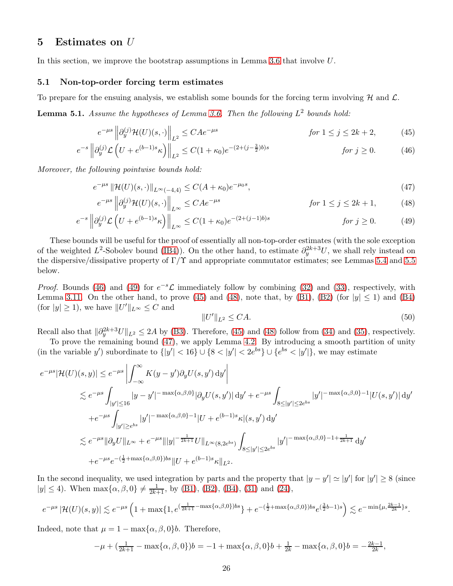# <span id="page-25-0"></span>5 Estimates on U

In this section, we improve the bootstrap assumptions in Lemma [3.6](#page-16-0) that involve U.

#### 5.1 Non-top-order forcing term estimates

To prepare for the ensuing analysis, we establish some bounds for the forcing term involving  $H$  and  $\mathcal{L}$ .

<span id="page-25-1"></span>**Lemma 5.1.** Assume the hypotheses of Lemma [3.6.](#page-16-0) Then the following  $L^2$  bounds hold:

$$
e^{-\mu s} \left\| \partial_y^{(j)} \mathcal{H}(U)(s, \cdot) \right\|_{L^2} \le C A e^{-\mu s} \qquad \text{for } 1 \le j \le 2k+2,\tag{45}
$$

$$
e^{-s} \left\| \partial_y^{(j)} \mathcal{L} \left( U + e^{(b-1)s} \kappa \right) \right\|_{L^2} \le C(1 + \kappa_0) e^{-(2 + (j - \frac{3}{2})b)s} \qquad \text{for } j \ge 0. \tag{46}
$$

Moreover, the following pointwise bounds hold:

$$
e^{-\mu s} \|\mathcal{H}(U)(s,\cdot)\|_{L^{\infty}(-4,4)} \le C(A+\kappa_0)e^{-\mu_0 s},\tag{47}
$$

$$
e^{-\mu s} \left\| \partial_y^{(j)} \mathcal{H}(U)(s, \cdot) \right\|_{L^\infty} \le C A e^{-\mu s} \qquad \text{for } 1 \le j \le 2k+1,\tag{48}
$$

$$
e^{-s} \left\| \partial_y^{(j)} \mathcal{L} \left( U + e^{(b-1)s} \kappa \right) \right\|_{L^\infty} \le C(1 + \kappa_0) e^{-(2 + (j-1)b)s} \qquad \text{for } j \ge 0. \tag{49}
$$

These bounds will be useful for the proof of essentially all non-top-order estimates (with the sole exception of the weighted  $L^2$ -Sobolev bound [\(IB4\)](#page-16-0)). On the other hand, to estimate  $\partial_y^{2k+3}U$ , we shall rely instead on the dispersive/dissipative property of  $\Gamma/\Upsilon$  and appropriate commutator estimates; see Lemmas [5.4](#page-33-0) and [5.5](#page-34-0) below.

*Proof.* Bounds [\(46\)](#page-25-2) and [\(49\)](#page-25-3) for  $e^{-s}\mathcal{L}$  immediately follow by combining [\(32\)](#page-20-0) and [\(33\)](#page-20-1), respectively, with Lemma [3.11.](#page-17-3) On the other hand, to prove [\(45\)](#page-25-4) and [\(48\)](#page-25-5), note that, by [\(B1\)](#page-16-0), [\(B2\)](#page-16-0) (for  $|y| \le 1$ ) and [\(B4\)](#page-16-0) (for  $|y| \ge 1$ ), we have  $||U'||_{L^{\infty}} \le C$  and

<span id="page-25-7"></span><span id="page-25-6"></span><span id="page-25-5"></span><span id="page-25-4"></span><span id="page-25-3"></span><span id="page-25-2"></span>
$$
||U'||_{L^2} \le CA.
$$
\n
$$
(50)
$$

Recall also that  $\|\partial_y^{2k+3}U\|_{L^2} \le 2A$  by [\(B3\)](#page-16-0). Therefore, [\(45\)](#page-25-4) and [\(48\)](#page-25-5) follow from [\(34\)](#page-20-2) and [\(35\)](#page-20-3), respectively.

To prove the remaining bound [\(47\)](#page-25-6), we apply Lemma [4.2.](#page-20-4) By introducing a smooth partition of unity (in the variable y') subordinate to  $\{|y'| < 16$   $\cup$   $\{8 < |y'| < 2e^{bs}\}$   $\cup$   $\{e^{bs} < |y'|$ , we may estimate

$$
e^{-\mu s} |\mathcal{H}(U)(s,y)| \leq e^{-\mu s} \left| \int_{-\infty}^{\infty} K(y-y') \partial_y U(s,y') \, dy' \right|
$$
  
\n
$$
\leq e^{-\mu s} \int_{|y'| \leq 16} |y-y'|^{-\max\{\alpha,\beta,0\}} |\partial_y U(s,y')| \, dy' + e^{-\mu s} \int_{8 \leq |y'| \leq 2e^{bs}} |y'|^{-\max\{\alpha,\beta,0\}-1} |U(s,y')| \, dy'
$$
  
\n
$$
+ e^{-\mu s} \int_{|y'| \geq e^{bs}} |y'|^{-\max\{\alpha,\beta,0\}-1} |U + e^{(b-1)s} \kappa|(s,y') \, dy'
$$
  
\n
$$
\leq e^{-\mu s} ||\partial_y U||_{L^{\infty}} + e^{-\mu s} |||y|^{-\frac{1}{2k+1}} U||_{L^{\infty}(8,2e^{bs})} \int_{8 \leq |y'| \leq 2e^{bs}} |y'|^{-\max\{\alpha,\beta,0\}-1+\frac{1}{2k+1}} \, dy'
$$
  
\n
$$
+ e^{-\mu s} e^{-(\frac{1}{2} + \max\{\alpha,\beta,0\})bs} ||U + e^{(b-1)s} \kappa||_{L^2}.
$$

In the second inequality, we used integration by parts and the property that  $|y - y'| \simeq |y'|$  for  $|y'| \geq 8$  (since  $|y| \le 4$ ). When  $\max{\{\alpha, \beta, 0\}} \ne \frac{1}{2k+1}$ , by [\(B1\)](#page-16-0), [\(B2\)](#page-16-0), [\(B4\)](#page-16-0), [\(31\)](#page-19-1) and [\(24\)](#page-17-2),

$$
e^{-\mu s} \left| \mathcal{H}(U)(s,y) \right| \lesssim e^{-\mu s} \left( 1 + \max\{1, e^{(\frac{1}{2k+1} - \max\{\alpha,\beta,0\})bs}\} + e^{-(\frac{1}{2} + \max\{\alpha,\beta,0\})bs} e^{(\frac{3}{2}b-1)s} \right) \lesssim e^{-\min\{\mu, \frac{2k-1}{2k}\}s}.
$$

Indeed, note that  $\mu = 1 - \max{\{\alpha, \beta, 0\}}b$ . Therefore,

$$
-\mu + (\frac{1}{2k+1} - \max{\alpha, \beta, 0})b = -1 + \max{\alpha, \beta, 0}b + \frac{1}{2k} - \max{\alpha, \beta, 0}b = -\frac{2k-1}{2k},
$$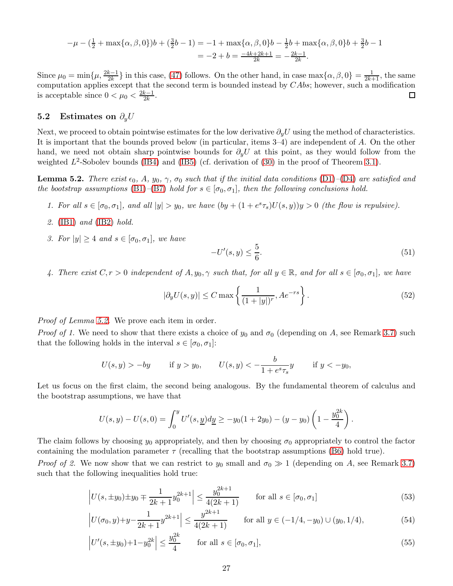$$
-\mu - \left(\frac{1}{2} + \max\{\alpha, \beta, 0\}\right)b + \left(\frac{3}{2}b - 1\right) = -1 + \max\{\alpha, \beta, 0\}b - \frac{1}{2}b + \max\{\alpha, \beta, 0\}b + \frac{3}{2}b - 1
$$
  
= -2 + b =  $\frac{-4k + 2k + 1}{2k} = -\frac{2k - 1}{2k}$ .

Since  $\mu_0 = \min\{\mu, \frac{2k-1}{2k}\}\$ in this case, [\(47\)](#page-25-6) follows. On the other hand, in case  $\max\{\alpha, \beta, 0\} = \frac{1}{2k+1}$ , the same computation applies except that the second term is bounded instead by CAbs; however, such a modification is acceptable since  $0 < \mu_0 < \frac{2k-1}{2k}$  $\frac{k-1}{2k}$ . □

### 5.2 Estimates on  $\partial_y U$

Next, we proceed to obtain pointwise estimates for the low derivative  $\partial_y U$  using the method of characteristics. It is important that the bounds proved below (in particular, items 3–4) are independent of A. On the other hand, we need not obtain sharp pointwise bounds for  $\partial_y U$  at this point, as they would follow from the weighted  $L^2$ -Sobolev bounds [\(IB4\)](#page-16-0) and [\(IB5\)](#page-16-0) (cf. derivation of [\(30\)](#page-19-2) in the proof of Theorem [3.1\)](#page-14-0).

<span id="page-26-0"></span>**Lemma 5.2.** There exist  $\epsilon_0$ , A,  $y_0$ ,  $\gamma$ ,  $\sigma_0$  such that if the initial data conditions [\(D1\)](#page-15-1)–[\(D4\)](#page-15-1) are satisfied and the bootstrap assumptions [\(B1\)](#page-16-0)–[\(B7\)](#page-16-0) hold for  $s \in [\sigma_0, \sigma_1]$ , then the following conclusions hold.

- 1. For all  $s \in [\sigma_0, \sigma_1]$ , and all  $|y| > y_0$ , we have  $(by + (1 + e^s \tau_s)U(s, y))y > 0$  (the flow is repulsive).
- 2. [\(IB1\)](#page-16-0) and [\(IB2\)](#page-16-0) hold.
- 3. For  $|y| \geq 4$  and  $s \in [\sigma_0, \sigma_1]$ , we have

<span id="page-26-5"></span><span id="page-26-4"></span><span id="page-26-3"></span>
$$
-U'(s,y) \le \frac{5}{6}.\tag{51}
$$

4. There exist  $C, r > 0$  independent of  $A, y_0, \gamma$  such that, for all  $y \in \mathbb{R}$ , and for all  $s \in [\sigma_0, \sigma_1]$ , we have

$$
|\partial_y U(s, y)| \le C \max\left\{ \frac{1}{(1+|y|)^r}, Ae^{-rs} \right\}.
$$
\n
$$
(52)
$$

*Proof of Lemma [5.2.](#page-26-0)* We prove each item in order.

*Proof of 1.* We need to show that there exists a choice of  $y_0$  and  $\sigma_0$  (depending on A, see Remark [3.7\)](#page-17-4) such that the following holds in the interval  $s \in [\sigma_0, \sigma_1]$ :

$$
U(s, y) > -by
$$
 if  $y > y_0$ ,  $U(s, y) < -\frac{b}{1 + e^s \tau_s}y$  if  $y < -y_0$ ,

Let us focus on the first claim, the second being analogous. By the fundamental theorem of calculus and the bootstrap assumptions, we have that

$$
U(s,y) - U(s,0) = \int_0^y U'(s, \underline{y}) d\underline{y} \ge -y_0(1+2y_0) - (y-y_0) \left(1 - \frac{y_0^{2k}}{4}\right).
$$

The claim follows by choosing  $y_0$  appropriately, and then by choosing  $\sigma_0$  appropriately to control the factor containing the modulation parameter  $\tau$  (recalling that the bootstrap assumptions [\(B6\)](#page-16-0) hold true).

*Proof of 2.* We now show that we can restrict to  $y_0$  small and  $\sigma_0 \gg 1$  (depending on A, see Remark [3.7\)](#page-17-4) such that the following inequalities hold true:

$$
\left| U(s, \pm y_0) \pm y_0 \mp \frac{1}{2k+1} y_0^{2k+1} \right| \le \frac{y_0^{2k+1}}{4(2k+1)} \qquad \text{for all } s \in [\sigma_0, \sigma_1]
$$
\n
$$
(53)
$$

$$
\left| U(\sigma_0, y) + y - \frac{1}{2k+1} y^{2k+1} \right| \le \frac{y^{2k+1}}{4(2k+1)} \qquad \text{for all } y \in (-1/4, -y_0) \cup (y_0, 1/4), \tag{54}
$$

<span id="page-26-2"></span><span id="page-26-1"></span>
$$
\left| U'(s, \pm y_0) + 1 - y_0^{2k} \right| \le \frac{y_0^{2k}}{4} \qquad \text{for all } s \in [\sigma_0, \sigma_1], \tag{55}
$$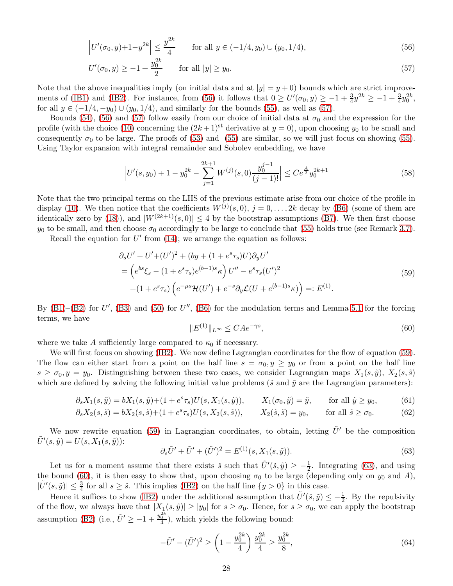$$
\left| U'(\sigma_0, y) + 1 - y^{2k} \right| \le \frac{y^{2k}}{4} \qquad \text{for all } y \in (-1/4, y_0) \cup (y_0, 1/4), \tag{56}
$$

$$
U'(\sigma_0, y) \ge -1 + \frac{y_0^{2k}}{2} \qquad \text{for all } |y| \ge y_0. \tag{57}
$$

Note that the above inequalities imply (on initial data and at  $|y| = y + 0$ ) bounds which are strict improve-ments of [\(IB1\)](#page-16-0) and [\(IB2\)](#page-16-0). For instance, from [\(56\)](#page-27-0) it follows that  $0 \ge U'(\sigma_0, y) \ge -1 + \frac{3}{4}y^{2k} \ge -1 + \frac{3}{4}y_0^{2k}$ , for all  $y \in (-1/4, -y_0) \cup (y_0, 1/4)$ , and similarly for the bounds [\(55\)](#page-26-1), as well as [\(57\)](#page-27-1).

Bounds [\(54\)](#page-26-2), [\(56\)](#page-27-0) and [\(57\)](#page-27-1) follow easily from our choice of initial data at  $\sigma_0$  and the expression for the profile (with the choice [\(10\)](#page-10-4) concerning the  $(2k+1)$ <sup>st</sup> derivative at  $y=0$ ), upon choosing  $y_0$  to be small and consequently  $\sigma_0$  to be large. The proofs of [\(53\)](#page-26-3) and [\(55\)](#page-26-1) are similar, so we will just focus on showing (55). Using Taylor expansion with integral remainder and Sobolev embedding, we have

<span id="page-27-1"></span><span id="page-27-0"></span>
$$
\left| U'(s, y_0) + 1 - y_0^{2k} - \sum_{j=1}^{2k+1} W^{(j)}(s, 0) \frac{y_0^{j-1}}{(j-1)!} \right| \le C e^{\frac{A}{2}} y_0^{2k+1}
$$
\n
$$
(58)
$$

Note that the two principal terms on the LHS of the previous estimate arise from our choice of the profile in display [\(10\)](#page-10-4). We then notice that the coefficients  $W^{(j)}(s,0), j = 0,\ldots, 2k$  decay by [\(B6\)](#page-16-0) (some of them are identically zero by [\(18\)](#page-12-5)), and  $|W^{(2k+1)}(s, 0)| \leq 4$  by the bootstrap assumptions [\(B7\)](#page-16-0). We then first choose  $y_0$  to be small, and then choose  $\sigma_0$  accordingly to be large to conclude that [\(55\)](#page-26-1) holds true (see Remark [3.7\)](#page-17-4).

Recall the equation for  $U'$  from [\(14\)](#page-11-2); we arrange the equation as follows:

$$
\partial_s U' + U' + (U')^2 + (by + (1 + e^s \tau_s)U) \partial_y U'
$$
  
=  $\left( e^{bs} \xi_s - (1 + e^s \tau_s) e^{(b-1)s} \kappa \right) U'' - e^s \tau_s (U')^2$   
+  $(1 + e^s \tau_s) \left( e^{-\mu s} \mathcal{H}(U') + e^{-s} \partial_y \mathcal{L}(U + e^{(b-1)s} \kappa) \right) =: E^{(1)}.$  (59)

By  $(B1)$ – $(B2)$  for U',  $(B3)$  and  $(50)$  for U'',  $(B6)$  for the modulation terms and Lemma [5.1](#page-25-1) for the forcing terms, we have

<span id="page-27-8"></span><span id="page-27-7"></span><span id="page-27-6"></span><span id="page-27-4"></span><span id="page-27-2"></span>
$$
||E^{(1)}||_{L^{\infty}} \le C A e^{-\gamma s},\tag{60}
$$

where we take A sufficiently large compared to  $\kappa_0$  if necessary.

We will first focus on showing [\(IB2\)](#page-16-0). We now define Lagrangian coordinates for the flow of equation [\(59\)](#page-27-2). The flow can either start from a point on the half line  $s = \sigma_0, y \ge y_0$  or from a point on the half line  $s \ge \sigma_0, y = y_0$ . Distinguishing between these two cases, we consider Lagrangian maps  $X_1(s, \tilde{y}), X_2(s, \tilde{s})$ which are defined by solving the following initial value problems ( $\tilde{s}$  and  $\tilde{y}$  are the Lagrangian parameters):

$$
\partial_s X_1(s, \tilde{y}) = bX_1(s, \tilde{y}) + (1 + e^s \tau_s) U(s, X_1(s, \tilde{y})), \qquad X_1(\sigma_0, \tilde{y}) = \tilde{y}, \qquad \text{for all } \tilde{y} \ge y_0,\tag{61}
$$

$$
\partial_s X_2(s,\tilde{s}) = bX_2(s,\tilde{s}) + (1 + e^s \tau_s)U(s,X_2(s,\tilde{s})), \qquad X_2(\tilde{s},\tilde{s}) = y_0, \qquad \text{for all } \tilde{s} \ge \sigma_0. \tag{62}
$$

We now rewrite equation [\(59\)](#page-27-2) in Lagrangian coordinates, to obtain, letting  $\tilde{U}'$  be the composition  $\tilde{U}'(s, \tilde{y}) = U(s, X_1(s, \tilde{y})).$ 

<span id="page-27-3"></span>
$$
\partial_s \tilde{U}' + \tilde{U}' + (\tilde{U}')^2 = E^{(1)}(s, X_1(s, \tilde{y})).
$$
\n(63)

Let us for a moment assume that there exists  $\check{s}$  such that  $\tilde{U}'(\check{s}, \tilde{y}) \geq -\frac{1}{2}$ . Integrating [\(63\)](#page-27-3), and using the bound [\(60\)](#page-27-4), it is then easy to show that, upon choosing  $\sigma_0$  to be large (depending only on  $y_0$  and A),  $|\tilde{U}'(s,\tilde{y})| \leq \frac{3}{4}$  for all  $s \geq \tilde{s}$ . This implies [\(IB2\)](#page-16-0) on the half line  $\{y > 0\}$  in this case.

Hence it suffices to show [\(IB2\)](#page-16-0) under the additional assumption that  $\tilde{U}'(\tilde{s}, \tilde{y}) \leq -\frac{1}{2}$ . By the repulsivity of the flow, we always have that  $|X_1(s, \tilde{y})| \ge |y_0|$  for  $s \ge \sigma_0$ . Hence, for  $s \ge \sigma_0$ , we can apply the bootstrap assumption [\(B2\)](#page-16-0) (i.e.,  $\tilde{U}' \ge -1 + \frac{y_0^{2k}}{4}$ ), which yields the following bound:

<span id="page-27-5"></span>
$$
-\tilde{U}' - (\tilde{U}')^2 \ge \left(1 - \frac{y_0^{2k}}{4}\right) \frac{y_0^{2k}}{4} \ge \frac{y_0^{2k}}{8},\tag{64}
$$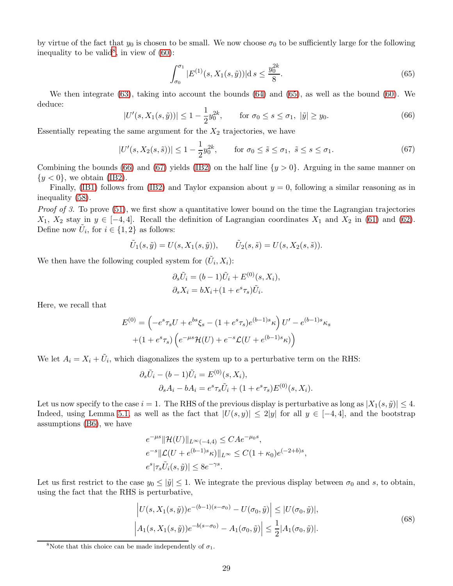by virtue of the fact that  $y_0$  is chosen to be small. We now choose  $\sigma_0$  to be sufficiently large for the following inequality to be valid<sup>[8](#page-28-0)</sup>, in view of  $(60)$ :

<span id="page-28-3"></span><span id="page-28-2"></span><span id="page-28-1"></span>
$$
\int_{\sigma_0}^{\sigma_1} |E^{(1)}(s, X_1(s, \tilde{y}))| \, \mathrm{d} s \le \frac{y_0^{2k}}{8}.\tag{65}
$$

We then integrate [\(63\)](#page-27-3), taking into account the bounds [\(64\)](#page-27-5) and [\(65\)](#page-28-1), as well as the bound [\(60\)](#page-27-4). We deduce:

$$
|U'(s, X_1(s, \tilde{y}))| \le 1 - \frac{1}{2} y_0^{2k}, \qquad \text{for } \sigma_0 \le s \le \sigma_1, \ |\tilde{y}| \ge y_0. \tag{66}
$$

Essentially repeating the same argument for the  $X_2$  trajectories, we have

$$
|U'(s, X_2(s, \tilde{s}))| \le 1 - \frac{1}{2}y_0^{2k}, \qquad \text{for } \sigma_0 \le \tilde{s} \le \sigma_1, \ \tilde{s} \le s \le \sigma_1. \tag{67}
$$

Combining the bounds [\(66\)](#page-28-2) and [\(67\)](#page-28-3) yields [\(IB2\)](#page-16-0) on the half line  $\{y > 0\}$ . Arguing in the same manner on  $\{y < 0\}$ , we obtain [\(IB2\)](#page-16-0).

Finally, [\(IB1\)](#page-16-0) follows from [\(IB2\)](#page-16-0) and Taylor expansion about  $y = 0$ , following a similar reasoning as in inequality [\(58\)](#page-27-6).

Proof of 3. To prove [\(51\)](#page-26-4), we first show a quantitative lower bound on the time the Lagrangian trajectories  $X_1, X_2$  stay in  $y \in [-4, 4]$ . Recall the definition of Lagrangian coordinates  $X_1$  and  $X_2$  in [\(61\)](#page-27-7) and [\(62\)](#page-27-8). Define now  $\tilde{U}_i$ , for  $i \in \{1, 2\}$  as follows:

$$
\tilde{U}_1(s,\tilde{y})=U(s,X_1(s,\tilde{y})),\qquad \tilde{U}_2(s,\tilde{s})=U(s,X_2(s,\tilde{s})).
$$

We then have the following coupled system for  $(\tilde{U}_i, X_i)$ :

$$
\partial_s \tilde{U}_i = (b-1)\tilde{U}_i + E^{(0)}(s, X_i),
$$
  

$$
\partial_s X_i = bX_i + (1 + e^s \tau_s) \tilde{U}_i.
$$

Here, we recall that

$$
E^{(0)} = \left(-e^s \tau_s U + e^{bs} \xi_s - (1 + e^s \tau_s) e^{(b-1)s} \kappa\right) U' - e^{(b-1)s} \kappa_s
$$

$$
+ (1 + e^s \tau_s) \left(e^{-\mu s} \mathcal{H}(U) + e^{-s} \mathcal{L}(U + e^{(b-1)s} \kappa)\right)
$$

We let  $A_i = X_i + \tilde{U}_i$ , which diagonalizes the system up to a perturbative term on the RHS:

$$
\partial_s \tilde{U}_i - (b-1)\tilde{U}_i = E^{(0)}(s, X_i),
$$
  

$$
\partial_s A_i - bA_i = e^s \tau_s \tilde{U}_i + (1 + e^s \tau_s) E^{(0)}(s, X_i).
$$

Let us now specify to the case  $i = 1$ . The RHS of the previous display is perturbative as long as  $|X_1(s, \tilde{y})| \leq 4$ . Indeed, using Lemma [5.1,](#page-25-1) as well as the fact that  $|U(s, y)| \leq 2|y|$  for all  $y \in [-4, 4]$ , and the bootstrap assumptions [\(B6\)](#page-16-0), we have

$$
e^{-\mu s} \|\mathcal{H}(U)\|_{L^{\infty}(-4,4)} \leq C A e^{-\mu_0 s},
$$
  
\n
$$
e^{-s} \|\mathcal{L}(U + e^{(b-1)s}\kappa)\|_{L^{\infty}} \leq C(1 + \kappa_0) e^{(-2+b)s},
$$
  
\n
$$
e^{s} |\tau_s \tilde{U}_i(s,\tilde{y})| \leq 8 e^{-\gamma s}.
$$

Let us first restrict to the case  $y_0 \leq |\tilde{y}| \leq 1$ . We integrate the previous display between  $\sigma_0$  and s, to obtain, using the fact that the RHS is perturbative,

<span id="page-28-4"></span>
$$
\left| U(s, X_1(s, \tilde{y})) e^{-(b-1)(s-\sigma_0)} - U(\sigma_0, \tilde{y}) \right| \le |U(\sigma_0, \tilde{y})|,
$$
  

$$
\left| A_1(s, X_1(s, \tilde{y})) e^{-b(s-\sigma_0)} - A_1(\sigma_0, \tilde{y}) \right| \le \frac{1}{2} |A_1(\sigma_0, \tilde{y})|.
$$
 (68)

<span id="page-28-0"></span><sup>&</sup>lt;sup>8</sup>Note that this choice can be made independently of  $\sigma_1$ .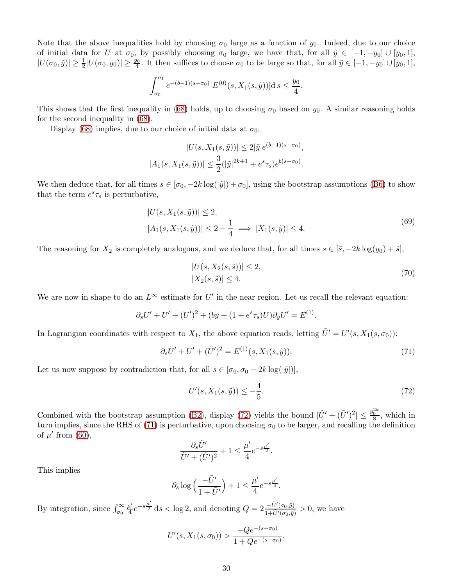Note that the above inequalities hold by choosing  $\sigma_0$  large as a function of  $y_0$ . Indeed, due to our choice of initial data for U at  $\sigma_0$ , by possibly choosing  $\sigma_0$  large, we have that, for all  $\tilde{y} \in [-1, -y_0] \cup [y_0, 1]$ ,  $|U(\sigma_0, \tilde{y})| \geq \frac{1}{2}|U(\sigma_0, y_0)| \geq \frac{y_0}{4}$ . It then suffices to choose  $\sigma_0$  to be large so that, for all  $\tilde{y} \in [-1, -y_0] \cup [y_0, 1]$ ,

$$
\int_{\sigma_0}^{\sigma_1} e^{-(b-1)(s-\sigma_0)} |E^{(0)}(s, X_1(s, \tilde{y}))| ds \le \frac{y_0}{4}.
$$

This shows that the first inequality in [\(68\)](#page-28-4) holds, up to choosing  $\sigma_0$  based on  $y_0$ . A similar reasoning holds for the second inequality in [\(68\)](#page-28-4).

Display [\(68\)](#page-28-4) implies, due to our choice of initial data at  $\sigma_0$ ,

$$
|U(s, X_1(s, \tilde{y}))| \le 2|\tilde{y}|e^{(b-1)(s-\sigma_0)},
$$
  

$$
|A_1(s, X_1(s, \tilde{y}))| \le \frac{3}{2}(|\tilde{y}|^{2k+1} + e^s \tau_s)e^{b(s-\sigma_0)}.
$$

We then deduce that, for all times  $s \in [\sigma_0, -2k \log(|\tilde{y}|) + \sigma_0]$ , using the bootstrap assumptions [\(B6\)](#page-16-0) to show that the term  $e^s \tau_s$  is perturbative,

$$
|U(s, X_1(s, \tilde{y}))| \le 2,|A_1(s, X_1(s, \tilde{y}))| \le 2 - \frac{1}{4} \implies |X_1(s, \tilde{y})| \le 4.
$$
\n(69)

The reasoning for  $X_2$  is completely analogous, and we deduce that, for all times  $s \in [\tilde{s}, -2k \log(y_0) + \tilde{s}]$ ,

<span id="page-29-3"></span><span id="page-29-2"></span>
$$
|U(s, X_2(s, \tilde{s}))| \le 2,
$$
  
\n
$$
|X_2(s, \tilde{s})| \le 4.
$$
\n(70)

We are now in shape to do an  $L^{\infty}$  estimate for U' in the near region. Let us recall the relevant equation:

$$
\partial_s U' + U' + (U')^2 + (by + (1 + e^s \tau_s)U)\partial_y U' = E^{(1)}.
$$

In Lagrangian coordinates with respect to  $X_1$ , the above equation reads, letting  $\tilde{U}' = U'(s, X_1(s, \sigma_0))$ :

$$
\partial_s \tilde{U}' + \tilde{U}' + (\tilde{U}')^2 = E^{(1)}(s, X_1(s, \tilde{y})).
$$
\n(71)

Let us now suppose by contradiction that, for all  $s \in [\sigma_0, \sigma_0 - 2k \log(|\tilde{y}|)],$ 

<span id="page-29-1"></span><span id="page-29-0"></span>
$$
U'(s, X_1(s, \tilde{y})) \le -\frac{4}{5}.\tag{72}
$$

Combined with the bootstrap assumption [\(B2\)](#page-16-0), display [\(72\)](#page-29-0) yields the bound  $|\tilde{U}' + (\tilde{U}')^2| \leq \frac{y_0^{2k}}{8}$ , which in turn implies, since the RHS of [\(71\)](#page-29-1) is perturbative, upon choosing  $\sigma_0$  to be larger, and recalling the definition of  $\mu'$  from [\(60\)](#page-27-4),

$$
\frac{\partial_s \tilde{U}'}{\tilde{U}' + (\tilde{U}')^2} + 1 \le \frac{\mu'}{4} e^{-s\frac{\mu'}{2}}.
$$

This implies

$$
\partial_s \log \left( \frac{-\tilde{U}'}{1+\tilde{U}'} \right) + 1 \leq \frac{\mu'}{4} e^{-s\frac{\mu'}{2}}.
$$

By integration, since  $\int_{\sigma_0}^{\infty}$  $\mu'$  $\frac{d^2}{4}e^{-s\frac{\mu'}{2}}$  ds < log 2, and denoting  $Q=2\frac{-\tilde{U}'(\sigma_0,\tilde{y})}{1+\tilde{U}'(\sigma_0,\tilde{y})}$  $\frac{-U(\sigma_0, y)}{1+\tilde{U}'(\sigma_0, \tilde{y})} > 0$ , we have

$$
U'(s, X_1(s, \sigma_0)) > \frac{-Qe^{-(s-\sigma_0)}}{1 + Qe^{-(s-\sigma_0)}}.
$$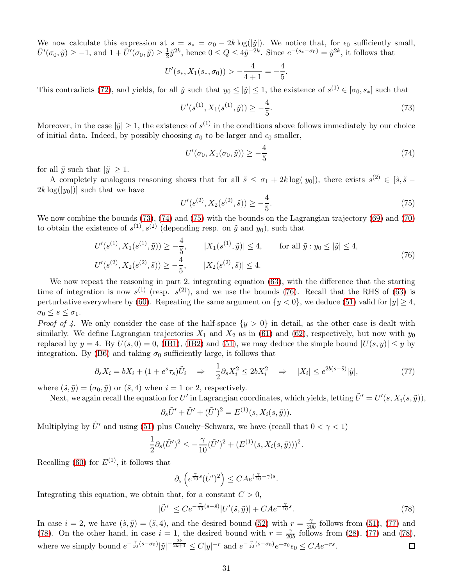We now calculate this expression at  $s = s_* = \sigma_0 - 2k \log(|\tilde{y}|)$ . We notice that, for  $\epsilon_0$  sufficiently small,  $\tilde{U}'(\sigma_0, \tilde{y}) \ge -1$ , and  $1 + \tilde{U}'(\sigma_0, \tilde{y}) \ge \frac{1}{2}$  $\frac{1}{2}\tilde{y}^{2k}$ , hence  $0 \le Q \le 4\tilde{y}^{-2k}$ . Since  $e^{-(s_*-\sigma_0)} = \tilde{y}^{2k}$ , it follows that

$$
U'(s_*, X_1(s_*, \sigma_0)) > -\frac{4}{4+1} = -\frac{4}{5}.
$$

This contradicts [\(72\)](#page-29-0), and yields, for all  $\tilde{y}$  such that  $y_0 \leq |\tilde{y}| \leq 1$ , the existence of  $s^{(1)} \in [\sigma_0, s_*]$  such that

$$
U'(s^{(1)}, X_1(s^{(1)}, \tilde{y})) \ge -\frac{4}{5}.\tag{73}
$$

Moreover, in the case  $|\tilde{y}| \geq 1$ , the existence of  $s^{(1)}$  in the conditions above follows immediately by our choice of initial data. Indeed, by possibly choosing  $\sigma_0$  to be larger and  $\epsilon_0$  smaller,

<span id="page-30-1"></span><span id="page-30-0"></span>
$$
U'(\sigma_0, X_1(\sigma_0, \tilde{y})) \ge -\frac{4}{5}
$$
\n(74)

for all  $\tilde{y}$  such that  $|\tilde{y}| \geq 1$ .

A completely analogous reasoning shows that for all  $\tilde{s} \leq \sigma_1 + 2k \log(|y_0|)$ , there exists  $s^{(2)} \in [\tilde{s}, \tilde{s} 2k \log(|y_0|)$  such that we have

<span id="page-30-3"></span><span id="page-30-2"></span>
$$
U'(s^{(2)}, X_2(s^{(2)}, \tilde{s})) \ge -\frac{4}{5}.\tag{75}
$$

We now combine the bounds [\(73\)](#page-30-0), [\(74\)](#page-30-1) and [\(75\)](#page-30-2) with the bounds on the Lagrangian trajectory [\(69\)](#page-29-2) and [\(70\)](#page-29-3) to obtain the existence of  $s^{(1)}, s^{(2)}$  (depending resp. on  $\tilde{y}$  and  $y_0$ ), such that

$$
U'(s^{(1)}, X_1(s^{(1)}, \tilde{y})) \ge -\frac{4}{5}, \qquad |X_1(s^{(1)}, \tilde{y})| \le 4, \qquad \text{for all } \tilde{y} : y_0 \le |\tilde{y}| \le 4,
$$
  

$$
U'(s^{(2)}, X_2(s^{(2)}, \tilde{s})) \ge -\frac{4}{5}, \qquad |X_2(s^{(2)}, \tilde{s})| \le 4.
$$
 (76)

We now repeat the reasoning in part 2. integrating equation [\(63\)](#page-27-3), with the difference that the starting time of integration is now  $s^{(1)}$  (resp.  $s^{(2)}$ ), and we use the bounds [\(76\)](#page-30-3). Recall that the RHS of [\(63\)](#page-27-3) is perturbative everywhere by [\(60\)](#page-27-4). Repeating the same argument on  $\{y < 0\}$ , we deduce [\(51\)](#page-26-4) valid for  $|y| \ge 4$ ,  $\sigma_0 \leq s \leq \sigma_1.$ 

*Proof of 4.* We only consider the case of the half-space  $\{y > 0\}$  in detail, as the other case is dealt with similarly. We define Lagrangian trajectories  $X_1$  and  $X_2$  as in [\(61\)](#page-27-7) and [\(62\)](#page-27-8), respectively, but now with  $y_0$ replaced by  $y = 4$ . By  $U(s, 0) = 0$ , [\(IB1\)](#page-16-0), [\(IB2\)](#page-16-0) and [\(51\)](#page-26-4), we may deduce the simple bound  $|U(s, y)| \leq y$  by integration. By [\(B6\)](#page-16-0) and taking  $\sigma_0$  sufficiently large, it follows that

$$
\partial_s X_i = bX_i + (1 + e^s \tau_s) \tilde{U}_i \quad \Rightarrow \quad \frac{1}{2} \partial_s X_i^2 \le 2bX_i^2 \quad \Rightarrow \quad |X_i| \le e^{2b(s-\tilde{s})} |\tilde{y}|,\tag{77}
$$

where  $(\tilde{s}, \tilde{y}) = (\sigma_0, \tilde{y})$  or  $(\tilde{s}, 4)$  when  $i = 1$  or 2, respectively.

Next, we again recall the equation for  $U'$  in Lagrangian coordinates, which yields, letting  $\tilde{U}'=U'(s,X_i(s,\tilde{y})),$ 

<span id="page-30-4"></span>
$$
\partial_s \tilde{U}' + \tilde{U}' + (\tilde{U}')^2 = E^{(1)}(s, X_i(s, \tilde{y})).
$$

Multiplying by  $\tilde{U}'$  and using [\(51\)](#page-26-4) plus Cauchy–Schwarz, we have (recall that  $0 < \gamma < 1$ )

$$
\frac{1}{2}\partial_s(\tilde{U}')^2 \leq -\frac{\gamma}{10}(\tilde{U}')^2 + (E^{(1)}(s, X_i(s, \tilde{y})))^2.
$$

Recalling [\(60\)](#page-27-4) for  $E^{(1)}$ , it follows that

<span id="page-30-5"></span>
$$
\partial_s \left( e^{\frac{\gamma}{10}s} (\tilde{U}')^2 \right) \leq C A e^{(\frac{\gamma}{10} - \gamma)s}.
$$

Integrating this equation, we obtain that, for a constant  $C > 0$ ,

$$
|\tilde{U}'| \le Ce^{-\frac{\gamma}{10}(s-\tilde{s})}|U'(\tilde{s},\tilde{y})| + CAe^{-\frac{\gamma}{10}s}.\tag{78}
$$

In case  $i = 2$ , we have  $(\tilde{s}, \tilde{y}) = (\tilde{s}, 4)$ , and the desired bound [\(52\)](#page-26-5) with  $r = \frac{\gamma}{20}$  $\frac{\gamma}{20b}$  follows from [\(51\)](#page-26-4), [\(77\)](#page-30-4) and [\(78\)](#page-30-5). On the other hand, in case  $i = 1$ , the desired bound with  $r = \frac{2}{20}$  $\frac{\gamma}{20b}$  follows from [\(28\)](#page-18-2), [\(77\)](#page-30-4) and [\(78\)](#page-30-5), where we simply bound  $e^{-\frac{\gamma}{10}(s-\sigma_0)}|\tilde{y}|^{-\frac{2k}{2k+1}} \leq C|y|^{-r}$  and  $e^{-\frac{\gamma}{10}(s-\sigma_0)}e^{-\sigma_0}\epsilon_0 \leq CAe^{-rs}$ .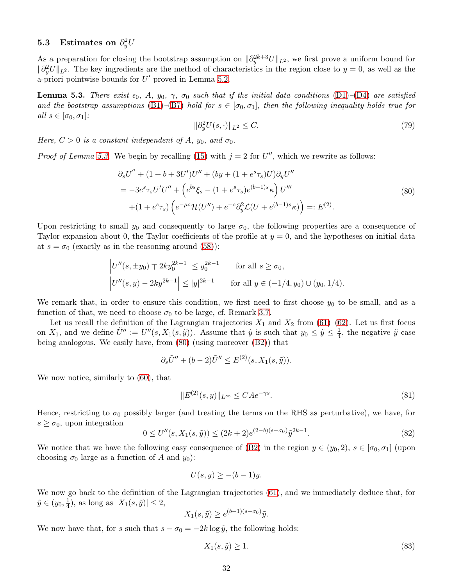# 5.3 Estimates on  $\partial_y^2 U$

As a preparation for closing the bootstrap assumption on  $\|\partial_y^{2k+3}U\|_{L^2}$ , we first prove a uniform bound for  $\|\partial_y^2 U\|_{L^2}$ . The key ingredients are the method of characteristics in the region close to  $y = 0$ , as well as the a-priori pointwise bounds for  $U'$  proved in Lemma [5.2.](#page-26-0)

<span id="page-31-0"></span>**Lemma 5.3.** There exist  $\epsilon_0$ , A,  $y_0$ ,  $\gamma$ ,  $\sigma_0$  such that if the initial data conditions [\(D1\)](#page-15-1)–[\(D4\)](#page-15-1) are satisfied and the bootstrap assumptions [\(B1\)](#page-16-0)–[\(B7\)](#page-16-0) hold for  $s \in [\sigma_0, \sigma_1]$ , then the following inequality holds true for all  $s \in [\sigma_0, \sigma_1]$ :

<span id="page-31-5"></span><span id="page-31-1"></span>
$$
\|\partial_y^2 U(s,\cdot)\|_{L^2} \le C. \tag{79}
$$

Here,  $C > 0$  is a constant independent of A,  $y_0$ , and  $\sigma_0$ .

*Proof of Lemma [5.3.](#page-31-0)* We begin by recalling [\(15\)](#page-11-3) with  $j = 2$  for U'', which we rewrite as follows:

$$
\partial_s U'' + (1 + b + 3U')U'' + (by + (1 + e^s \tau_s)U)\partial_y U''
$$
  
=  $-3e^s \tau_s U'U'' + \left(e^{bs}\xi_s - (1 + e^s \tau_s)e^{(b-1)s}\kappa\right)U'''$   
+  $(1 + e^s \tau_s)\left(e^{-\mu s}\mathcal{H}(U'') + e^{-s}\partial_y^2 \mathcal{L}(U + e^{(b-1)s}\kappa)\right) =: E^{(2)}.$  (80)

Upon restricting to small  $y_0$  and consequently to large  $\sigma_0$ , the following properties are a consequence of Taylor expansion about 0, the Taylor coefficients of the profile at  $y = 0$ , and the hypotheses on initial data at  $s = \sigma_0$  (exactly as in the reasoning around [\(58\)](#page-27-6)):

$$
\left| U''(s, \pm y_0) \mp 2ky_0^{2k-1} \right| \le y_0^{2k-1} \quad \text{for all } s \ge \sigma_0,
$$
  

$$
\left| U''(s, y) - 2ky^{2k-1} \right| \le |y|^{2k-1} \quad \text{for all } y \in (-1/4, y_0) \cup (y_0, 1/4).
$$

We remark that, in order to ensure this condition, we first need to first choose  $y_0$  to be small, and as a function of that, we need to choose  $\sigma_0$  to be large, cf. Remark [3.7.](#page-17-4)

Let us recall the definition of the Lagrangian trajectories  $X_1$  and  $X_2$  from [\(61\)](#page-27-7)–[\(62\)](#page-27-8). Let us first focus on  $X_1$ , and we define  $\tilde{U}'' := U''(s, X_1(s, \tilde{y}))$ . Assume that  $\tilde{y}$  is such that  $y_0 \leq \tilde{y} \leq \frac{1}{4}$  $\frac{1}{4}$ , the negative  $\tilde{y}$  case being analogous. We easily have, from [\(80\)](#page-31-1) (using moreover [\(B2\)](#page-16-0)) that

$$
\partial_s \tilde{U}'' + (b-2)\tilde{U}'' \le E^{(2)}(s, X_1(s, \tilde{y})).
$$

We now notice, similarly to [\(60\)](#page-27-4), that

<span id="page-31-4"></span>
$$
||E^{(2)}(s,y)||_{L^{\infty}} \le C A e^{-\gamma s}.
$$
\n(81)

Hence, restricting to  $\sigma_0$  possibly larger (and treating the terms on the RHS as perturbative), we have, for  $s \geq \sigma_0$ , upon integration

$$
0 \le U''(s, X_1(s, \tilde{y})) \le (2k+2)e^{(2-b)(s-\sigma_0)}\tilde{y}^{2k-1}.
$$
\n(82)

We notice that we have the following easy consequence of [\(B2\)](#page-16-0) in the region  $y \in (y_0, 2)$ ,  $s \in [\sigma_0, \sigma_1]$  (upon choosing  $\sigma_0$  large as a function of A and  $y_0$ :

<span id="page-31-2"></span>
$$
U(s, y) \ge -(b - 1)y.
$$

We now go back to the definition of the Lagrangian trajectories [\(61\)](#page-27-7), and we immediately deduce that, for  $\tilde{y} \in (y_0, \frac{1}{4})$  $\frac{1}{4}$ , as long as  $|X_1(s, \tilde{y})| \leq 2$ ,

$$
X_1(s, \tilde{y}) \ge e^{(b-1)(s-\sigma_0)}\tilde{y}.
$$

We now have that, for s such that  $s - \sigma_0 = -2k \log \tilde{y}$ , the following holds:

<span id="page-31-3"></span>
$$
X_1(s,\tilde{y}) \ge 1. \tag{83}
$$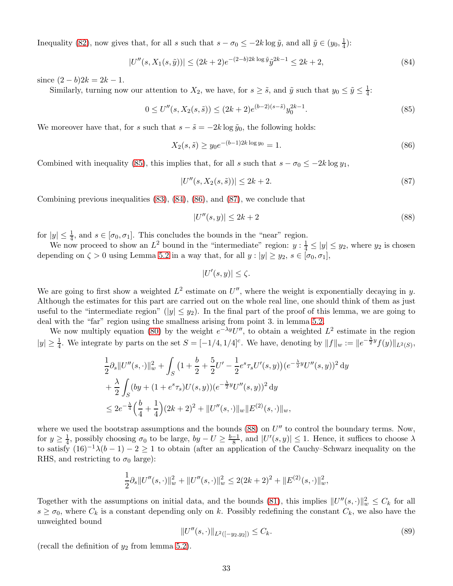Inequality [\(82\)](#page-31-2), now gives that, for all s such that  $s - \sigma_0 \leq -2k \log \tilde{y}$ , and all  $\tilde{y} \in (y_0, \frac{1}{4})$  $\frac{1}{4}$ ):

$$
|U''(s, X_1(s, \tilde{y}))| \le (2k+2)e^{-(2-b)2k\log \tilde{y}}\tilde{y}^{2k-1} \le 2k+2,
$$
\n(84)

since  $(2 - b)2k = 2k - 1$ .

Similarly, turning now our attention to  $X_2$ , we have, for  $s \geq \tilde{s}$ , and  $\tilde{y}$  such that  $y_0 \leq \tilde{y} \leq \frac{1}{4}$  $\frac{1}{4}$ :

$$
0 \le U''(s, X_2(s, \tilde{s})) \le (2k+2)e^{(b-2)(s-\tilde{s})}y_0^{2k-1}.
$$
\n(85)

We moreover have that, for s such that  $s - \tilde{s} = -2k \log \tilde{y}_0$ , the following holds:

<span id="page-32-1"></span>
$$
X_2(s,\tilde{s}) \ge y_0 e^{-(b-1)2k \log y_0} = 1. \tag{86}
$$

Combined with inequality [\(85\)](#page-32-0), this implies that, for all s such that  $s - \sigma_0 \leq -2k \log y_1$ ,

<span id="page-32-0"></span>
$$
|U''(s, X_2(s, \tilde{s}))| \le 2k + 2. \tag{87}
$$

Combining previous inequalities [\(83\)](#page-31-3), [\(84\)](#page-32-1), [\(86\)](#page-32-2), and [\(87\)](#page-32-3), we conclude that

<span id="page-32-4"></span><span id="page-32-3"></span><span id="page-32-2"></span>
$$
|U''(s,y)| \le 2k+2\tag{88}
$$

for  $|y| \leq \frac{1}{4}$ , and  $s \in [\sigma_0, \sigma_1]$ . This concludes the bounds in the "near" region.

We now proceed to show an  $L^2$  bound in the "intermediate" region:  $y: \frac{1}{4} \le |y| \le y_2$ , where  $y_2$  is chosen depending on  $\zeta > 0$  using Lemma [5.2](#page-26-0) in a way that, for all  $y : |y| \ge y_2$ ,  $s \in [\sigma_0, \sigma_1]$ ,

$$
|U'(s,y)| \le \zeta.
$$

We are going to first show a weighted  $L^2$  estimate on  $U''$ , where the weight is exponentially decaying in y. Although the estimates for this part are carried out on the whole real line, one should think of them as just useful to the "intermediate region" ( $|y| \leq y_2$ ). In the final part of the proof of this lemma, we are going to deal with the "far" region using the smallness arising from point 3. in lemma [5.2.](#page-26-0)

We now multiply equation [\(80\)](#page-31-1) by the weight  $e^{-\lambda y}U''$ , to obtain a weighted  $L^2$  estimate in the region  $|y| \geq \frac{1}{4}$ . We integrate by parts on the set  $S = [-1/4, 1/4]^c$ . We have, denoting by  $||f||_w := ||e^{-\frac{\lambda}{2}y} f(y)||_{L^2(S)}$ ,

$$
\frac{1}{2}\partial_s\|U''(s,\cdot)\|_{w}^2 + \int_S \left(1 + \frac{b}{2} + \frac{5}{2}U' - \frac{1}{2}e^s\tau_s U'(s,y)\right)(e^{-\frac{\lambda}{2}y}U''(s,y))^2 \,dy \n+ \frac{\lambda}{2} \int_S (by + (1 + e^s\tau_s)U(s,y))(e^{-\frac{\lambda}{2}y}U''(s,y))^2 \,dy \n\le 2e^{-\frac{\lambda}{4}}\Big(\frac{b}{4} + \frac{1}{4}\Big)(2k+2)^2 + \|U''(s,\cdot)\|_{w}\|E^{(2)}(s,\cdot)\|_{w},
$$

where we used the bootstrap assumptions and the bounds  $(88)$  on  $U''$  to control the boundary terms. Now, for  $y \ge \frac{1}{4}$ , possibly choosing  $\sigma_0$  to be large,  $by - U \ge \frac{b-1}{8}$ , and  $|U'(s, y)| \le 1$ . Hence, it suffices to choose  $\lambda$ to satisfy  $(16)^{-1}\lambda(b-1) - 2 \ge 1$  to obtain (after an application of the Cauchy–Schwarz inequality on the RHS, and restricting to  $\sigma_0$  large):

$$
\frac{1}{2}\partial_s\|U''(s,\cdot)\|_{w}^2 + \|U''(s,\cdot)\|_{w}^2 \le 2(2k+2)^2 + \|E^{(2)}(s,\cdot)\|_{w}^2,
$$

Together with the assumptions on initial data, and the bounds [\(81\)](#page-31-4), this implies  $||U''(s, \cdot)||_{w}^{2} \leq C_{k}$  for all  $s \geq \sigma_0$ , where  $C_k$  is a constant depending only on k. Possibly redefining the constant  $C_k$ , we also have the unweighted bound

<span id="page-32-5"></span>
$$
||U''(s, \cdot)||_{L^2([-y_2, y_2])} \le C_k. \tag{89}
$$

(recall the definition of  $y_2$  from lemma [5.2\)](#page-26-0).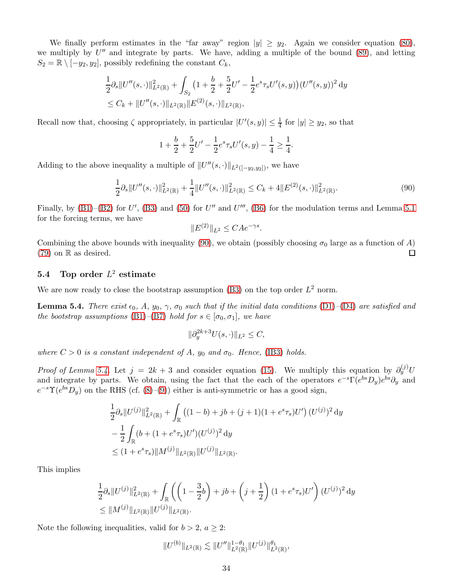We finally perform estimates in the "far away" region  $|y| \ge y_2$ . Again we consider equation [\(80\)](#page-31-1), we multiply by  $U''$  and integrate by parts. We have, adding a multiple of the bound  $(89)$ , and letting  $S_2 = \mathbb{R} \setminus [-y_2, y_2]$ , possibly redefining the constant  $C_k$ ,

$$
\frac{1}{2}\partial_s\|U''(s,\cdot)\|_{L^2(\mathbb{R})}^2 + \int_{S_2} \left(1 + \frac{b}{2} + \frac{5}{2}U' - \frac{1}{2}e^s\tau_s U'(s,y)\right)(U''(s,y))^2 \,dy \leq C_k + \|U''(s,\cdot)\|_{L^2(\mathbb{R})} \|E^{(2)}(s,\cdot)\|_{L^2(\mathbb{R})},
$$

Recall now that, choosing  $\zeta$  appropriately, in particular  $|U'(s, y)| \leq \frac{1}{4}$  for  $|y| \geq y_2$ , so that

$$
1 + \frac{b}{2} + \frac{5}{2}U' - \frac{1}{2}e^s \tau_s U'(s, y) - \frac{1}{4} \ge \frac{1}{4}.
$$

Adding to the above inequality a multiple of  $||U''(s, \cdot)||_{L^2([-y_2,y_2])}$ , we have

$$
\frac{1}{2}\partial_s\|U''(s,\cdot)\|_{L^2(\mathbb{R})}^2 + \frac{1}{4}\|U''(s,\cdot)\|_{L^2(\mathbb{R})}^2 \le C_k + 4\|E^{(2)}(s,\cdot)\|_{L^2(\mathbb{R})}^2.
$$
\n(90)

Finally, by  $(B1)$ – $(B2)$  for U',  $(B3)$  and  $(50)$  for U'' and U''',  $(B6)$  for the modulation terms and Lemma [5.1](#page-25-1) for the forcing terms, we have

<span id="page-33-1"></span>
$$
||E^{(2)}||_{L^2} \leq C A e^{-\gamma s}.
$$

Combining the above bounds with inequality [\(90\)](#page-33-1), we obtain (possibly choosing  $\sigma_0$  large as a function of A)  $\Box$  $(79)$  on R as desired.

### **5.4** Top order  $L^2$  estimate

We are now ready to close the bootstrap assumption [\(B3\)](#page-16-0) on the top order  $L^2$  norm.

<span id="page-33-0"></span>**Lemma 5.4.** There exist  $\epsilon_0$ , A,  $y_0$ ,  $\gamma$ ,  $\sigma_0$  such that if the initial data conditions [\(D1\)](#page-15-1)–[\(D4\)](#page-15-1) are satisfied and the bootstrap assumptions [\(B1\)](#page-16-0)–[\(B7\)](#page-16-0) hold for  $s \in [\sigma_0, \sigma_1]$ , we have

$$
\|\partial_y^{2k+3}U(s,\cdot)\|_{L^2}\leq C,
$$

where  $C > 0$  is a constant independent of A,  $y_0$  and  $\sigma_0$ . Hence, [\(IB3\)](#page-16-0) holds.

*Proof of Lemma [5.4.](#page-33-0)* Let  $j = 2k + 3$  and consider equation [\(15\)](#page-11-3). We multiply this equation by  $\partial_y^{(j)}U$ and integrate by parts. We obtain, using the fact that the each of the operators  $e^{-s}\Gamma(e^{bs}D_y)e^{bs}\partial_y$  and  $e^{-s}\Upsilon(e^{bs}D_y)$  on the RHS (cf. [\(8\)](#page-10-5)–[\(9\)](#page-10-6)) either is anti-symmetric or has a good sign,

$$
\frac{1}{2}\partial_s\|U^{(j)}\|_{L^2(\mathbb{R})}^2 + \int_{\mathbb{R}} \left( (1-b) + jb + (j+1)(1+e^s\tau_s)U' \right) (U^{(j)})^2 dy
$$
  
\n
$$
-\frac{1}{2}\int_{\mathbb{R}} (b + (1+e^s\tau_s)U')(U^{(j)})^2 dy
$$
  
\n
$$
\leq (1+e^s\tau_s) \|M^{(j)}\|_{L^2(\mathbb{R})} \|U^{(j)}\|_{L^2(\mathbb{R})}.
$$

This implies

$$
\frac{1}{2}\partial_s\|U^{(j)}\|_{L^2(\mathbb{R})}^2 + \int_{\mathbb{R}} \left( \left(1 - \frac{3}{2}b\right) + jb + \left(j + \frac{1}{2}\right)(1 + e^s\tau_s)U'\right)(U^{(j)})^2 \, dy \leq \|M^{(j)}\|_{L^2(\mathbb{R})} \|U^{(j)}\|_{L^2(\mathbb{R})}.
$$

Note the following inequalities, valid for  $b > 2$ ,  $a \geq 2$ :

$$
||U^{(b)}||_{L^{2}(\mathbb{R})} \lesssim ||U''||_{L^{2}(\mathbb{R})}^{1-\theta_{1}} ||U^{(j)}||_{L^{2}(\mathbb{R})}^{\theta_{1}},
$$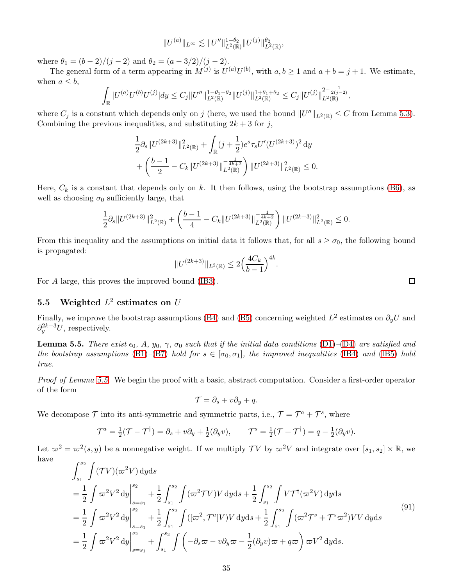$$
||U^{(a)}||_{L^{\infty}} \lesssim ||U''||_{L^{2}(\mathbb{R})}^{1-\theta_2} ||U^{(j)}||_{L^{2}(\mathbb{R})}^{\theta_2},
$$

where  $\theta_1 = (b-2)/(j-2)$  and  $\theta_2 = (a-3/2)/(j-2)$ .

The general form of a term appearing in  $M^{(j)}$  is  $U^{(a)}U^{(b)}$ , with  $a, b \ge 1$  and  $a + b = j + 1$ . We estimate, when  $a \leq b$ ,

$$
\int_{\mathbb{R}} |U^{(a)}U^{(b)}U^{(j)}| dy \leq C_j ||U''||_{L^2(\mathbb{R})}^{1-\theta_1-\theta_2} ||U^{(j)}||_{L^2(\mathbb{R})}^{1+\theta_1+\theta_2} \leq C_j ||U^{(j)}||_{L^2(\mathbb{R})}^{2-\frac{1}{2(j-2)}},
$$

where  $C_j$  is a constant which depends only on j (here, we used the bound  $||U''||_{L^2(\mathbb{R})} \leq C$  from Lemma [5.3\)](#page-31-0). Combining the previous inequalities, and substituting  $2k + 3$  for j,

$$
\frac{1}{2}\partial_s\|U^{(2k+3)}\|_{L^2(\mathbb{R})}^2 + \int_{\mathbb{R}} (j+\frac{1}{2})e^s \tau_s U'(U^{(2k+3)})^2 \, \mathrm{d}y
$$

$$
+ \left(\frac{b-1}{2} - C_k \|U^{(2k+3)}\|_{L^2(\mathbb{R})}^{-\frac{1}{4k+2}}\right) \|U^{(2k+3)}\|_{L^2(\mathbb{R})}^2 \le 0.
$$

Here,  $C_k$  is a constant that depends only on k. It then follows, using the bootstrap assumptions [\(B6\)](#page-16-0), as well as choosing  $\sigma_0$  sufficiently large, that

$$
\frac{1}{2}\partial_s\|U^{(2k+3)}\|_{L^2(\mathbb{R})}^2+\left(\frac{b-1}{4}-C_k\|U^{(2k+3)}\|_{L^2(\mathbb{R})}^{-\frac{1}{4k+2}}\right)\|U^{(2k+3)}\|_{L^2(\mathbb{R})}^2\leq 0.
$$

From this inequality and the assumptions on initial data it follows that, for all  $s \ge \sigma_0$ , the following bound is propagated:

$$
||U^{(2k+3)}||_{L^{2}(\mathbb{R})} \leq 2\Big(\frac{4C_{k}}{b-1}\Big)^{4k}.
$$

For A large, this proves the improved bound [\(IB3\)](#page-16-0).

### 5.5 Weighted  $L^2$  estimates on U

Finally, we improve the bootstrap assumptions [\(B4\)](#page-16-0) and [\(B5\)](#page-16-0) concerning weighted  $L^2$  estimates on  $\partial_y U$  and  $\partial_y^{2k+3}U$ , respectively.

<span id="page-34-0"></span>**Lemma 5.5.** There exist  $\epsilon_0$ , A,  $y_0$ ,  $\gamma$ ,  $\sigma_0$  such that if the initial data conditions [\(D1\)](#page-15-1)–[\(D4\)](#page-15-1) are satisfied and the bootstrap assumptions [\(B1\)](#page-16-0)–[\(B7\)](#page-16-0) hold for  $s \in [\sigma_0, \sigma_1]$ , the improved inequalities [\(IB4\)](#page-16-0) and [\(IB5\)](#page-16-0) hold true.

Proof of Lemma [5.5.](#page-34-0) We begin the proof with a basic, abstract computation. Consider a first-order operator of the form

$$
\mathcal{T} = \partial_s + v\partial_y + q.
$$

We decompose  $\mathcal T$  into its anti-symmetric and symmetric parts, i.e.,  $\mathcal T = \mathcal T^a + \mathcal T^s$ , where

$$
\mathcal{T}^a = \frac{1}{2}(\mathcal{T} - \mathcal{T}^{\dagger}) = \partial_s + v\partial_y + \frac{1}{2}(\partial_y v), \qquad \mathcal{T}^s = \frac{1}{2}(\mathcal{T} + \mathcal{T}^{\dagger}) = q - \frac{1}{2}(\partial_y v).
$$

Let  $\varpi^2 = \varpi^2(s, y)$  be a nonnegative weight. If we multiply TV by  $\varpi^2 V$  and integrate over  $[s_1, s_2] \times \mathbb{R}$ , we have

$$
\int_{s_1}^{s_2} \int (TV)(\varpi^2 V) \, dy ds
$$
\n
$$
= \frac{1}{2} \int \varpi^2 V^2 \, dy \Big|_{s=s_1}^{s_2} + \frac{1}{2} \int_{s_1}^{s_2} \int (\varpi^2 TV) V \, dy ds + \frac{1}{2} \int_{s_1}^{s_2} \int V \mathcal{T}^{\dagger}(\varpi^2 V) \, dy ds
$$
\n
$$
= \frac{1}{2} \int \varpi^2 V^2 \, dy \Big|_{s=s_1}^{s_2} + \frac{1}{2} \int_{s_1}^{s_2} \int ((\varpi^2 \mathcal{T}^a) V) V \, dy ds + \frac{1}{2} \int_{s_1}^{s_2} \int (\varpi^2 \mathcal{T}^s + \mathcal{T}^s \varpi^2) V V \, dy ds
$$
\n
$$
= \frac{1}{2} \int \varpi^2 V^2 \, dy \Big|_{s=s_1}^{s_2} + \int_{s_1}^{s_2} \int \left( -\partial_s \varpi - v \partial_y \varpi - \frac{1}{2} (\partial_y v) \varpi + q \varpi \right) \varpi V^2 \, dy ds.
$$
\n(91)

<span id="page-34-1"></span> $\Box$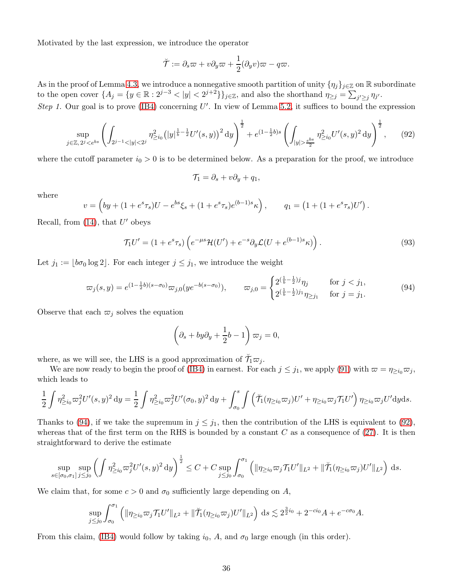Motivated by the last expression, we introduce the operator

$$
\breve{\mathcal{T}} := \partial_s \varpi + v \partial_y \varpi + \frac{1}{2} (\partial_y v) \varpi - q \varpi.
$$

As in the proof of Lemma [4.3,](#page-21-0) we introduce a nonnegative smooth partition of unity  $\{\eta_j\}_{j\in\mathbb{Z}}$  on R subordinate to the open cover  $\{A_j = \{y \in \mathbb{R} : 2^{j-3} < |y| < 2^{j+2}\}\}_{j \in \mathbb{Z}}$ , and also the shorthand  $\eta_{\geq j} = \sum_{j' \geq j} \eta_{j'}$ .

Step 1. Our goal is to prove [\(IB4\)](#page-16-0) concerning  $U'$ . In view of Lemma [5.2,](#page-26-0) it suffices to bound the expression

$$
\sup_{j\in\mathbb{Z},2^{j}\frac{e^{bs}}{2}}\eta_{\geq i_0}^{2}U'(s,y)^{2}{\rm d}y\right)^{\frac{1}{2}},\qquad(92)
$$

where the cutoff parameter  $i_0 > 0$  is to be determined below. As a preparation for the proof, we introduce

<span id="page-35-2"></span><span id="page-35-1"></span>
$$
\mathcal{T}_1 = \partial_s + v \partial_y + q_1,
$$

where

$$
v = \left(by + (1 + e^s \tau_s)U - e^{bs}\xi_s + (1 + e^s \tau_s)e^{(b-1)s}\kappa\right), \qquad q_1 = \left(1 + (1 + e^s \tau_s)U'\right).
$$

Recall, from  $(14)$ , that  $U'$  obeys

$$
\mathcal{T}_1 U' = (1 + e^s \tau_s) \left( e^{-\mu s} \mathcal{H}(U') + e^{-s} \partial_y \mathcal{L}(U + e^{(b-1)s} \kappa) \right). \tag{93}
$$

Let  $j_1 := |b\sigma_0| \log 2|$ . For each integer  $j \leq j_1$ , we introduce the weight

$$
\varpi_j(s,y) = e^{(1-\frac{1}{2}b)(s-\sigma_0)} \varpi_{j,0}(ye^{-b(s-\sigma_0)}), \qquad \varpi_{j,0} = \begin{cases} 2^{\left(\frac{1}{b}-\frac{1}{2}\right)j} \eta_j & \text{for } j < j_1, \\ 2^{\left(\frac{1}{b}-\frac{1}{2}\right)j_1} \eta_{\geq j_1} & \text{for } j = j_1. \end{cases}
$$
(94)

Observe that each  $\varpi_j$  solves the equation

<span id="page-35-0"></span>
$$
\left(\partial_s + by\partial_y + \frac{1}{2}b - 1\right)\varpi_j = 0,
$$

where, as we will see, the LHS is a good approximation of  $\breve{\mathcal{T}}_1 \varpi_j$ .

We are now ready to begin the proof of [\(IB4\)](#page-16-0) in earnest. For each  $j \leq j_1$ , we apply [\(91\)](#page-34-1) with  $\varpi = \eta_{\geq i_0} \varpi_j$ , which leads to

$$
\frac{1}{2}\int \eta_{\geq i_0}^2 \varpi_j^2 U'(s,y)^2 dy = \frac{1}{2}\int \eta_{\geq i_0}^2 \varpi_j^2 U'(\sigma_0,y)^2 dy + \int_{\sigma_0}^s \int \left(\check{\mathcal{T}}_1(\eta_{\geq i_0}\varpi_j)U' + \eta_{\geq i_0}\varpi_j\mathcal{T}_1U'\right)\eta_{\geq i_0}\varpi_j U' dy ds.
$$

Thanks to [\(94\)](#page-35-0), if we take the supremum in  $j \leq j_1$ , then the contribution of the LHS is equivalent to [\(92\)](#page-35-1), whereas that of the first term on the RHS is bounded by a constant  $C$  as a consequence of [\(27\)](#page-18-3). It is then straightforward to derive the estimate

$$
\sup_{s\in[\sigma_0,\sigma_1]}\sup_{j\leq j_0}\left(\int\eta_{\geq i_0}^2\varpi_j^2U'(s,y)^2\,\mathrm{d}y\right)^{\frac{1}{2}}\leq C+C\sup_{j\leq j_0}\int_{\sigma_0}^{\sigma_1}\left(\|\eta_{\geq i_0}\varpi_j\mathcal{T}_1U'\|_{L^2}+\|\mathcal{T}_1(\eta_{\geq i_0}\varpi_j)U'\|_{L^2}\right)\,\mathrm{d}s.
$$

We claim that, for some  $c > 0$  and  $\sigma_0$  sufficiently large depending on A,

$$
\sup_{j\leq j_0}\int_{\sigma_0}^{\sigma_1} \left( \|\eta_{\geq i_0}\varpi_j \mathcal{T}_1 U'\|_{L^2} + \|\breve{\mathcal{T}}_1(\eta_{\geq i_0}\varpi_j) U'\|_{L^2} \right) ds \lesssim 2^{\frac{3}{2}i_0} + 2^{-ci_0}A + e^{-c\sigma_0}A.
$$

From this claim, [\(IB4\)](#page-16-0) would follow by taking  $i_0$ , A, and  $\sigma_0$  large enough (in this order).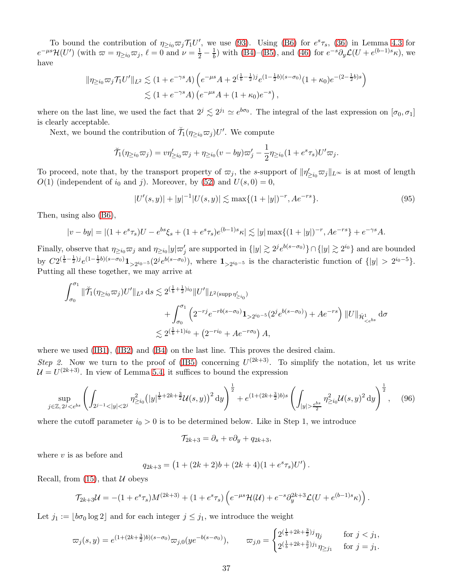To bound the contribution of  $\eta_{\geq i_0} \varpi_j \mathcal{T}_1 U'$ , we use [\(93\)](#page-35-2). Using [\(B6\)](#page-16-0) for  $e^s \tau_s$ , [\(36\)](#page-21-1) in Lemma [4.3](#page-21-0) for  $e^{-\mu s}\mathcal{H}(U')$  (with  $\varpi = \eta_{\geq i_0}\varpi_j$ ,  $\ell = 0$  and  $\nu = \frac{1}{2} - \frac{1}{b}$  $\frac{1}{b}$ ) with [\(B4\)](#page-16-0)–[\(B5\)](#page-16-0), and [\(46\)](#page-25-2) for  $e^{-s}\partial_y\mathcal{L}(U+e^{(b-1)s}\kappa)$ , we have

$$
\|\eta_{\geq i_0}\varpi_j\mathcal{T}_1U'\|_{L^2} \lesssim (1 + e^{-\gamma s}A) \left(e^{-\mu s}A + 2^{(\frac{1}{b} - \frac{1}{2})j}e^{(1 - \frac{1}{2}b)(s - \sigma_0)}(1 + \kappa_0)e^{-(2 - \frac{1}{2}b)s}\right)
$$
  

$$
\lesssim (1 + e^{-\gamma s}A) \left(e^{-\mu s}A + (1 + \kappa_0)e^{-s}\right),
$$

where on the last line, we used the fact that  $2^j \lesssim 2^{j_1} \simeq e^{b\sigma_0}$ . The integral of the last expression on  $[\sigma_0, \sigma_1]$ is clearly acceptable.

Next, we bound the contribution of  $\breve{\mathcal{T}}_1(\eta_{\geq i_0}\varpi_j)U'$ . We compute

$$
\breve{\mathcal{T}}_1(\eta_{\geq i_0}\varpi_j)=v\eta'_{\geq i_0}\varpi_j+\eta_{\geq i_0}(v-by)\varpi_j'-\frac{1}{2}\eta_{\geq i_0}(1+e^s\tau_s)U'\varpi_j.
$$

To proceed, note that, by the transport property of  $\varpi_j$ , the s-support of  $\|\eta'_{\geq i_0}\varpi_j\|_{L^\infty}$  is at most of length  $O(1)$  (independent of i<sub>0</sub> and j). Moreover, by [\(52\)](#page-26-5) and  $U(s, 0) = 0$ ,

<span id="page-36-1"></span>
$$
|U'(s,y)| + |y|^{-1}|U(s,y)| \lesssim \max\{(1+|y|)^{-r}, Ae^{-rs}\}.
$$
\n(95)

Then, using also [\(B6\)](#page-16-0),

$$
|v - by| = |(1 + e^s \tau_s)U - e^{bs}\xi_s + (1 + e^s \tau_s)e^{(b-1)s}\kappa| \lesssim |y| \max\{(1 + |y|)^{-r}, Ae^{-rs}\} + e^{-\gamma s}A.
$$

Finally, observe that  $\eta_{\geq i_0} \varpi_j$  and  $\eta_{\geq i_0} |y| \varpi_j'$  are supported in  $\{|y| \gtrsim 2^{i} e^{b(s-\sigma_0)}\} \cap \{|y| \gtrsim 2^{i_0}\}$  and are bounded by  $C2^{(\frac{1}{b}-\frac{1}{2})j}e^{(1-\frac{1}{2}b)(s-\sigma_0)}1_{\geq 2^{i_0-5}}(2^je^{b(s-\sigma_0)}),$  where  $1_{\geq 2^{i_0-5}}$  is the characteristic function of  $\{|y| > 2^{i_0-5}\}.$ Putting all these together, we may arrive at

$$
\int_{\sigma_0}^{\sigma_1} \|\check{\mathcal{T}}_1(\eta_{\geq i_0}\varpi_j)U'\|_{L^2} ds \lesssim 2^{(\frac{1}{b}+\frac{1}{2})i_0} \|U'\|_{L^2(\text{supp}\,\eta'_{\geq i_0})} \n+ \int_{\sigma_0}^{\sigma_1} \left(2^{-rj}e^{-rb(s-\sigma_0)}\mathbf{1}_{>2^{i_0-5}}(2^j e^{b(s-\sigma_0)}) + Ae^{-rs}\right) \|U\|_{\dot{\mathcal{H}}_{\leq e^{bs}}} d\sigma \n\lesssim 2^{(\frac{1}{b}+1)i_0} + \left(2^{-ri_0} + Ae^{-r\sigma_0}\right)A,
$$

where we used [\(IB1\)](#page-16-0), [\(IB2\)](#page-16-0) and [\(B4\)](#page-16-0) on the last line. This proves the desired claim.

Step 2. Now we turn to the proof of [\(IB5\)](#page-16-0) concerning  $U^{(2k+3)}$ . To simplify the notation, let us write  $\mathcal{U} = U^{(2k+3)}$ . In view of Lemma [5.4,](#page-33-0) it suffices to bound the expression

$$
\sup_{j\in\mathbb{Z},2^{j}\frac{e^{bs}}{2}}\eta_{\geq i_0}^{2}\mathcal{U}(s,y)^{2}{\rm d}y\right)^{\frac{1}{2}},\quad(96)
$$

where the cutoff parameter  $i_0 > 0$  is to be determined below. Like in Step 1, we introduce

<span id="page-36-0"></span>
$$
\mathcal{T}_{2k+3} = \partial_s + v\partial_y + q_{2k+3},
$$

where  $v$  is as before and

$$
q_{2k+3} = (1 + (2k+2)b + (2k+4)(1 + e^s \tau_s)U') .
$$

Recall, from  $(15)$ , that  $\mathcal U$  obeys

$$
\mathcal{T}_{2k+3}\mathcal{U} = -(1+e^s\tau_s)M^{(2k+3)} + (1+e^s\tau_s)\left(e^{-\mu s}\mathcal{H}(\mathcal{U}) + e^{-s}\partial_y^{2k+3}\mathcal{L}(U+e^{(b-1)s}\kappa)\right).
$$

Let  $j_1 := \lfloor b\sigma_0 \log 2 \rfloor$  and for each integer  $j \leq j_1$ , we introduce the weight

$$
\varpi_j(s,y) = e^{(1+(2k+\frac{3}{2})b)(s-\sigma_0)} \varpi_{j,0}(ye^{-b(s-\sigma_0)}), \qquad \varpi_{j,0} = \begin{cases} 2^{\left(\frac{1}{b}+2k+\frac{3}{2}\right)j} \eta_j & \text{for } j < j_1, \\ 2^{\left(\frac{1}{b}+2k+\frac{3}{2}\right)j_1} \eta_{\geq j_1} & \text{for } j = j_1. \end{cases}
$$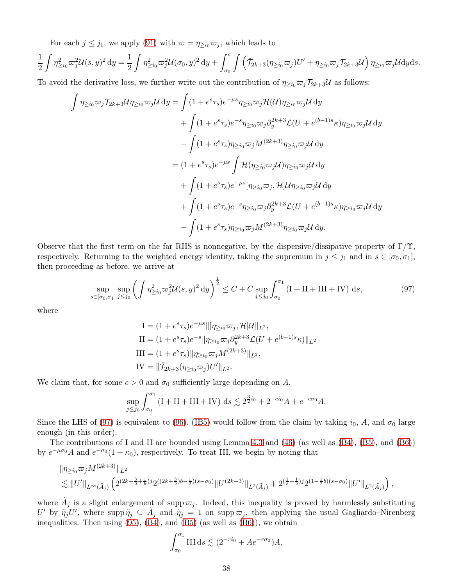For each  $j \leq j_1$ , we apply [\(91\)](#page-34-1) with  $\varpi = \eta_{\geq i_0} \varpi_j$ , which leads to

$$
\frac{1}{2}\int \eta_{\geq i_0}^2 \omega_j^2 \mathcal{U}(s, y)^2 dy = \frac{1}{2}\int \eta_{\geq i_0}^2 \omega_j^2 \mathcal{U}(\sigma_0, y)^2 dy + \int_{\sigma_0}^s \int \left(\check{\mathcal{T}}_{2k+3}(\eta_{\geq i_0} \varpi_j) U' + \eta_{\geq i_0} \varpi_j \mathcal{T}_{2k+3} \mathcal{U}\right) \eta_{\geq i_0} \varpi_j \mathcal{U} dy ds.
$$

To avoid the derivative loss, we further write out the contribution of  $\eta_{\geq i_0}\overline{\omega}_j\mathcal{T}_{2k+3}\mathcal{U}$  as follows:

$$
\int \eta_{\geq i_0} \varpi_j \mathcal{T}_{2k+3} \mathcal{U} \eta_{\geq i_0} \varpi_j \mathcal{U} \, dy = \int (1 + e^s \tau_s) e^{-\mu s} \eta_{\geq i_0} \varpi_j \mathcal{H}(\mathcal{U}) \eta_{\geq i_0} \varpi_j \mathcal{U} \, dy \n+ \int (1 + e^s \tau_s) e^{-s} \eta_{\geq i_0} \varpi_j \partial_y^{2k+3} \mathcal{L}(U + e^{(b-1)s} \kappa) \eta_{\geq i_0} \varpi_j \mathcal{U} \, dy \n- \int (1 + e^s \tau_s) \eta_{\geq i_0} \varpi_j M^{(2k+3)} \eta_{\geq i_0} \varpi_j \mathcal{U} \, dy \n= (1 + e^s \tau_s) e^{-\mu s} \int \mathcal{H}(\eta_{\geq i_0} \varpi_j \mathcal{U}) \eta_{\geq i_0} \varpi_j \mathcal{U} \, dy \n+ \int (1 + e^s \tau_s) e^{-\mu s} [\eta_{\geq i_0} \varpi_j, \mathcal{H}] \mathcal{U} \eta_{\geq i_0} \varpi_j \mathcal{U} \, dy \n+ \int (1 + e^s \tau_s) e^{-s} \eta_{\geq i_0} \varpi_j \partial_y^{2k+3} \mathcal{L}(U + e^{(b-1)s} \kappa) \eta_{\geq i_0} \varpi_j \mathcal{U} \, dy \n- \int (1 + e^s \tau_s) \eta_{\geq i_0} \varpi_j M^{(2k+3)} \eta_{\geq i_0} \varpi_j \mathcal{U} \, dy.
$$

Observe that the first term on the far RHS is nonnegative, by the dispersive/dissipative property of  $\Gamma/\Upsilon$ , respectively. Returning to the weighted energy identity, taking the supremum in  $j \leq j_1$  and in  $s \in [\sigma_0, \sigma_1]$ , then proceeding as before, we arrive at

$$
\sup_{s \in [\sigma_0, \sigma_1]} \sup_{j \le j_0} \left( \int \eta_{\ge i_0}^2 \varpi_j^2 \mathcal{U}(s, y)^2 dy \right)^{\frac{1}{2}} \le C + C \sup_{j \le j_0} \int_{\sigma_0}^{\sigma_1} \left( I + II + III + IV \right) ds,\tag{97}
$$

where

<span id="page-37-0"></span>
$$
I = (1 + e^{s} \tau_{s}) e^{-\mu s} \| [\eta_{\geq i_{0}} \varpi_{j}, \mathcal{H}] \mathcal{U} \|_{L^{2}},
$$
  
\n
$$
II = (1 + e^{s} \tau_{s}) e^{-s} \| \eta_{\geq i_{0}} \varpi_{j} \partial_{y}^{2k+3} \mathcal{L}(U + e^{(b-1)s} \kappa) \|_{L^{2}}
$$
  
\n
$$
III = (1 + e^{s} \tau_{s}) \| \eta_{\geq i_{0}} \varpi_{j} M^{(2k+3)} \|_{L^{2}},
$$
  
\n
$$
IV = \| \breve{\mathcal{T}}_{2k+3} (\eta_{\geq i_{0}} \varpi_{j}) U' \|_{L^{2}}.
$$

We claim that, for some  $c > 0$  and  $\sigma_0$  sufficiently large depending on A,

$$
\sup_{j \le j_0} \int_{\sigma_0}^{\sigma_1} (I + II + III + IV) \, ds \lesssim 2^{\frac{3}{2}i_0} + 2^{-ci_0} A + e^{-c\sigma_0} A.
$$

Since the LHS of [\(97\)](#page-37-0) is equivalent to [\(96\)](#page-36-0), [\(IB5\)](#page-16-0) would follow from the claim by taking  $i_0$ , A, and  $\sigma_0$  large enough (in this order).

The contributions of I and II are bounded using Lemma [4.3](#page-21-0) and  $(46)$  (as well as  $(B4)$ ,  $(B5)$ , and  $(B6)$ ) by  $e^{-\mu\sigma_0}A$  and  $e^{-\sigma_0}(1+\kappa_0)$ , respectively. To treat III, we begin by noting that

$$
\|\eta_{\geq i_0}\varpi_j M^{(2k+3)}\|_{L^2}
$$
  
\$\lesssim ||U'||\_{L^{\infty}(\tilde{A}\_j)}\left(2^{(2k+\frac{3}{2}+\frac{1}{b})j}2^{((2k+\frac{3}{2})b-\frac{1}{2})(s-\sigma\_0)}||U^{(2k+3)}\|\_{L^2(\tilde{A}\_j)}+2^{(\frac{1}{b}-\frac{1}{2})j}2^{(1-\frac{1}{2}b)(s-\sigma\_0)}||U'||\_{L^2(\tilde{A}\_j)}\right),

where  $\tilde{A}_j$  is a slight enlargement of supp  $\varpi_j$ . Indeed, this inequality is proved by harmlessly substituting U' by  $\tilde{\eta}_j U'$ , where supp  $\tilde{\eta}_j \subseteq \tilde{A}_j$  and  $\tilde{\eta}_j = 1$  on supp  $\varpi_j$ , then applying the usual Gagliardo–Nirenberg inequalities. Then using  $(95)$ ,  $(B4)$ , and  $(B5)$  (as well as  $(B6)$ ), we obtain

$$
\int_{\sigma_0}^{\sigma_1} III \, ds \lesssim (2^{-ri_0} + Ae^{-r\sigma_0})A,
$$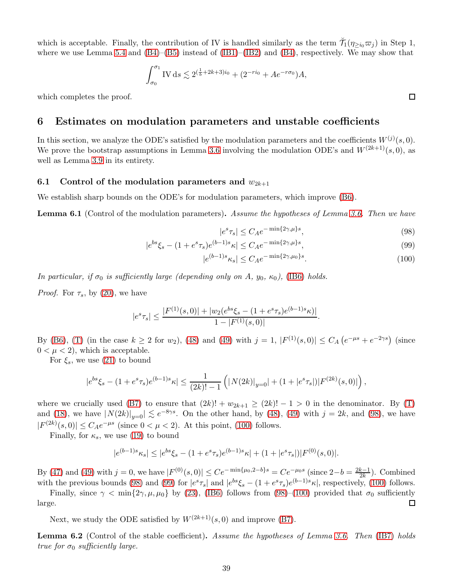which is acceptable. Finally, the contribution of IV is handled similarly as the term  $\check{\mathcal{T}}_1(\eta_{\geq i_0}\varpi_j)$  in Step 1, where we use Lemma [5.4](#page-33-0) and  $(B4)$ – $(B5)$  instead of  $(IB1)$ – $(IB2)$  and  $(B4)$ , respectively. We may show that

$$
\int_{\sigma_0}^{\sigma_1} \text{IV} \, \text{d}s \lesssim 2^{\left(\frac{1}{b} + 2k + 3\right)i_0} + \left(2^{-ri_0} + Ae^{-r\sigma_0}\right)A,
$$

<span id="page-38-0"></span>which completes the proof.

### 6 Estimates on modulation parameters and unstable coefficients

In this section, we analyze the ODE's satisfied by the modulation parameters and the coefficients  $W^{(j)}(s,0)$ . We prove the bootstrap assumptions in Lemma [3.6](#page-16-0) involving the modulation ODE's and  $W^{(2k+1)}(s, 0)$ , as well as Lemma [3.9](#page-17-0) in its entirety.

#### 6.1 Control of the modulation parameters and  $w_{2k+1}$

We establish sharp bounds on the ODE's for modulation parameters, which improve [\(B6\)](#page-16-0).

<span id="page-38-1"></span>**Lemma 6.1** (Control of the modulation parameters). Assume the hypotheses of Lemma [3.6.](#page-16-0) Then we have

$$
|e^s \tau_s| \le C_A e^{-\min\{2\gamma,\mu\}s},\tag{98}
$$

$$
|e^{bs}\xi_s - (1 + e^s \tau_s)e^{(b-1)s}\kappa| \le C_A e^{-\min\{2\gamma,\mu\}s},\tag{99}
$$

$$
|e^{(b-1)s}\kappa_s| \le C_A e^{-\min\{2\gamma,\mu_0\}s}.\tag{100}
$$

In particular, if  $\sigma_0$  is sufficiently large (depending only on A,  $y_0$ ,  $\kappa_0$ ), [\(IB6\)](#page-16-0) holds.

*Proof.* For  $\tau_s$ , by [\(20\)](#page-12-0), we have

$$
|e^{s}\tau_s| \le \frac{|F^{(1)}(s,0)| + |w_2(e^{bs}\xi_s - (1 + e^s\tau_s)e^{(b-1)s}\kappa)|}{1 - |F^{(1)}(s,0)|}.
$$

By [\(B6\)](#page-16-0), [\(T\)](#page-16-0) (in the case  $k \ge 2$  for  $w_2$ ), [\(48\)](#page-25-5) and [\(49\)](#page-25-3) with  $j = 1$ ,  $|F^{(1)}(s,0)| \le C_A (e^{-\mu s} + e^{-2\gamma s})$  (since  $0 < \mu < 2$ , which is acceptable.

For  $\xi_s$ , we use [\(21\)](#page-12-2) to bound

$$
|e^{bs}\xi_s-(1+e^s\tau_s)e^{(b-1)s}\kappa|\leq \frac{1}{(2k)!-1}\left(|\mathop{N}(2k)|_{y=0}|+(1+|e^s\tau_s|)|F^{(2k)}(s,0)|\right),
$$

where we crucially used [\(B7\)](#page-16-0) to ensure that  $(2k)! + w_{2k+1} \ge (2k)! - 1 > 0$  in the denominator. By [\(T\)](#page-16-0) and [\(18\)](#page-12-5), we have  $|N(2k)|_{y=0} \le e^{-8\gamma s}$ . On the other hand, by [\(48\)](#page-25-5), [\(49\)](#page-25-3) with  $j = 2k$ , and [\(98\)](#page-38-2), we have  $|F^{(2k)}(s,0)| \leq C_A e^{-\mu s}$  (since  $0 < \mu < 2$ ). At this point, [\(100\)](#page-38-3) follows.

Finally, for  $\kappa_s$ , we use [\(19\)](#page-12-1) to bound

$$
|e^{(b-1)s}\kappa_s| \le |e^{bs}\xi_s - (1 + e^s\tau_s)e^{(b-1)s}\kappa| + (1 + |e^s\tau_s|)|F^{(0)}(s,0)|.
$$

By [\(47\)](#page-25-6) and [\(49\)](#page-25-3) with  $j = 0$ , we have  $|F^{(0)}(s,0)| \le Ce^{-\min{\{\mu_0,2-b\}}} = Ce^{-\mu_0 s}$  (since  $2-b = \frac{2k-1}{2k}$  $\frac{k-1}{2k}$ ). Combined with the previous bounds [\(98\)](#page-38-2) and [\(99\)](#page-38-4) for  $|e^s \tau_s|$  and  $|e^{bs}\xi_s - (1 + e^s \tau_s)e^{(b-1)s}\kappa|$ , respectively, [\(100\)](#page-38-3) follows.

Finally, since  $\gamma < \min\{2\gamma, \mu, \mu_0\}$  by [\(23\)](#page-16-2), [\(IB6\)](#page-16-0) follows from [\(98\)](#page-38-2)–[\(100\)](#page-38-3) provided that  $\sigma_0$  sufficiently large. □

Next, we study the ODE satisfied by  $W^{(2k+1)}(s,0)$  and improve [\(B7\)](#page-16-0).

**Lemma 6.2** (Control of the stable coefficient). Assume the hypotheses of Lemma [3.6.](#page-16-0) Then [\(IB7\)](#page-16-0) holds true for  $\sigma_0$  sufficiently large.

<span id="page-38-4"></span><span id="page-38-3"></span><span id="page-38-2"></span> $\Box$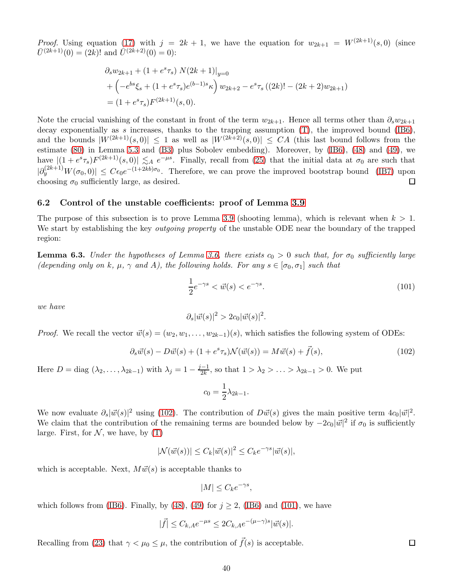*Proof.* Using equation [\(17\)](#page-12-4) with  $j = 2k + 1$ , we have the equation for  $w_{2k+1} = W^{(2k+1)}(s, 0)$  (since  $\overline{U}^{(2k+1)}(0) = (2k)!$  and  $\overline{U}^{(2k+2)}(0) = 0$ :

$$
\partial_s w_{2k+1} + (1 + e^s \tau_s) N(2k+1)|_{y=0}
$$
  
+  $\left(-e^{bs} \xi_s + (1 + e^s \tau_s) e^{(b-1)s} \kappa\right) w_{2k+2} - e^s \tau_s ((2k)! - (2k+2) w_{2k+1})$   
=  $(1 + e^s \tau_s) F^{(2k+1)}(s, 0).$ 

Note the crucial vanishing of the constant in front of the term  $w_{2k+1}$ . Hence all terms other than  $\partial_s w_{2k+1}$ decay exponentially as s increases, thanks to the trapping assumption  $(T)$ , the improved bound [\(IB6\)](#page-16-0), and the bounds  $|W^{(2k+1)}(s,0)| \leq 1$  as well as  $|W^{(2k+2)}(s,0)| \leq CA$  (this last bound follows from the estimate [\(80\)](#page-31-1) in Lemma [5.3](#page-31-0) and [\(B3\)](#page-16-0) plus Sobolev embedding). Moreover, by [\(IB6\)](#page-16-0), [\(48\)](#page-25-5) and [\(49\)](#page-25-3), we have  $|(1+e^{s}\tau_s)F^{(2k+1)}(s,0)| \lesssim_A e^{-\mu s}$ . Finally, recall from [\(25\)](#page-18-4) that the initial data at  $\sigma_0$  are such that  $|\partial_y^{(2k+1)}W(\sigma_0,0)| \leq C\epsilon_0e^{-(1+2kb)\sigma_0}$ . Therefore, we can prove the improved bootstrap bound [\(IB7\)](#page-16-0) upon choosing  $\sigma_0$  sufficiently large, as desired.  $\Box$ 

#### 6.2 Control of the unstable coefficients: proof of Lemma [3.9](#page-17-0)

The purpose of this subsection is to prove Lemma [3.9](#page-17-0) (shooting lemma), which is relevant when  $k > 1$ . We start by establishing the key *outgoing property* of the unstable ODE near the boundary of the trapped region:

<span id="page-39-0"></span>**Lemma 6.3.** Under the hypotheses of Lemma [3.6,](#page-16-0) there exists  $c_0 > 0$  such that, for  $\sigma_0$  sufficiently large (depending only on k,  $\mu$ ,  $\gamma$  and A), the following holds. For any  $s \in [\sigma_0, \sigma_1]$  such that

<span id="page-39-2"></span>
$$
\frac{1}{2}e^{-\gamma s} < \vec{w}(s) < e^{-\gamma s}.\tag{101}
$$

we have

$$
\partial_s |\vec{w}(s)|^2 > 2c_0 |\vec{w}(s)|^2.
$$

*Proof.* We recall the vector  $\vec{w}(s) = (w_2, w_1, \dots, w_{2k-1})(s)$ , which satisfies the following system of ODEs:

$$
\partial_s \vec{w}(s) - D\vec{w}(s) + (1 + e^s \tau_s) \mathcal{N}(\vec{w}(s)) = M\vec{w}(s) + \vec{f}(s), \tag{102}
$$

Here  $D = \text{diag}(\lambda_2, \dots, \lambda_{2k-1})$  with  $\lambda_j = 1 - \frac{j-1}{2k}$  $\frac{-1}{2k}$ , so that  $1 > \lambda_2 > \ldots > \lambda_{2k-1} > 0$ . We put

$$
c_0 = \frac{1}{2}\lambda_{2k-1}.
$$

We now evaluate  $\partial_s |\vec{w}(s)|^2$  using [\(102\)](#page-39-1). The contribution of  $D\vec{w}(s)$  gives the main positive term  $4c_0|\vec{w}|^2$ . We claim that the contribution of the remaining terms are bounded below by  $-2c_0|\vec{w}|^2$  if  $\sigma_0$  is sufficiently large. First, for  $N$ , we have, by  $(T)$ 

$$
|\mathcal{N}(\vec{w}(s))| \le C_k |\vec{w}(s)|^2 \le C_k e^{-\gamma s} |\vec{w}(s)|,
$$

which is acceptable. Next,  $M \vec{w}(s)$  is acceptable thanks to

$$
|M| \le C_k e^{-\gamma s},
$$

which follows from [\(IB6\)](#page-16-0). Finally, by [\(48\)](#page-25-5), [\(49\)](#page-25-3) for  $j \ge 2$ , (IB6) and [\(101\)](#page-39-2), we have

$$
|\vec{f}| \le C_{k,A} e^{-\mu s} \le 2C_{k,A} e^{-(\mu - \gamma)s} |\vec{w}(s)|.
$$

Recalling from [\(23\)](#page-16-2) that  $\gamma < \mu_0 \leq \mu$ , the contribution of  $\vec{f}(s)$  is acceptable.

<span id="page-39-1"></span> $\Box$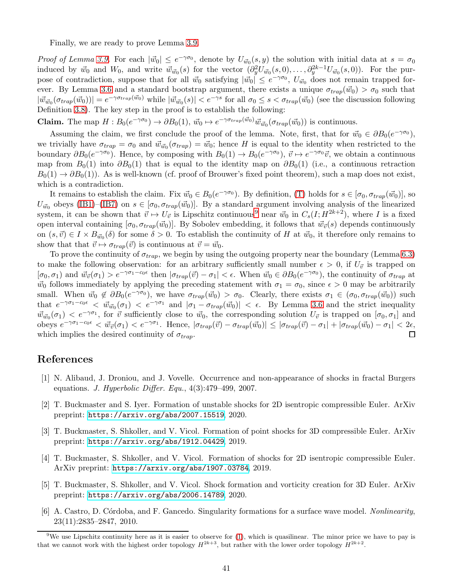Finally, we are ready to prove Lemma [3.9.](#page-17-0)

Proof of Lemma [3.9.](#page-17-0) For each  $|\vec{w}_0| \leq e^{-\gamma \sigma_0}$ , denote by  $U_{\vec{w}_0}(s, y)$  the solution with initial data at  $s = \sigma_0$ induced by  $\vec{w}_0$  and  $W_0$ , and write  $\vec{w}_{\vec{w}_0}(s)$  for the vector  $(\partial_y^2 U_{\vec{w}_0}(s,0), \ldots, \partial_y^{2k-1} U_{\vec{w}_0}(s,0))$ . For the purpose of contradiction, suppose that for all  $\vec{w}_0$  satisfying  $| \vec{w}_0 | \leq e^{-\gamma \sigma_0}$ ,  $U_{\vec{w}_0}$  does not remain trapped for-ever. By Lemma [3.6](#page-16-0) and a standard bootstrap argument, there exists a unique  $\sigma_{trap}(\vec{w}_0) > \sigma_0$  such that  $|\vec{w}_{\vec{w}_0}(\sigma_{trap}(\vec{w}_0))| = e^{-\gamma \sigma_{trap}(\vec{w}_0)}$  while  $|\vec{w}_{\vec{w}_0}(s)| < e^{-\gamma s}$  for all  $\sigma_0 \leq s < \sigma_{trap}(\vec{w}_0)$  (see the discussion following Definition [3.8\)](#page-17-5). The key step in the proof is to establish the following:

**Claim.** The map  $H : B_0(e^{-\gamma \sigma_0}) \to \partial B_0(1)$ ,  $\vec{w}_0 \mapsto e^{-\gamma \sigma_{trap}(\vec{w}_0)} \vec{w}_{\vec{w}_0}(\sigma_{trap}(\vec{w}_0))$  is continuous.

Assuming the claim, we first conclude the proof of the lemma. Note, first, that for  $\vec{w}_0 \in \partial B_0(e^{-\gamma \sigma_0})$ , we trivially have  $\sigma_{trap} = \sigma_0$  and  $\vec{w}_{\vec{w}_0}(\sigma_{trap}) = \vec{w}_0$ ; hence H is equal to the identity when restricted to the boundary  $\partial B_0(e^{-\gamma\sigma_0})$ . Hence, by composing with  $B_0(1) \to B_0(e^{-\gamma\sigma_0})$ ,  $\vec{v} \mapsto e^{-\gamma\sigma_0}\vec{v}$ , we obtain a continuous map from  $B_0(1)$  into  $\partial B_0(1)$  that is equal to the identity map on  $\partial B_0(1)$  (i.e., a continuous retraction  $B_0(1) \to \partial B_0(1)$ . As is well-known (cf. proof of Brouwer's fixed point theorem), such a map does not exist, which is a contradiction.

It remains to establish the claim. Fix  $\vec{w}_0 \in B_0(e^{-\gamma \sigma_0})$ . By definition, [\(T\)](#page-16-0) holds for  $s \in [\sigma_0, \sigma_{trap}(\vec{w}_0)]$ , so  $U_{\vec{w}_0}$  obeys [\(IB1\)](#page-16-0)–[\(IB7\)](#page-16-0) on  $s \in [\sigma_0, \sigma_{trap}(\vec{w}_0)]$ . By a standard argument involving analysis of the linearized system, it can be shown that  $\vec{v} \mapsto U_{\vec{v}}$  is Lipschitz continuous<sup>[9](#page-40-6)</sup> near  $\vec{w}_0$  in  $C_s(I; H^{2k+2})$ , where I is a fixed open interval containing  $[\sigma_0, \sigma_{trap}(\vec{w}_0)]$ . By Sobolev embedding, it follows that  $\vec{w}_{\vec{v}}(s)$  depends continuously on  $(s, \vec{v}) \in I \times B_{\vec{w}_0}(\delta)$  for some  $\delta > 0$ . To establish the continuity of H at  $\vec{w}_0$ , it therefore only remains to show that that  $\vec{v} \mapsto \sigma_{trap}(\vec{v})$  is continuous at  $\vec{v} = \vec{w}_0$ .

To prove the continuity of  $\sigma_{trap}$ , we begin by using the outgoing property near the boundary (Lemma [6.3\)](#page-39-0) to make the following observation: for an arbitrary sufficiently small number  $\epsilon > 0$ , if  $U_{\vec{v}}$  is trapped on  $[\sigma_0, \sigma_1]$  and  $\vec{w}_{\vec{v}}(\sigma_1) > e^{-\gamma \sigma_1 - c_0 \epsilon}$  then  $|\sigma_{trap}(\vec{v}) - \sigma_1| < \epsilon$ . When  $\vec{w}_0 \in \partial B_0(e^{-\gamma \sigma_0})$ , the continuity of  $\sigma_{trap}$  at  $\vec{w}_0$  follows immediately by applying the preceding statement with  $\sigma_1 = \sigma_0$ , since  $\epsilon > 0$  may be arbitrarily small. When  $\vec{w}_0 \notin \partial B_0(e^{-\gamma \sigma_0})$ , we have  $\sigma_{trap}(\vec{w}_0) > \sigma_0$ . Clearly, there exists  $\sigma_1 \in (\sigma_0, \sigma_{trap}(\vec{w}_0))$  such that  $e^{-\gamma \sigma_1 - c_0 \epsilon} < \vec{w}_{\vec{w}_0}(\sigma_1) < e^{-\gamma \sigma_1}$  and  $|\sigma_1 - \sigma_{trap}(\vec{w}_0)| < \epsilon$ . By Lemma [3.6](#page-16-0) and the strict inequality  $\vec{w}_{\vec{w}_0}(\sigma_1) < e^{-\gamma \sigma_1}$ , for  $\vec{v}$  sufficiently close to  $\vec{w}_0$ , the corresponding solution  $U_{\vec{v}}$  is trapped on  $[\sigma_0, \sigma_1]$  and obeys  $e^{-\gamma \sigma_1 - c_0 \epsilon} < \vec{w}_{\vec{v}}(\sigma_1) < e^{-\gamma \sigma_1}$ . Hence,  $|\sigma_{trap}(\vec{v}) - \sigma_{trap}(\vec{w}_0)| \leq |\sigma_{trap}(\vec{v}) - \sigma_1| + |\sigma_{trap}(\vec{w}_0) - \sigma_1| < 2\epsilon$ , which implies the desired continuity of  $\sigma_{trap}$ . 口

# <span id="page-40-0"></span>References

- <span id="page-40-5"></span>[1] N. Alibaud, J. Droniou, and J. Vovelle. Occurrence and non-appearance of shocks in fractal Burgers equations. J. Hyperbolic Differ. Equ.,  $4(3):479-499$ , 2007.
- <span id="page-40-3"></span>[2] T. Buckmaster and S. Iyer. Formation of unstable shocks for 2D isentropic compressible Euler. ArXiv preprint: <https://arxiv.org/abs/2007.15519>, 2020.
- [3] T. Buckmaster, S. Shkoller, and V. Vicol. Formation of point shocks for 3D compressible Euler. ArXiv preprint: <https://arxiv.org/abs/1912.04429>, 2019.
- <span id="page-40-1"></span>[4] T. Buckmaster, S. Shkoller, and V. Vicol. Formation of shocks for 2D isentropic compressible Euler. ArXiv preprint: <https://arxiv.org/abs/1907.03784>, 2019.
- <span id="page-40-4"></span>[5] T. Buckmaster, S. Shkoller, and V. Vicol. Shock formation and vorticity creation for 3D Euler. ArXiv preprint: <https://arxiv.org/abs/2006.14789>, 2020.
- <span id="page-40-2"></span>[6] A. Castro, D. Córdoba, and F. Gancedo. Singularity formations for a surface wave model. Nonlinearity, 23(11):2835–2847, 2010.

<span id="page-40-6"></span><sup>&</sup>lt;sup>9</sup>We use Lipschitz continuity here as it is easier to observe for  $(1)$ , which is quasilinear. The minor price we have to pay is that we cannot work with the highest order topology  $H^{2k+3}$ , but rather with the lower order topology  $H^{2k+2}$ .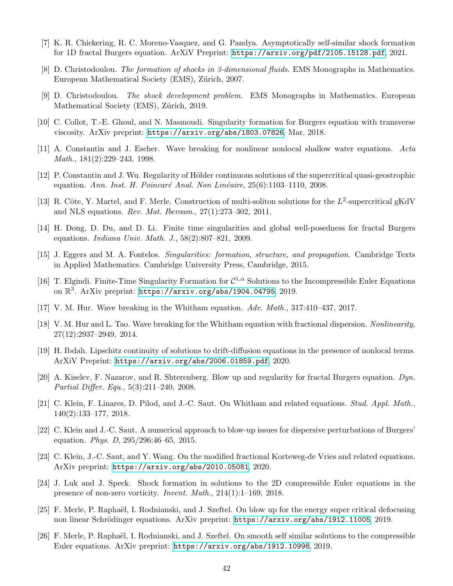- <span id="page-41-16"></span><span id="page-41-5"></span>[7] K. R. Chickering, R. C. Moreno-Vasquez, and G. Pandya. Asymptotically self-similar shock formation for 1D fractal Burgers equation. ArXiV Preprint: <https://arxiv.org/pdf/2105.15128.pdf>, 2021.
- <span id="page-41-17"></span>[8] D. Christodoulou. The formation of shocks in 3-dimensional fluids. EMS Monographs in Mathematics. European Mathematical Society (EMS), Zürich, 2007.
- <span id="page-41-7"></span>[9] D. Christodoulou. The shock development problem. EMS Monographs in Mathematics. European Mathematical Society (EMS), Zürich, 2019.
- <span id="page-41-11"></span>[10] C. Collot, T.-E. Ghoul, and N. Masmoudi. Singularity formation for Burgers equation with transverse viscosity. ArXiv preprint: <https://arxiv.org/abs/1803.07826>, Mar. 2018.
- <span id="page-41-13"></span>[11] A. Constantin and J. Escher. Wave breaking for nonlinear nonlocal shallow water equations. Acta Math., 181(2):229–243, 1998.
- [12] P. Constantin and J. Wu. Regularity of Hölder continuous solutions of the supercritical quasi-geostrophic equation. Ann. Inst. H. Poincaré Anal. Non Linéaire,  $25(6):1103-1110$ , 2008.
- <span id="page-41-19"></span>[13] R. Côte, Y. Martel, and F. Merle. Construction of multi-soliton solutions for the  $L^2$ -supercritical gKdV and NLS equations. Rev. Mat. Iberoam., 27(1):273–302, 2011.
- <span id="page-41-6"></span><span id="page-41-4"></span>[14] H. Dong, D. Du, and D. Li. Finite time singularities and global well-posedness for fractal Burgers equations. Indiana Univ. Math. J., 58(2):807–821, 2009.
- <span id="page-41-15"></span>[15] J. Eggers and M. A. Fontelos. Singularities: formation, structure, and propagation. Cambridge Texts in Applied Mathematics. Cambridge University Press, Cambridge, 2015.
- [16] T. Elgindi. Finite-Time Singularity Formation for  $C^{1,\alpha}$  Solutions to the Incompressible Euler Equations on  $\mathbb{R}^3$ . ArXiv preprint: <https://arxiv.org/abs/1904.04795>, 2019.
- <span id="page-41-2"></span><span id="page-41-1"></span>[17] V. M. Hur. Wave breaking in the Whitham equation. Adv. Math., 317:410–437, 2017.
- <span id="page-41-14"></span>[18] V. M. Hur and L. Tao. Wave breaking for the Whitham equation with fractional dispersion. Nonlinearity, 27(12):2937–2949, 2014.
- <span id="page-41-3"></span>[19] H. Ibdah. Lipschitz continuity of solutions to drift-diffusion equations in the presence of nonlocal terms. ArXiV Preprint: <https://arxiv.org/abs/2006.01859.pdf>, 2020.
- [20] A. Kiselev, F. Nazarov, and R. Shterenberg. Blow up and regularity for fractal Burgers equation. Dyn. Partial Differ. Equ., 5(3):211–240, 2008.
- <span id="page-41-10"></span>[21] C. Klein, F. Linares, D. Pilod, and J.-C. Saut. On Whitham and related equations. Stud. Appl. Math., 140(2):133–177, 2018.
- <span id="page-41-0"></span>[22] C. Klein and J.-C. Saut. A numerical approach to blow-up issues for dispersive perturbations of Burgers' equation. Phys. D, 295/296:46–65, 2015.
- <span id="page-41-18"></span><span id="page-41-12"></span>[23] C. Klein, J.-C. Saut, and Y. Wang. On the modified fractional Korteweg-de Vries and related equations. ArXiv preprint: <https://arxiv.org/abs/2010.05081>, 2020.
- [24] J. Luk and J. Speck. Shock formation in solutions to the 2D compressible Euler equations in the presence of non-zero vorticity. Invent. Math., 214(1):1–169, 2018.
- <span id="page-41-9"></span>[25] F. Merle, P. Raphaël, I. Rodnianski, and J. Szeftel. On blow up for the energy super critical defocusing non linear Schrödinger equations. ArXiv preprint: <https://arxiv.org/abs/1912.11005>, 2019.
- <span id="page-41-8"></span>[26] F. Merle, P. Raphaël, I. Rodnianski, and J. Szeftel. On smooth self similar solutions to the compressible Euler equations. ArXiv preprint: <https://arxiv.org/abs/1912.10998>, 2019.